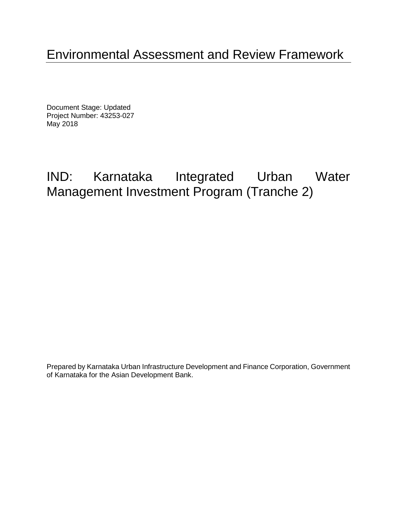# Environmental Assessment and Review Framework

Document Stage: Updated Project Number: 43253-027 May 2018

# IND: Karnataka Integrated Urban Water Management Investment Program (Tranche 2)

Prepared by Karnataka Urban Infrastructure Development and Finance Corporation, Government of Karnataka for the Asian Development Bank.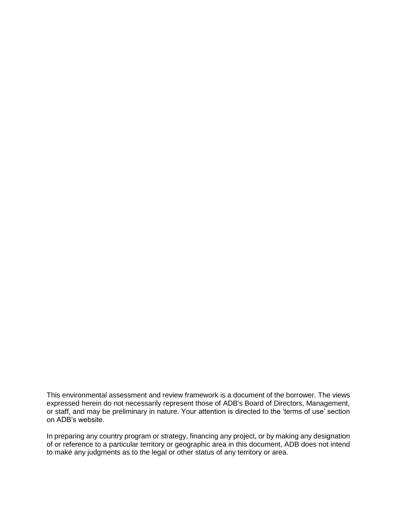This environmental assessment and review framework is a document of the borrower. The views expressed herein do not necessarily represent those of ADB's Board of Directors, Management, or staff, and may be preliminary in nature. Your attention is directed to the 'terms of use' section on ADB's website.

In preparing any country program or strategy, financing any project, or by making any designation of or reference to a particular territory or geographic area in this document, ADB does not intend to make any judgments as to the legal or other status of any territory or area.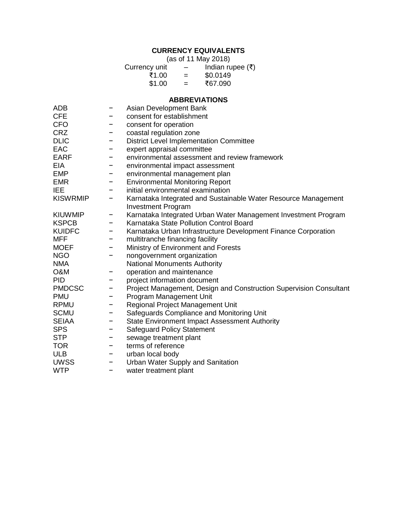# **CURRENCY EQUIVALENTS**

(as of 11 May 2018)

| Currency unit | $\overline{\phantom{0}}$ | Indian rupee $(₹)$ |
|---------------|--------------------------|--------------------|
| ₹1.00         | $=$                      | \$0.0149           |
| \$1.00        | $=$                      | ₹67.090            |

#### **ABBREVIATIONS**

| <b>ADB</b>      |   | Asian Development Bank                                             |
|-----------------|---|--------------------------------------------------------------------|
| <b>CFE</b>      |   | consent for establishment                                          |
| <b>CFO</b>      | - | consent for operation                                              |
| <b>CRZ</b>      | - | coastal regulation zone                                            |
| <b>DLIC</b>     |   | <b>District Level Implementation Committee</b>                     |
| EAC             | - | expert appraisal committee                                         |
| <b>EARF</b>     | - | environmental assessment and review framework                      |
| <b>EIA</b>      | - | environmental impact assessment                                    |
| <b>EMP</b>      |   | environmental management plan                                      |
| <b>EMR</b>      | - | <b>Environmental Monitoring Report</b>                             |
| IEE             |   | initial environmental examination                                  |
| <b>KISWRMIP</b> | - | Karnataka Integrated and Sustainable Water Resource Management     |
|                 |   | <b>Investment Program</b>                                          |
| <b>KIUWMIP</b>  | - | Karnataka Integrated Urban Water Management Investment Program     |
| <b>KSPCB</b>    | - | Karnataka State Pollution Control Board                            |
| <b>KUIDFC</b>   |   | Karnataka Urban Infrastructure Development Finance Corporation     |
| <b>MFF</b>      |   | multitranche financing facility                                    |
| <b>MOEF</b>     |   | Ministry of Environment and Forests                                |
| <b>NGO</b>      |   | nongovernment organization                                         |
| <b>NMA</b>      |   | <b>National Monuments Authority</b>                                |
| <b>O&amp;M</b>  |   | operation and maintenance                                          |
| <b>PID</b>      | - | project information document                                       |
| <b>PMDCSC</b>   | - | Project Management, Design and Construction Supervision Consultant |
| <b>PMU</b>      |   | Program Management Unit                                            |
| <b>RPMU</b>     |   | Regional Project Management Unit                                   |
| <b>SCMU</b>     |   | Safeguards Compliance and Monitoring Unit                          |
| <b>SEIAA</b>    | - | <b>State Environment Impact Assessment Authority</b>               |
| <b>SPS</b>      | - | <b>Safeguard Policy Statement</b>                                  |
| <b>STP</b>      | - | sewage treatment plant                                             |
| <b>TOR</b>      | - | terms of reference                                                 |
| <b>ULB</b>      | - | urban local body                                                   |
| <b>UWSS</b>     |   | Urban Water Supply and Sanitation                                  |
| <b>WTP</b>      |   | water treatment plant                                              |
|                 |   |                                                                    |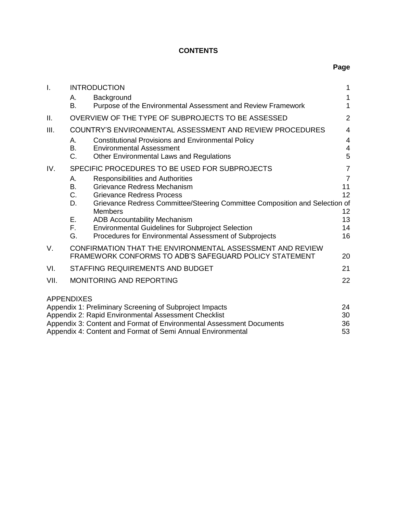## **CONTENTS**

| I.   |                   | <b>INTRODUCTION</b>                                                         | 1              |
|------|-------------------|-----------------------------------------------------------------------------|----------------|
|      | А.                | Background                                                                  | 1              |
|      | В.                | Purpose of the Environmental Assessment and Review Framework                | 1              |
| Ш.   |                   | OVERVIEW OF THE TYPE OF SUBPROJECTS TO BE ASSESSED                          | $\overline{2}$ |
| III. |                   | COUNTRY'S ENVIRONMENTAL ASSESSMENT AND REVIEW PROCEDURES                    | $\overline{4}$ |
|      | А.                | <b>Constitutional Provisions and Environmental Policy</b>                   | 4              |
|      | <b>B.</b>         | <b>Environmental Assessment</b>                                             | 4              |
|      | C.                | <b>Other Environmental Laws and Regulations</b>                             | 5              |
| IV.  |                   | SPECIFIC PROCEDURES TO BE USED FOR SUBPROJECTS                              | $\overline{7}$ |
|      | А.                | <b>Responsibilities and Authorities</b>                                     | $\overline{7}$ |
|      | В.                | Grievance Redress Mechanism                                                 | 11             |
|      | C.                | <b>Grievance Redress Process</b>                                            | 12             |
|      | D.                | Grievance Redress Committee/Steering Committee Composition and Selection of |                |
|      |                   | <b>Members</b>                                                              | 12             |
|      | Ε.                | <b>ADB Accountability Mechanism</b>                                         | 13             |
|      | F.                | <b>Environmental Guidelines for Subproject Selection</b>                    | 14             |
|      | G.                | Procedures for Environmental Assessment of Subprojects                      | 16             |
| V.   |                   | CONFIRMATION THAT THE ENVIRONMENTAL ASSESSMENT AND REVIEW                   |                |
|      |                   | FRAMEWORK CONFORMS TO ADB'S SAFEGUARD POLICY STATEMENT                      | 20             |
| VI.  |                   | STAFFING REQUIREMENTS AND BUDGET                                            | 21             |
| VII. |                   | <b>MONITORING AND REPORTING</b>                                             | 22             |
|      |                   |                                                                             |                |
|      | <b>APPENDIXES</b> |                                                                             |                |
|      |                   | Appendix 1: Preliminary Screening of Subproject Impacts                     | 24             |
|      |                   | Appendix 2: Rapid Environmental Assessment Checklist                        | 30             |
|      |                   | Appendix 3: Content and Format of Environmental Assessment Documents        | 36             |
|      |                   | Appendix 4: Content and Format of Semi Annual Environmental                 | 53             |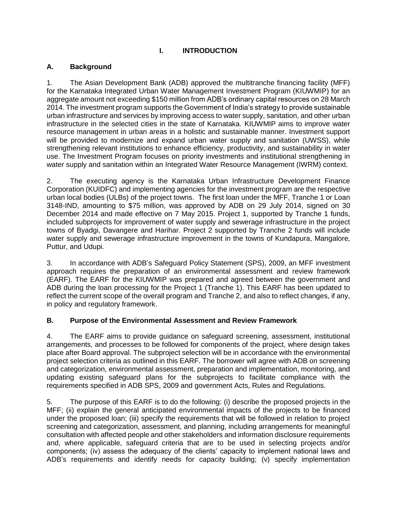## **I. INTRODUCTION**

## <span id="page-6-1"></span><span id="page-6-0"></span>**A. Background**

1. The Asian Development Bank (ADB) approved the multitranche financing facility (MFF) for the Karnataka Integrated Urban Water Management Investment Program (KIUWMIP) for an aggregate amount not exceeding \$150 million from ADB's ordinary capital resources on 28 March 2014. The investment program supports the Government of India's strategy to provide sustainable urban infrastructure and services by improving access to water supply, sanitation, and other urban infrastructure in the selected cities in the state of Karnataka. KIUWMIP aims to improve water resource management in urban areas in a holistic and sustainable manner. Investment support will be provided to modernize and expand urban water supply and sanitation (UWSS), while strengthening relevant institutions to enhance efficiency, productivity, and sustainability in water use. The Investment Program focuses on priority investments and institutional strengthening in water supply and sanitation within an Integrated Water Resource Management (IWRM) context.

2. The executing agency is the Karnataka Urban Infrastructure Development Finance Corporation (KUIDFC) and implementing agencies for the investment program are the respective urban local bodies (ULBs) of the project towns. The first loan under the MFF, Tranche 1 or Loan 3148-IND, amounting to \$75 million, was approved by ADB on 29 July 2014, signed on 30 December 2014 and made effective on 7 May 2015. Project 1, supported by Tranche 1 funds, included subprojects for improvement of water supply and sewerage infrastructure in the project towns of Byadgi, Davangere and Harihar. Project 2 supported by Tranche 2 funds will include water supply and sewerage infrastructure improvement in the towns of Kundapura, Mangalore, Puttur, and Udupi.

3. In accordance with ADB's Safeguard Policy Statement (SPS), 2009, an MFF investment approach requires the preparation of an environmental assessment and review framework (EARF). The EARF for the KIUWMIP was prepared and agreed between the government and ADB during the loan processing for the Project 1 (Tranche 1). This EARF has been updated to reflect the current scope of the overall program and Tranche 2, and also to reflect changes, if any, in policy and regulatory framework.

## <span id="page-6-2"></span>**B. Purpose of the Environmental Assessment and Review Framework**

4. The EARF aims to provide guidance on safeguard screening, assessment, institutional arrangements, and processes to be followed for components of the project, where design takes place after Board approval. The subproject selection will be in accordance with the environmental project selection criteria as outlined in this EARF. The borrower will agree with ADB on screening and categorization, environmental assessment, preparation and implementation, monitoring, and updating existing safeguard plans for the subprojects to facilitate compliance with the requirements specified in ADB SPS, 2009 and government Acts, Rules and Regulations.

5. The purpose of this EARF is to do the following: (i) describe the proposed projects in the MFF; (ii) explain the general anticipated environmental impacts of the projects to be financed under the proposed loan; (iii) specify the requirements that will be followed in relation to project screening and categorization, assessment, and planning, including arrangements for meaningful consultation with affected people and other stakeholders and information disclosure requirements and, where applicable, safeguard criteria that are to be used in selecting projects and/or components; (iv) assess the adequacy of the clients' capacity to implement national laws and ADB's requirements and identify needs for capacity building; (v) specify implementation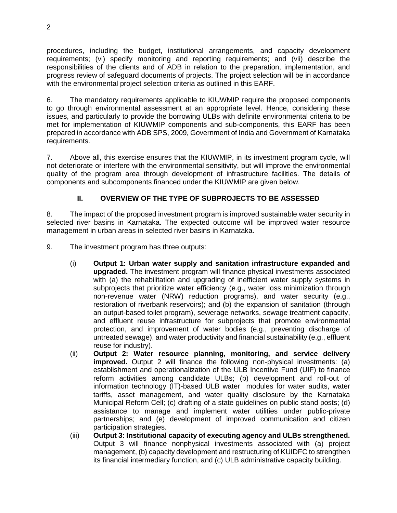procedures, including the budget, institutional arrangements, and capacity development requirements; (vi) specify monitoring and reporting requirements; and (vii) describe the responsibilities of the clients and of ADB in relation to the preparation, implementation, and progress review of safeguard documents of projects. The project selection will be in accordance with the environmental project selection criteria as outlined in this EARF.

6. The mandatory requirements applicable to KIUWMIP require the proposed components to go through environmental assessment at an appropriate level. Hence, considering these issues, and particularly to provide the borrowing ULBs with definite environmental criteria to be met for implementation of KIUWMIP components and sub-components, this EARF has been prepared in accordance with ADB SPS, 2009, Government of India and Government of Karnataka requirements.

7. Above all, this exercise ensures that the KIUWMIP, in its investment program cycle, will not deteriorate or interfere with the environmental sensitivity, but will improve the environmental quality of the program area through development of infrastructure facilities. The details of components and subcomponents financed under the KIUWMIP are given below.

# **II. OVERVIEW OF THE TYPE OF SUBPROJECTS TO BE ASSESSED**

<span id="page-7-0"></span>8. The impact of the proposed investment program is improved sustainable water security in selected river basins in Karnataka. The expected outcome will be improved water resource management in urban areas in selected river basins in Karnataka.

9. The investment program has three outputs:

- (i) **Output 1: Urban water supply and sanitation infrastructure expanded and upgraded.** The investment program will finance physical investments associated with (a) the rehabilitation and upgrading of inefficient water supply systems in subprojects that prioritize water efficiency (e.g., water loss minimization through non-revenue water (NRW) reduction programs), and water security (e.g., restoration of riverbank reservoirs); and (b) the expansion of sanitation (through an output-based toilet program), sewerage networks, sewage treatment capacity, and effluent reuse infrastructure for subprojects that promote environmental protection, and improvement of water bodies (e.g., preventing discharge of untreated sewage), and water productivity and financial sustainability (e.g., effluent reuse for industry).
- (ii) **Output 2: Water resource planning, monitoring, and service delivery improved.** Output 2 will finance the following non-physical investments: (a) establishment and operationalization of the ULB Incentive Fund (UIF) to finance reform activities among candidate ULBs; (b) development and roll-out of information technology (IT)-based ULB water modules for water audits, water tariffs, asset management, and water quality disclosure by the Karnataka Municipal Reform Cell; (c) drafting of a state guidelines on public stand posts; (d) assistance to manage and implement water utilities under public-private partnerships; and (e) development of improved communication and citizen participation strategies.
- (iii) **Output 3: Institutional capacity of executing agency and ULBs strengthened.** Output 3 will finance nonphysical investments associated with (a) project management, (b) capacity development and restructuring of KUIDFC to strengthen its financial intermediary function, and (c) ULB administrative capacity building.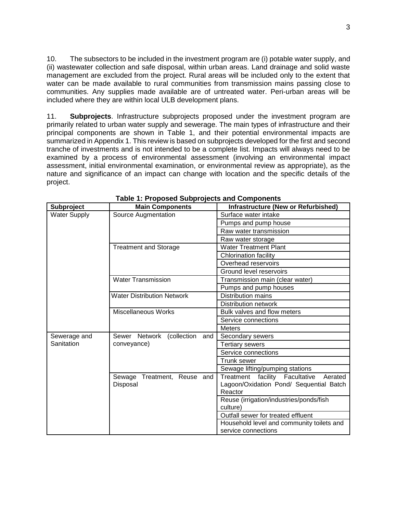10. The subsectors to be included in the investment program are (i) potable water supply, and (ii) wastewater collection and safe disposal, within urban areas. Land drainage and solid waste management are excluded from the project. Rural areas will be included only to the extent that water can be made available to rural communities from transmission mains passing close to communities. Any supplies made available are of untreated water. Peri-urban areas will be included where they are within local ULB development plans.

11. **Subprojects**. Infrastructure subprojects proposed under the investment program are primarily related to urban water supply and sewerage. The main types of infrastructure and their principal components are shown in Table 1, and their potential environmental impacts are summarized in Appendix 1. This review is based on subprojects developed for the first and second tranche of investments and is not intended to be a complete list. Impacts will always need to be examined by a process of environmental assessment (involving an environmental impact assessment, initial environmental examination, or environmental review as appropriate), as the nature and significance of an impact can change with location and the specific details of the project.

| Subproject          | <b>Main Components</b>            | <b>Infrastructure (New or Refurbished)</b>   |  |  |
|---------------------|-----------------------------------|----------------------------------------------|--|--|
| <b>Water Supply</b> | Source Augmentation               | Surface water intake                         |  |  |
|                     |                                   | Pumps and pump house                         |  |  |
|                     |                                   | Raw water transmission                       |  |  |
|                     |                                   | Raw water storage                            |  |  |
|                     | <b>Treatment and Storage</b>      | <b>Water Treatment Plant</b>                 |  |  |
|                     |                                   | Chlorination facility                        |  |  |
|                     |                                   | Overhead reservoirs                          |  |  |
|                     |                                   | Ground level reservoirs                      |  |  |
|                     | <b>Water Transmission</b>         | Transmission main (clear water)              |  |  |
|                     |                                   | Pumps and pump houses                        |  |  |
|                     | <b>Water Distribution Network</b> | <b>Distribution mains</b>                    |  |  |
|                     |                                   | <b>Distribution network</b>                  |  |  |
|                     | <b>Miscellaneous Works</b>        | Bulk valves and flow meters                  |  |  |
|                     |                                   | Service connections                          |  |  |
|                     |                                   | <b>Meters</b>                                |  |  |
| Sewerage and        | Sewer Network<br>(collection and  | Secondary sewers                             |  |  |
| Sanitation          | conveyance)                       | <b>Tertiary sewers</b>                       |  |  |
|                     |                                   | Service connections                          |  |  |
|                     |                                   | Trunk sewer                                  |  |  |
|                     |                                   | Sewage lifting/pumping stations              |  |  |
|                     | Treatment, Reuse and<br>Sewage    | facility Facultative<br>Treatment<br>Aerated |  |  |
|                     | Disposal                          | Lagoon/Oxidation Pond/ Sequential Batch      |  |  |
|                     |                                   | Reactor                                      |  |  |
|                     |                                   | Reuse (irrigation/industries/ponds/fish      |  |  |
|                     |                                   | culture)                                     |  |  |
|                     |                                   | Outfall sewer for treated effluent           |  |  |
|                     |                                   | Household level and community toilets and    |  |  |
|                     |                                   | service connections                          |  |  |

**Table 1: Proposed Subprojects and Components**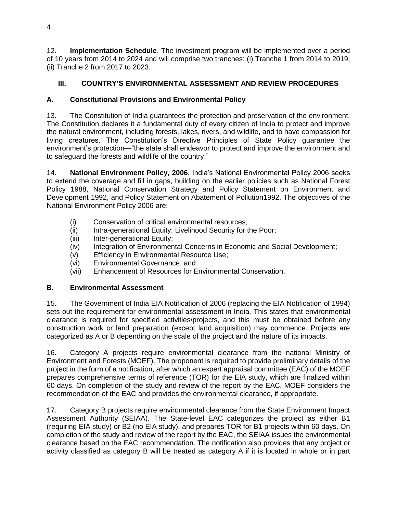12. **Implementation Schedule**. The investment program will be implemented over a period of 10 years from 2014 to 2024 and will comprise two tranches: (i) Tranche 1 from 2014 to 2019; (ii) Tranche 2 from 2017 to 2023.

# <span id="page-9-0"></span>**III. COUNTRY'S ENVIRONMENTAL ASSESSMENT AND REVIEW PROCEDURES**

# <span id="page-9-1"></span>**A. Constitutional Provisions and Environmental Policy**

13. The Constitution of India guarantees the protection and preservation of the environment. The Constitution declares it a fundamental duty of every citizen of India to protect and improve the natural environment, including forests, lakes, rivers, and wildlife, and to have compassion for living creatures. The Constitution's Directive Principles of State Policy guarantee the environment's protection—"the state shall endeavor to protect and improve the environment and to safeguard the forests and wildlife of the country."

14. **National Environment Policy, 2006**. India's National Environmental Policy 2006 seeks to extend the coverage and fill in gaps, building on the earlier policies such as National Forest Policy 1988, National Conservation Strategy and Policy Statement on Environment and Development 1992, and Policy Statement on Abatement of Pollution1992. The objectives of the National Environment Policy 2006 are:

- (i) Conservation of critical environmental resources;
- (ii) Intra-generational Equity: Livelihood Security for the Poor;
- (iii) Inter-generational Equity;
- (iv) Integration of Environmental Concerns in Economic and Social Development;
- (v) Efficiency in Environmental Resource Use;
- (vi) Environmental Governance; and
- (vii) Enhancement of Resources for Environmental Conservation.

# <span id="page-9-2"></span>**B. Environmental Assessment**

15. The Government of India EIA Notification of 2006 (replacing the EIA Notification of 1994) sets out the requirement for environmental assessment in India. This states that environmental clearance is required for specified activities/projects, and this must be obtained before any construction work or land preparation (except land acquisition) may commence. Projects are categorized as A or B depending on the scale of the project and the nature of its impacts.

16. Category A projects require environmental clearance from the national Ministry of Environment and Forests (MOEF). The proponent is required to provide preliminary details of the project in the form of a notification, after which an expert appraisal committee (EAC) of the MOEF prepares comprehensive terms of reference (TOR) for the EIA study, which are finalized within 60 days. On completion of the study and review of the report by the EAC, MOEF considers the recommendation of the EAC and provides the environmental clearance, if appropriate.

17. Category B projects require environmental clearance from the State Environment Impact Assessment Authority (SEIAA). The State-level EAC categorizes the project as either B1 (requiring EIA study) or B2 (no EIA study), and prepares TOR for B1 projects within 60 days. On completion of the study and review of the report by the EAC, the SEIAA issues the environmental clearance based on the EAC recommendation. The notification also provides that any project or activity classified as category B will be treated as category A if it is located in whole or in part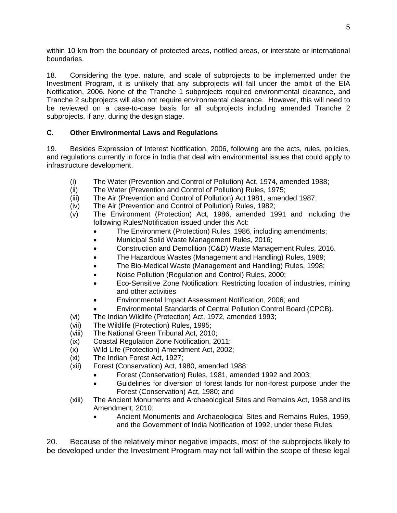within 10 km from the boundary of protected areas, notified areas, or interstate or international boundaries.

18. Considering the type, nature, and scale of subprojects to be implemented under the Investment Program, it is unlikely that any subprojects will fall under the ambit of the EIA Notification, 2006. None of the Tranche 1 subprojects required environmental clearance, and Tranche 2 subprojects will also not require environmental clearance. However, this will need to be reviewed on a case-to-case basis for all subprojects including amended Tranche 2 subprojects, if any, during the design stage.

## <span id="page-10-0"></span>**C. Other Environmental Laws and Regulations**

19. Besides Expression of Interest Notification, 2006, following are the acts, rules, policies, and regulations currently in force in India that deal with environmental issues that could apply to infrastructure development.

- (i) The Water (Prevention and Control of Pollution) Act, 1974, amended 1988;
- (ii) The Water (Prevention and Control of Pollution) Rules, 1975;
- (iii) The Air (Prevention and Control of Pollution) Act 1981, amended 1987;
- (iv) The Air (Prevention and Control of Pollution) Rules, 1982;
- (v) The Environment (Protection) Act, 1986, amended 1991 and including the following Rules/Notification issued under this Act:
	- The Environment (Protection) Rules, 1986, including amendments;
	- Municipal Solid Waste Management Rules, 2016;
	- Construction and Demolition (C&D) Waste Management Rules, 2016.
	- The Hazardous Wastes (Management and Handling) Rules, 1989;
	- The Bio-Medical Waste (Management and Handling) Rules, 1998;
	- Noise Pollution (Regulation and Control) Rules, 2000;
	- Eco-Sensitive Zone Notification: Restricting location of industries, mining and other activities
	- Environmental Impact Assessment Notification, 2006; and
	- Environmental Standards of Central Pollution Control Board (CPCB).
- (vi) The Indian Wildlife (Protection) Act, 1972, amended 1993;
- (vii) The Wildlife (Protection) Rules, 1995;
- (viii) The National Green Tribunal Act, 2010;
- (ix) Coastal Regulation Zone Notification, 2011;
- (x) Wild Life (Protection) Amendment Act, 2002;
- (xi) The Indian Forest Act, 1927;
- (xii) Forest (Conservation) Act, 1980, amended 1988:
	- Forest (Conservation) Rules, 1981, amended 1992 and 2003;
	- Guidelines for diversion of forest lands for non-forest purpose under the Forest (Conservation) Act, 1980; and
- (xiii) The Ancient Monuments and Archaeological Sites and Remains Act, 1958 and its Amendment, 2010:
	- Ancient Monuments and Archaeological Sites and Remains Rules, 1959, and the Government of India Notification of 1992, under these Rules.

20. Because of the relatively minor negative impacts, most of the subprojects likely to be developed under the Investment Program may not fall within the scope of these legal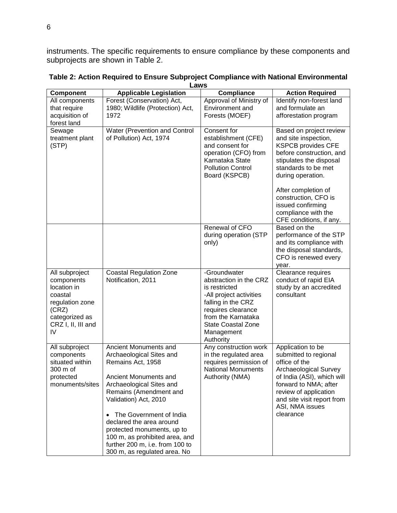instruments. The specific requirements to ensure compliance by these components and subprojects are shown in Table 2.

| <b>Component</b>                                                                                                                 | <b>Applicable Legislation</b>                                                                                                                                                                                                                                                                                                                                                         | <b>Compliance</b>                                                                                                                                                                                            | <b>Action Required</b>                                                                                                                                                                                                                                                                                |
|----------------------------------------------------------------------------------------------------------------------------------|---------------------------------------------------------------------------------------------------------------------------------------------------------------------------------------------------------------------------------------------------------------------------------------------------------------------------------------------------------------------------------------|--------------------------------------------------------------------------------------------------------------------------------------------------------------------------------------------------------------|-------------------------------------------------------------------------------------------------------------------------------------------------------------------------------------------------------------------------------------------------------------------------------------------------------|
| All components<br>that require<br>acquisition of<br>forest land                                                                  | Forest (Conservation) Act,<br>1980; Wildlife (Protection) Act,<br>1972                                                                                                                                                                                                                                                                                                                | Approval of Ministry of<br>Environment and<br>Forests (MOEF)                                                                                                                                                 | Identify non-forest land<br>and formulate an<br>afforestation program                                                                                                                                                                                                                                 |
| Sewage<br>treatment plant<br>(STP)                                                                                               | Water (Prevention and Control<br>of Pollution) Act, 1974                                                                                                                                                                                                                                                                                                                              | Consent for<br>establishment (CFE)<br>and consent for<br>operation (CFO) from<br>Karnataka State<br><b>Pollution Control</b><br>Board (KSPCB)                                                                | Based on project review<br>and site inspection,<br><b>KSPCB provides CFE</b><br>before construction, and<br>stipulates the disposal<br>standards to be met<br>during operation.<br>After completion of<br>construction, CFO is<br>issued confirming<br>compliance with the<br>CFE conditions, if any. |
|                                                                                                                                  |                                                                                                                                                                                                                                                                                                                                                                                       | Renewal of CFO<br>during operation (STP<br>only)                                                                                                                                                             | Based on the<br>performance of the STP<br>and its compliance with<br>the disposal standards,<br>CFO is renewed every<br>year.                                                                                                                                                                         |
| All subproject<br>components<br>location in<br>coastal<br>regulation zone<br>(CRZ)<br>categorized as<br>CRZ I, II, III and<br>IV | <b>Coastal Regulation Zone</b><br>Notification, 2011                                                                                                                                                                                                                                                                                                                                  | -Groundwater<br>abstraction in the CRZ<br>is restricted<br>-All project activities<br>falling in the CRZ<br>requires clearance<br>from the Karnataka<br><b>State Coastal Zone</b><br>Management<br>Authority | Clearance requires<br>conduct of rapid EIA<br>study by an accredited<br>consultant                                                                                                                                                                                                                    |
| All subproject<br>components<br>situated within<br>300 m of<br>protected<br>monuments/sites                                      | Ancient Monuments and<br>Archaeological Sites and<br>Remains Act, 1958<br>Ancient Monuments and<br>Archaeological Sites and<br>Remains (Amendment and<br>Validation) Act, 2010<br>The Government of India<br>$\bullet$<br>declared the area around<br>protected monuments, up to<br>100 m, as prohibited area, and<br>further 200 m, i.e. from 100 to<br>300 m, as regulated area. No | Any construction work<br>in the regulated area<br>requires permission of<br><b>National Monuments</b><br>Authority (NMA)                                                                                     | Application to be<br>submitted to regional<br>office of the<br>Archaeological Survey<br>of India (ASI), which will<br>forward to NMA; after<br>review of application<br>and site visit report from<br>ASI, NMA issues<br>clearance                                                                    |

**Table 2: Action Required to Ensure Subproject Compliance with National Environmental Laws**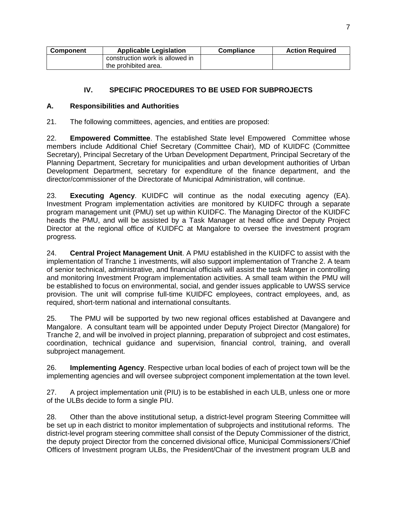| <b>Component</b> | <b>Applicable Legislation</b>   | <b>Compliance</b> | <b>Action Required</b> |
|------------------|---------------------------------|-------------------|------------------------|
|                  | construction work is allowed in |                   |                        |
|                  | the prohibited area.            |                   |                        |

## <span id="page-12-0"></span>**IV. SPECIFIC PROCEDURES TO BE USED FOR SUBPROJECTS**

## <span id="page-12-1"></span>**A. Responsibilities and Authorities**

21. The following committees, agencies, and entities are proposed:

22. **Empowered Committee**. The established State level Empowered Committee whose members include Additional Chief Secretary (Committee Chair), MD of KUIDFC (Committee Secretary), Principal Secretary of the Urban Development Department, Principal Secretary of the Planning Department, Secretary for municipalities and urban development authorities of Urban Development Department, secretary for expenditure of the finance department, and the director/commissioner of the Directorate of Municipal Administration, will continue.

23. **Executing Agency**. KUIDFC will continue as the nodal executing agency (EA). Investment Program implementation activities are monitored by KUIDFC through a separate program management unit (PMU) set up within KUIDFC. The Managing Director of the KUIDFC heads the PMU, and will be assisted by a Task Manager at head office and Deputy Project Director at the regional office of KUIDFC at Mangalore to oversee the investment program progress.

24. **Central Project Management Unit**. A PMU established in the KUIDFC to assist with the implementation of Tranche 1 investments, will also support implementation of Tranche 2. A team of senior technical, administrative, and financial officials will assist the task Manger in controlling and monitoring Investment Program implementation activities. A small team within the PMU will be established to focus on environmental, social, and gender issues applicable to UWSS service provision. The unit will comprise full-time KUIDFC employees, contract employees, and, as required, short-term national and international consultants.

25. The PMU will be supported by two new regional offices established at Davangere and Mangalore. A consultant team will be appointed under Deputy Project Director (Mangalore) for Tranche 2, and will be involved in project planning, preparation of subproject and cost estimates, coordination, technical guidance and supervision, financial control, training, and overall subproject management.

26. **Implementing Agency**. Respective urban local bodies of each of project town will be the implementing agencies and will oversee subproject component implementation at the town level.

27. A project implementation unit (PIU) is to be established in each ULB, unless one or more of the ULBs decide to form a single PIU.

28. Other than the above institutional setup, a district-level program Steering Committee will be set up in each district to monitor implementation of subprojects and institutional reforms. The district-level program steering committee shall consist of the Deputy Commissioner of the district, the deputy project Director from the concerned divisional office, Municipal Commissioners'/Chief Officers of Investment program ULBs, the President/Chair of the investment program ULB and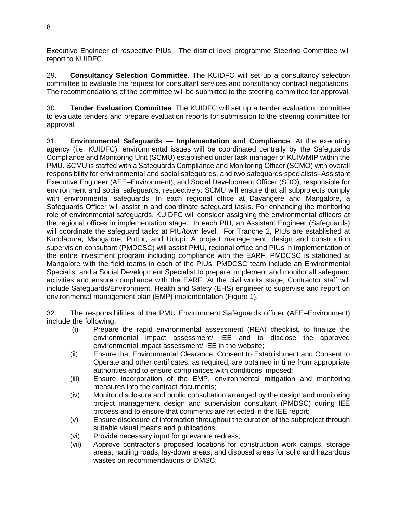Executive Engineer of respective PIUs. The district level programme Steering Committee will report to KUIDFC.

29. **Consultancy Selection Committee**. The KUIDFC will set up a consultancy selection committee to evaluate the request for consultant services and consultancy contract negotiations. The recommendations of the committee will be submitted to the steering committee for approval.

30. **Tender Evaluation Committee**. The KUIDFC will set up a tender evaluation committee to evaluate tenders and prepare evaluation reports for submission to the steering committee for approval.

31. **Environmental Safeguards — Implementation and Compliance**. At the executing agency (i.e. KUIDFC), environmental issues will be coordinated centrally by the Safeguards Compliance and Monitoring Unit (SCMU) established under task manager of KUIWMIP within the PMU. SCMU is staffed with a Safeguards Compliance and Monitoring Officer (SCMO) with overall responsibility for environmental and social safeguards, and two safeguards specialists–Assistant Executive Engineer (AEE–Environment), and Social Development Officer (SDO), responsible for environment and social safeguards, respectively. SCMU will ensure that all subprojects comply with environmental safeguards. In each regional office at Davangere and Mangalore, a Safeguards Officer will assist in and coordinate safeguard tasks. For enhancing the monitoring role of environmental safeguards, KUIDFC will consider assigning the environmental officers at the regional offices in implementation stage. In each PIU, an Assistant Engineer (Safeguards) will coordinate the safeguard tasks at PIU/town level. For Tranche 2, PIUs are established at Kundapura, Mangalore, Puttur, and Udupi. A project management, design and construction supervision consultant (PMDCSC) will assist PMU, regional office and PIUs in implementation of the entire investment program including compliance with the EARF. PMDCSC is stationed at Mangalore with the field teams in each of the PIUs. PMDCSC team include an Environmental Specialist and a Social Development Specialist to prepare, implement and monitor all safeguard activities and ensure compliance with the EARF. At the civil works stage, Contractor staff will include Safeguards/Environment, Health and Safety (EHS) engineer to supervise and report on environmental management plan (EMP) implementation (Figure 1).

32. The responsibilities of the PMU Environment Safeguards officer (AEE–Environment) include the following:

- (i) Prepare the rapid environmental assessment (REA) checklist, to finalize the environmental impact assessment/ IEE and to disclose the approved environmental impact assessment/ IEE in the website;
- (ii) Ensure that Environmental Clearance, Consent to Establishment and Consent to Operate and other certificates, as required, are obtained in time from appropriate authorities and to ensure compliances with conditions imposed;
- (iii) Ensure incorporation of the EMP, environmental mitigation and monitoring measures into the contract documents;
- (iv) Monitor disclosure and public consultation arranged by the design and monitoring project management design and supervision consultant (PMDSC) during IEE process and to ensure that comments are reflected in the IEE report;
- (v) Ensure disclosure of information throughout the duration of the subproject through suitable visual means and publications;
- (vi) Provide necessary input for grievance redress;
- (vii) Approve contractor's proposed locations for construction work camps, storage areas, hauling roads, lay-down areas, and disposal areas for solid and hazardous wastes on recommendations of DMSC;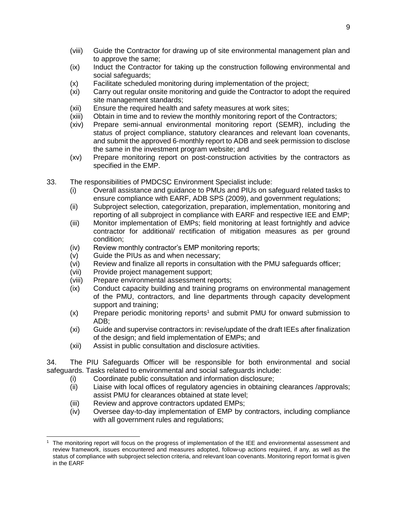- (viii) Guide the Contractor for drawing up of site environmental management plan and to approve the same;
- (ix) Induct the Contractor for taking up the construction following environmental and social safeguards;
- (x) Facilitate scheduled monitoring during implementation of the project;
- (xi) Carry out regular onsite monitoring and guide the Contractor to adopt the required site management standards;
- (xii) Ensure the required health and safety measures at work sites;
- (xiii) Obtain in time and to review the monthly monitoring report of the Contractors;
- (xiv) Prepare semi-annual environmental monitoring report (SEMR), including the status of project compliance, statutory clearances and relevant loan covenants, and submit the approved 6-monthly report to ADB and seek permission to disclose the same in the investment program website; and
- (xv) Prepare monitoring report on post-construction activities by the contractors as specified in the EMP.
- 33. The responsibilities of PMDCSC Environment Specialist include:
	- (i) Overall assistance and guidance to PMUs and PIUs on safeguard related tasks to ensure compliance with EARF, ADB SPS (2009), and government regulations;
	- (ii) Subproject selection, categorization, preparation, implementation, monitoring and reporting of all subproject in compliance with EARF and respective IEE and EMP;
	- (iii) Monitor implementation of EMPs; field monitoring at least fortnightly and advice contractor for additional/ rectification of mitigation measures as per ground condition;
	- (iv) Review monthly contractor's EMP monitoring reports;
	- (v) Guide the PIUs as and when necessary;
	- (vi) Review and finalize all reports in consultation with the PMU safeguards officer;
	- (vii) Provide project management support;
	- (viii) Prepare environmental assessment reports;
	- (ix) Conduct capacity building and training programs on environmental management of the PMU, contractors, and line departments through capacity development support and training;
	- (x) Prepare periodic monitoring reports<sup>1</sup> and submit PMU for onward submission to ADB;
	- (xi) Guide and supervise contractors in: revise/update of the draft IEEs after finalization of the design; and field implementation of EMPs; and
	- (xii) Assist in public consultation and disclosure activities.

34. The PIU Safeguards Officer will be responsible for both environmental and social safeguards. Tasks related to environmental and social safeguards include:

- (i) Coordinate public consultation and information disclosure;
- (ii) Liaise with local offices of regulatory agencies in obtaining clearances /approvals; assist PMU for clearances obtained at state level;
- (iii) Review and approve contractors updated EMPs;
- (iv) Oversee day-to-day implementation of EMP by contractors, including compliance with all government rules and regulations;

 $\overline{a}$ <sup>1</sup> The monitoring report will focus on the progress of implementation of the IEE and environmental assessment and review framework, issues encountered and measures adopted, follow-up actions required, if any, as well as the status of compliance with subproject selection criteria, and relevant loan covenants. Monitoring report format is given in the EARF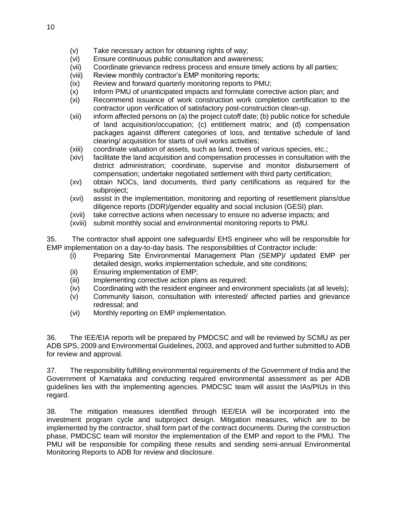- (v) Take necessary action for obtaining rights of way;
- (vi) Ensure continuous public consultation and awareness;
- (vii) Coordinate grievance redress process and ensure timely actions by all parties;
- (viii) Review monthly contractor's EMP monitoring reports;
- (ix) Review and forward quarterly monitoring reports to PMU;
- (x) Inform PMU of unanticipated impacts and formulate corrective action plan; and
- (xi) Recommend issuance of work construction work completion certification to the contractor upon verification of satisfactory post-construction clean-up.
- (xii) inform affected persons on (a) the project cutoff date; (b) public notice for schedule of land acquisition/occupation; (c) entitlement matrix; and (d) compensation packages against different categories of loss, and tentative schedule of land clearing/ acquisition for starts of civil works activities;
- (xiii) coordinate valuation of assets, such as land, trees of various species, etc.;
- (xiv) facilitate the land acquisition and compensation processes in consultation with the district administration; coordinate, supervise and monitor disbursement of compensation; undertake negotiated settlement with third party certification;
- (xv) obtain NOCs, land documents, third party certifications as required for the subproject;
- (xvi) assist in the implementation, monitoring and reporting of resettlement plans/due diligence reports (DDR)/gender equality and social inclusion (GESI) plan.
- (xvii) take corrective actions when necessary to ensure no adverse impacts; and
- (xviii) submit monthly social and environmental monitoring reports to PMU.

35. The contractor shall appoint one safeguards/ EHS engineer who will be responsible for EMP implementation on a day-to-day basis. The responsibilities of Contractor include:

- (i) Preparing Site Environmental Management Plan (SEMP)/ updated EMP per detailed design, works implementation schedule, and site conditions;
- (ii) Ensuring implementation of EMP;
- (iii) Implementing corrective action plans as required;
- (iv) Coordinating with the resident engineer and environment specialists (at all levels);
- (v) Community liaison, consultation with interested/ affected parties and grievance redressal; and
- (vi) Monthly reporting on EMP implementation.

36. The IEE/EIA reports will be prepared by PMDCSC and will be reviewed by SCMU as per ADB SPS, 2009 and Environmental Guidelines, 2003, and approved and further submitted to ADB for review and approval.

37. The responsibility fulfilling environmental requirements of the Government of India and the Government of Karnataka and conducting required environmental assessment as per ADB guidelines lies with the implementing agencies. PMDCSC team will assist the IAs/PIUs in this regard.

38. The mitigation measures identified through IEE/EIA will be incorporated into the investment program cycle and subproject design. Mitigation measures, which are to be implemented by the contractor, shall form part of the contract documents. During the construction phase, PMDCSC team will monitor the implementation of the EMP and report to the PMU. The PMU will be responsible for compiling these results and sending semi-annual Environmental Monitoring Reports to ADB for review and disclosure.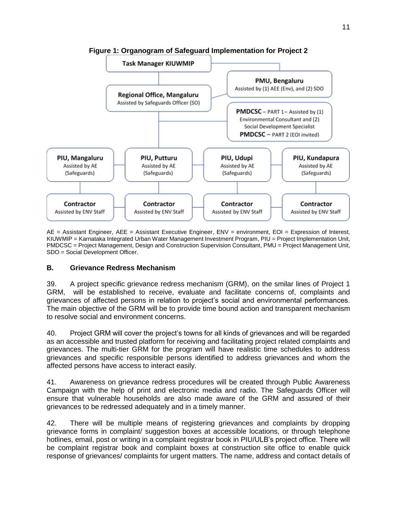

**Figure 1: Organogram of Safeguard Implementation for Project 2**

AE = Assistant Engineer, AEE = Assistant Executive Engineer, ENV = environment, EOI = Expression of Interest, KIUWMIP = Karnataka Integrated Urban Water Management Investment Program, PIU = Project Implementation Unit, PMDCSC = Project Management, Design and Construction Supervision Consultant, PMU = Project Management Unit, SDO = Social Development Officer.

#### <span id="page-16-0"></span>**B. Grievance Redress Mechanism**

39. A project specific grievance redress mechanism (GRM), on the smilar lines of Project 1 GRM, will be established to receive, evaluate and facilitate concerns of, complaints and grievances of affected persons in relation to project's social and environmental performances. The main objective of the GRM will be to provide time bound action and transparent mechanism to resolve social and environment concerns.

40. Project GRM will cover the project's towns for all kinds of grievances and will be regarded as an accessible and trusted platform for receiving and facilitating project related complaints and grievances. The multi-tier GRM for the program will have realistic time schedules to address grievances and specific responsible persons identified to address grievances and whom the affected persons have access to interact easily.

41. Awareness on grievance redress procedures will be created through Public Awareness Campaign with the help of print and electronic media and radio. The Safeguards Officer will ensure that vulnerable households are also made aware of the GRM and assured of their grievances to be redressed adequately and in a timely manner.

42. There will be multiple means of registering grievances and complaints by dropping grievance forms in complaint/ suggestion boxes at accessible locations, or through telephone hotlines, email, post or writing in a complaint registrar book in PIU/ULB's project office. There will be complaint registrar book and complaint boxes at construction site office to enable quick response of grievances/ complaints for urgent matters. The name, address and contact details of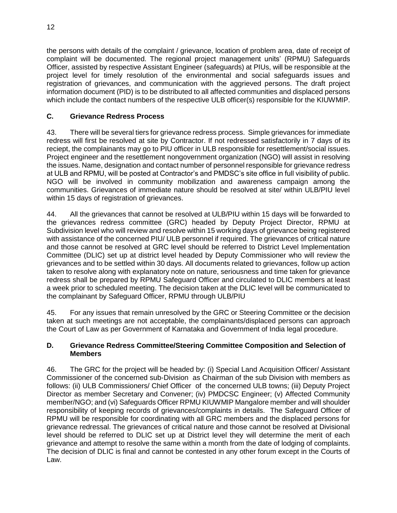the persons with details of the complaint / grievance, location of problem area, date of receipt of complaint will be documented. The regional project management units' (RPMU) Safeguards Officer, assisted by respective Assistant Engineer (safeguards) at PIUs, will be responsible at the project level for timely resolution of the environmental and social safeguards issues and registration of grievances, and communication with the aggrieved persons. The draft project information document (PID) is to be distributed to all affected communities and displaced persons which include the contact numbers of the respective ULB officer(s) responsible for the KIUWMIP.

## <span id="page-17-0"></span>**C. Grievance Redress Process**

43. There will be several tiers for grievance redress process. Simple grievances for immediate redress will first be resolved at site by Contractor. If not redressed satisfactorily in 7 days of its reciept, the complainants may go to PIU officer in ULB responsible for resettlement/social issues. Project engineer and the resettlement nongovernment organization (NGO) will assist in resolving the issues. Name, designation and contact number of personnel responsible for grievance redress at ULB and RPMU, will be posted at Contractor's and PMDSC's site office in full visibility of public. NGO will be involved in community mobilization and awareness campaign among the communities. Grievances of immediate nature should be resolved at site/ within ULB/PIU level within 15 days of registration of grievances.

44. All the grievances that cannot be resolved at ULB/PIU within 15 days will be forwarded to the grievances redress committee (GRC) headed by Deputy Project Director, RPMU at Subdivision level who will review and resolve within 15 working days of grievance being registered with assistance of the concerned PIU/ ULB personnel if required. The grievances of critical nature and those cannot be resolved at GRC level should be referred to District Level Implementation Committee (DLIC) set up at district level headed by Deputy Commissioner who will review the grievances and to be settled within 30 days. All documents related to grievances, follow up action taken to resolve along with explanatory note on nature, seriousness and time taken for grievance redress shall be prepared by RPMU Safeguard Officer and circulated to DLIC members at least a week prior to scheduled meeting. The decision taken at the DLIC level will be communicated to the complainant by Safeguard Officer, RPMU through ULB/PIU

45. For any issues that remain unresolved by the GRC or Steering Committee or the decision taken at such meetings are not acceptable, the complainants/displaced persons can approach the Court of Law as per Government of Karnataka and Government of India legal procedure.

## <span id="page-17-1"></span>**D. Grievance Redress Committee/Steering Committee Composition and Selection of Members**

46. The GRC for the project will be headed by: (i) Special Land Acquisition Officer/ Assistant Commissioner of the concerned sub-Division as Chairman of the sub Division with members as follows: (ii) ULB Commissioners/ Chief Officer of the concerned ULB towns; (iii) Deputy Project Director as member Secretary and Convener; (iv) PMDCSC Engineer; (v) Affected Community member/NGO; and (vi) Safeguards Officer RPMU KIUWMIP Mangalore member and will shoulder responsibility of keeping records of grievances/complaints in details. The Safeguard Officer of RPMU will be responsible for coordinating with all GRC members and the displaced persons for grievance redressal. The grievances of critical nature and those cannot be resolved at Divisional level should be referred to DLIC set up at District level they will determine the merit of each grievance and attempt to resolve the same within a month from the date of lodging of complaints. The decision of DLIC is final and cannot be contested in any other forum except in the Courts of Law.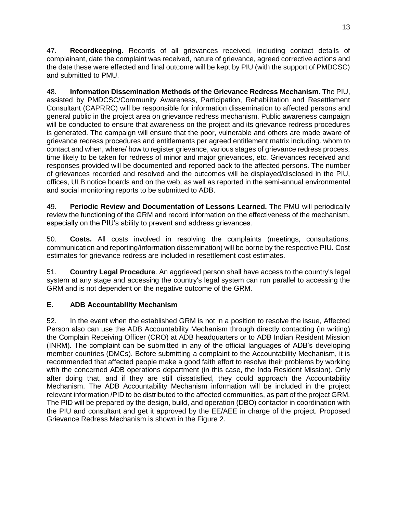47. **Recordkeeping**. Records of all grievances received, including contact details of complainant, date the complaint was received, nature of grievance, agreed corrective actions and the date these were effected and final outcome will be kept by PIU (with the support of PMDCSC) and submitted to PMU.

48. **Information Dissemination Methods of the Grievance Redress Mechanism**. The PIU, assisted by PMDCSC/Community Awareness, Participation, Rehabilitation and Resettlement Consultant (CAPRRC) will be responsible for information dissemination to affected persons and general public in the project area on grievance redress mechanism. Public awareness campaign will be conducted to ensure that awareness on the project and its grievance redress procedures is generated. The campaign will ensure that the poor, vulnerable and others are made aware of grievance redress procedures and entitlements per agreed entitlement matrix including. whom to contact and when, where/ how to register grievance, various stages of grievance redress process, time likely to be taken for redress of minor and major grievances, etc. Grievances received and responses provided will be documented and reported back to the affected persons. The number of grievances recorded and resolved and the outcomes will be displayed/disclosed in the PIU, offices, ULB notice boards and on the web, as well as reported in the semi-annual environmental and social monitoring reports to be submitted to ADB.

49. **Periodic Review and Documentation of Lessons Learned.** The PMU will periodically review the functioning of the GRM and record information on the effectiveness of the mechanism, especially on the PIU's ability to prevent and address grievances.

50. **Costs.** All costs involved in resolving the complaints (meetings, consultations, communication and reporting/information dissemination) will be borne by the respective PIU. Cost estimates for grievance redress are included in resettlement cost estimates.

51. **Country Legal Procedure**. An aggrieved person shall have access to the country's legal system at any stage and accessing the country's legal system can run parallel to accessing the GRM and is not dependent on the negative outcome of the GRM.

## <span id="page-18-0"></span>**E. ADB Accountability Mechanism**

52. In the event when the established GRM is not in a position to resolve the issue, Affected Person also can use the ADB Accountability Mechanism through directly contacting (in writing) the Complain Receiving Officer (CRO) at ADB headquarters or to ADB Indian Resident Mission (INRM). The complaint can be submitted in any of the official languages of ADB's developing member countries (DMCs). Before submitting a complaint to the Accountability Mechanism, it is recommended that affected people make a good faith effort to resolve their problems by working with the concerned ADB operations department (in this case, the Inda Resident Mission). Only after doing that, and if they are still dissatisfied, they could approach the Accountability Mechanism. The ADB Accountability Mechanism information will be included in the project relevant information /PID to be distributed to the affected communities, as part of the project GRM. The PID will be prepared by the design, build, and operation (DBO) contactor in coordination with the PIU and consultant and get it approved by the EE/AEE in charge of the project. Proposed Grievance Redress Mechanism is shown in the Figure 2.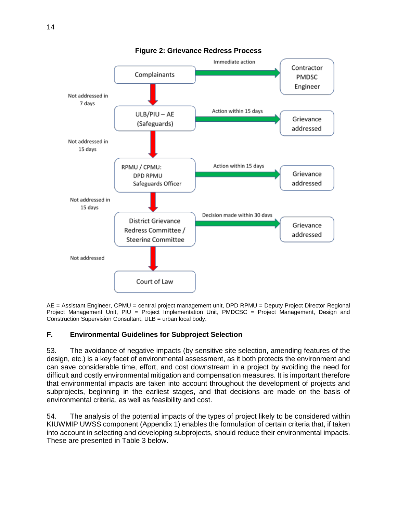

AE = Assistant Engineer, CPMU = central project management unit, DPD RPMU = Deputy Project Director Regional Project Management Unit, PIU = Project Implementation Unit, PMDCSC = Project Management, Design and Construction Supervision Consultant, ULB = urban local body.

## <span id="page-19-0"></span>**F. Environmental Guidelines for Subproject Selection**

53. The avoidance of negative impacts (by sensitive site selection, amending features of the design, etc.) is a key facet of environmental assessment, as it both protects the environment and can save considerable time, effort, and cost downstream in a project by avoiding the need for difficult and costly environmental mitigation and compensation measures. It is important therefore that environmental impacts are taken into account throughout the development of projects and subprojects, beginning in the earliest stages, and that decisions are made on the basis of environmental criteria, as well as feasibility and cost.

54. The analysis of the potential impacts of the types of project likely to be considered within KIUWMIP UWSS component (Appendix 1) enables the formulation of certain criteria that, if taken into account in selecting and developing subprojects, should reduce their environmental impacts. These are presented in Table 3 below.

**Figure 2: Grievance Redress Process**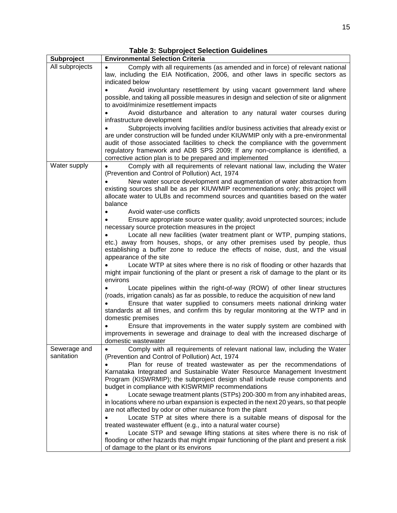| Subproject                 | <b>Environmental Selection Criteria</b>                                                                                                                                                                                                                                                                                                                                                                 |
|----------------------------|---------------------------------------------------------------------------------------------------------------------------------------------------------------------------------------------------------------------------------------------------------------------------------------------------------------------------------------------------------------------------------------------------------|
| All subprojects            | Comply with all requirements (as amended and in force) of relevant national<br>law, including the EIA Notification, 2006, and other laws in specific sectors as<br>indicated below                                                                                                                                                                                                                      |
|                            | Avoid involuntary resettlement by using vacant government land where<br>possible, and taking all possible measures in design and selection of site or alignment<br>to avoid/minimize resettlement impacts                                                                                                                                                                                               |
|                            | Avoid disturbance and alteration to any natural water courses during<br>infrastructure development                                                                                                                                                                                                                                                                                                      |
|                            | Subprojects involving facilities and/or business activities that already exist or<br>are under construction will be funded under KIUWMIP only with a pre-environmental<br>audit of those associated facilities to check the compliance with the government<br>regulatory framework and ADB SPS 2009; If any non-compliance is identified, a<br>corrective action plan is to be prepared and implemented |
| Water supply               | Comply with all requirements of relevant national law, including the Water<br>(Prevention and Control of Pollution) Act, 1974                                                                                                                                                                                                                                                                           |
|                            | New water source development and augmentation of water abstraction from<br>existing sources shall be as per KIUWMIP recommendations only; this project will<br>allocate water to ULBs and recommend sources and quantities based on the water<br>balance                                                                                                                                                |
|                            | Avoid water-use conflicts                                                                                                                                                                                                                                                                                                                                                                               |
|                            | Ensure appropriate source water quality; avoid unprotected sources; include                                                                                                                                                                                                                                                                                                                             |
|                            | necessary source protection measures in the project<br>Locate all new facilities (water treatment plant or WTP, pumping stations,                                                                                                                                                                                                                                                                       |
|                            | etc.) away from houses, shops, or any other premises used by people, thus<br>establishing a buffer zone to reduce the effects of noise, dust, and the visual<br>appearance of the site                                                                                                                                                                                                                  |
|                            | Locate WTP at sites where there is no risk of flooding or other hazards that<br>might impair functioning of the plant or present a risk of damage to the plant or its<br>environs                                                                                                                                                                                                                       |
|                            | Locate pipelines within the right-of-way (ROW) of other linear structures<br>(roads, irrigation canals) as far as possible, to reduce the acquisition of new land<br>Ensure that water supplied to consumers meets national drinking water                                                                                                                                                              |
|                            | standards at all times, and confirm this by regular monitoring at the WTP and in<br>domestic premises                                                                                                                                                                                                                                                                                                   |
|                            | Ensure that improvements in the water supply system are combined with<br>improvements in sewerage and drainage to deal with the increased discharge of<br>domestic wastewater                                                                                                                                                                                                                           |
| Sewerage and<br>sanitation | Comply with all requirements of relevant national law, including the Water<br>(Prevention and Control of Pollution) Act, 1974                                                                                                                                                                                                                                                                           |
|                            | Plan for reuse of treated wastewater as per the recommendations of<br>Karnataka Integrated and Sustainable Water Resource Management Investment<br>Program (KISWRMIP); the subproject design shall include reuse components and<br>budget in compliance with KISWRMIP recommendations                                                                                                                   |
|                            | Locate sewage treatment plants (STPs) 200-300 m from any inhabited areas,<br>in locations where no urban expansion is expected in the next 20 years, so that people<br>are not affected by odor or other nuisance from the plant                                                                                                                                                                        |
|                            | Locate STP at sites where there is a suitable means of disposal for the                                                                                                                                                                                                                                                                                                                                 |
|                            | treated wastewater effluent (e.g., into a natural water course)<br>Locate STP and sewage lifting stations at sites where there is no risk of                                                                                                                                                                                                                                                            |
|                            | flooding or other hazards that might impair functioning of the plant and present a risk<br>of damage to the plant or its environs                                                                                                                                                                                                                                                                       |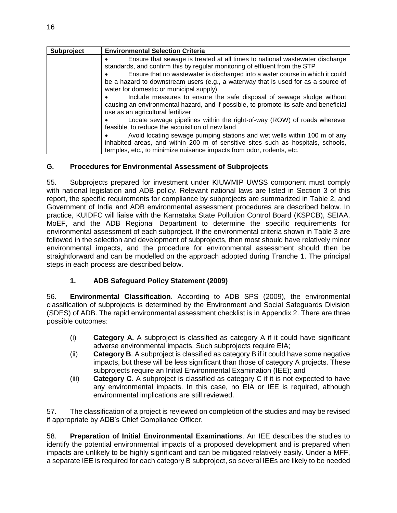| Subproject | <b>Environmental Selection Criteria</b>                                                                                                                                                                                                                                                                                                                                    |
|------------|----------------------------------------------------------------------------------------------------------------------------------------------------------------------------------------------------------------------------------------------------------------------------------------------------------------------------------------------------------------------------|
|            | Ensure that sewage is treated at all times to national wastewater discharge<br>standards, and confirm this by regular monitoring of effluent from the STP<br>Ensure that no wastewater is discharged into a water course in which it could<br>be a hazard to downstream users (e.g., a waterway that is used for as a source of<br>water for domestic or municipal supply) |
|            | Include measures to ensure the safe disposal of sewage sludge without<br>causing an environmental hazard, and if possible, to promote its safe and beneficial<br>use as an agricultural fertilizer                                                                                                                                                                         |
|            | Locate sewage pipelines within the right-of-way (ROW) of roads wherever<br>feasible, to reduce the acquisition of new land                                                                                                                                                                                                                                                 |
|            | Avoid locating sewage pumping stations and wet wells within 100 m of any                                                                                                                                                                                                                                                                                                   |
|            | inhabited areas, and within 200 m of sensitive sites such as hospitals, schools,                                                                                                                                                                                                                                                                                           |
|            | temples, etc., to minimize nuisance impacts from odor, rodents, etc.                                                                                                                                                                                                                                                                                                       |

## <span id="page-21-0"></span>**G. Procedures for Environmental Assessment of Subprojects**

55. Subprojects prepared for investment under KIUWMIP UWSS component must comply with national legislation and ADB policy. Relevant national laws are listed in Section 3 of this report, the specific requirements for compliance by subprojects are summarized in Table 2, and Government of India and ADB environmental assessment procedures are described below. In practice, KUIDFC will liaise with the Karnataka State Pollution Control Board (KSPCB), SEIAA, MoEF, and the ADB Regional Department to determine the specific requirements for environmental assessment of each subproject. If the environmental criteria shown in Table 3 are followed in the selection and development of subprojects, then most should have relatively minor environmental impacts, and the procedure for environmental assessment should then be straightforward and can be modelled on the approach adopted during Tranche 1. The principal steps in each process are described below.

## **1. ADB Safeguard Policy Statement (2009)**

56. **Environmental Classification**. According to ADB SPS (2009), the environmental classification of subprojects is determined by the Environment and Social Safeguards Division (SDES) of ADB. The rapid environmental assessment checklist is in Appendix 2. There are three possible outcomes:

- (i) **Category A.** A subproject is classified as category A if it could have significant adverse environmental impacts. Such subprojects require EIA;
- (ii) **Category B**. A subproject is classified as category B if it could have some negative impacts, but these will be less significant than those of category A projects. These subprojects require an Initial Environmental Examination (IEE); and
- (iii) **Category C.** A subproject is classified as category C if it is not expected to have any environmental impacts. In this case, no EIA or IEE is required, although environmental implications are still reviewed.

57. The classification of a project is reviewed on completion of the studies and may be revised if appropriate by ADB's Chief Compliance Officer.

58. **Preparation of Initial Environmental Examinations**. An IEE describes the studies to identify the potential environmental impacts of a proposed development and is prepared when impacts are unlikely to be highly significant and can be mitigated relatively easily. Under a MFF, a separate IEE is required for each category B subproject, so several IEEs are likely to be needed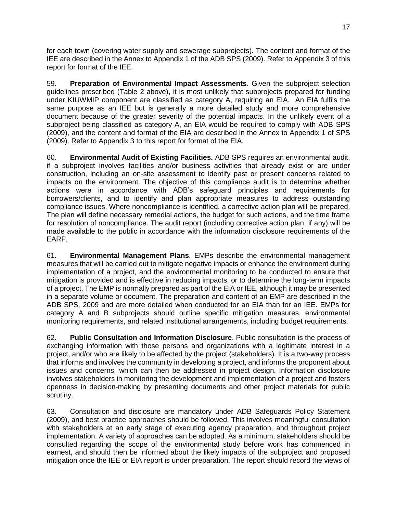for each town (covering water supply and sewerage subprojects). The content and format of the IEE are described in the Annex to Appendix 1 of the ADB SPS (2009). Refer to Appendix 3 of this report for format of the IEE.

59. **Preparation of Environmental Impact Assessments**. Given the subproject selection guidelines prescribed (Table 2 above), it is most unlikely that subprojects prepared for funding under KIUWMIP component are classified as category A, requiring an EIA. An EIA fulfils the same purpose as an IEE but is generally a more detailed study and more comprehensive document because of the greater severity of the potential impacts. In the unlikely event of a subproject being classified as category A, an EIA would be required to comply with ADB SPS (2009), and the content and format of the EIA are described in the Annex to Appendix 1 of SPS (2009). Refer to Appendix 3 to this report for format of the EIA.

60. **Environmental Audit of Existing Facilities.** ADB SPS requires an environmental audit, if a subproject involves facilities and/or business activities that already exist or are under construction, including an on-site assessment to identify past or present concerns related to impacts on the environment. The objective of this compliance audit is to determine whether actions were in accordance with ADB's safeguard principles and requirements for borrowers/clients, and to identify and plan appropriate measures to address outstanding compliance issues. Where noncompliance is identified, a corrective action plan will be prepared. The plan will define necessary remedial actions, the budget for such actions, and the time frame for resolution of noncompliance. The audit report (including corrective action plan, if any) will be made available to the public in accordance with the information disclosure requirements of the EARF.

61. **Environmental Management Plans**. EMPs describe the environmental management measures that will be carried out to mitigate negative impacts or enhance the environment during implementation of a project, and the environmental monitoring to be conducted to ensure that mitigation is provided and is effective in reducing impacts, or to determine the long-term impacts of a project. The EMP is normally prepared as part of the EIA or IEE, although it may be presented in a separate volume or document. The preparation and content of an EMP are described in the ADB SPS, 2009 and are more detailed when conducted for an EIA than for an IEE. EMPs for category A and B subprojects should outline specific mitigation measures, environmental monitoring requirements, and related institutional arrangements, including budget requirements.

62. **Public Consultation and Information Disclosure**. Public consultation is the process of exchanging information with those persons and organizations with a legitimate interest in a project, and/or who are likely to be affected by the project (stakeholders). It is a two-way process that informs and involves the community in developing a project, and informs the proponent about issues and concerns, which can then be addressed in project design. Information disclosure involves stakeholders in monitoring the development and implementation of a project and fosters openness in decision-making by presenting documents and other project materials for public scrutiny.

63. Consultation and disclosure are mandatory under ADB Safeguards Policy Statement (2009), and best practice approaches should be followed. This involves meaningful consultation with stakeholders at an early stage of executing agency preparation, and throughout project implementation. A variety of approaches can be adopted. As a minimum, stakeholders should be consulted regarding the scope of the environmental study before work has commenced in earnest, and should then be informed about the likely impacts of the subproject and proposed mitigation once the IEE or EIA report is under preparation. The report should record the views of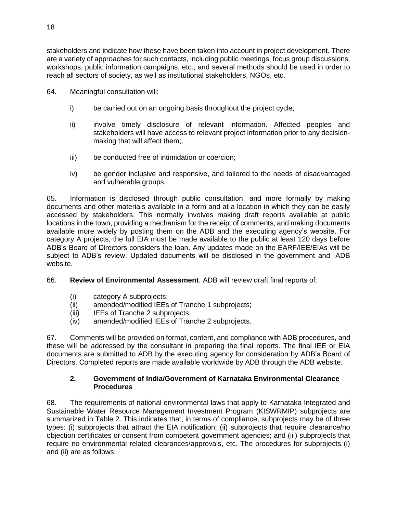stakeholders and indicate how these have been taken into account in project development. There are a variety of approaches for such contacts, including public meetings, focus group discussions, workshops, public information campaigns, etc., and several methods should be used in order to reach all sectors of society, as well as institutional stakeholders, NGOs, etc.

- 64. Meaningful consultation will:
	- i) be carried out on an ongoing basis throughout the project cycle;
	- ii) involve timely disclosure of relevant information. Affected peoples and stakeholders will have access to relevant project information prior to any decisionmaking that will affect them;.
	- iii) be conducted free of intimidation or coercion;
	- iv) be gender inclusive and responsive, and tailored to the needs of disadvantaged and vulnerable groups.

65. Information is disclosed through public consultation, and more formally by making documents and other materials available in a form and at a location in which they can be easily accessed by stakeholders. This normally involves making draft reports available at public locations in the town, providing a mechanism for the receipt of comments, and making documents available more widely by posting them on the ADB and the executing agency's website. For category A projects, the full EIA must be made available to the public at least 120 days before ADB's Board of Directors considers the loan. Any updates made on the EARF/IEE/EIAs will be subject to ADB's review. Updated documents will be disclosed in the government and ADB website.

66. **Review of Environmental Assessment**. ADB will review draft final reports of:

- (i) category A subprojects;
- (ii) amended/modified IEEs of Tranche 1 subprojects;
- (iii) IEEs of Tranche 2 subprojects;
- (iv) amended/modified IEEs of Tranche 2 subprojects.

67. Comments will be provided on format, content, and compliance with ADB procedures, and these will be addressed by the consultant in preparing the final reports. The final IEE or EIA documents are submitted to ADB by the executing agency for consideration by ADB's Board of Directors. Completed reports are made available worldwide by ADB through the ADB website.

#### **2. Government of India/Government of Karnataka Environmental Clearance Procedures**

68. The requirements of national environmental laws that apply to Karnataka Integrated and Sustainable Water Resource Management Investment Program (KISWRMIP) subprojects are summarized in Table 2. This indicates that, in terms of compliance, subprojects may be of three types: (i) subprojects that attract the EIA notification; (ii) subprojects that require clearance/no objection certificates or consent from competent government agencies; and (iii) subprojects that require no environmental related clearances/approvals, etc. The procedures for subprojects (i) and (ii) are as follows: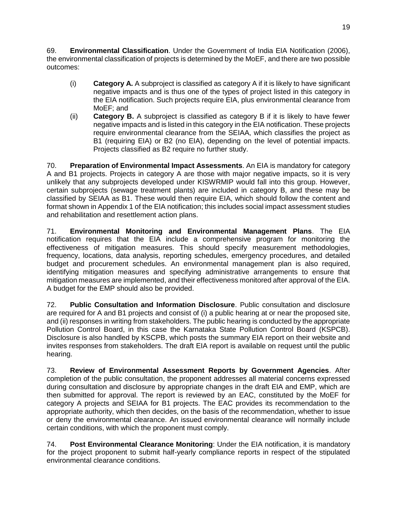69. **Environmental Classification**. Under the Government of India EIA Notification (2006), the environmental classification of projects is determined by the MoEF, and there are two possible outcomes:

- (i) **Category A.** A subproject is classified as category A if it is likely to have significant negative impacts and is thus one of the types of project listed in this category in the EIA notification. Such projects require EIA, plus environmental clearance from MoEF; and
- (ii) **Category B.** A subproject is classified as category B if it is likely to have fewer negative impacts and is listed in this category in the EIA notification. These projects require environmental clearance from the SEIAA, which classifies the project as B1 (requiring EIA) or B2 (no EIA), depending on the level of potential impacts. Projects classified as B2 require no further study.

70. **Preparation of Environmental Impact Assessments**. An EIA is mandatory for category A and B1 projects. Projects in category A are those with major negative impacts, so it is very unlikely that any subprojects developed under KISWRMIP would fall into this group. However, certain subprojects (sewage treatment plants) are included in category B, and these may be classified by SEIAA as B1. These would then require EIA, which should follow the content and format shown in Appendix 1 of the EIA notification; this includes social impact assessment studies and rehabilitation and resettlement action plans.

71. **Environmental Monitoring and Environmental Management Plans**. The EIA notification requires that the EIA include a comprehensive program for monitoring the effectiveness of mitigation measures. This should specify measurement methodologies, frequency, locations, data analysis, reporting schedules, emergency procedures, and detailed budget and procurement schedules. An environmental management plan is also required, identifying mitigation measures and specifying administrative arrangements to ensure that mitigation measures are implemented, and their effectiveness monitored after approval of the EIA. A budget for the EMP should also be provided.

72. **Public Consultation and Information Disclosure**. Public consultation and disclosure are required for A and B1 projects and consist of (i) a public hearing at or near the proposed site, and (ii) responses in writing from stakeholders. The public hearing is conducted by the appropriate Pollution Control Board, in this case the Karnataka State Pollution Control Board (KSPCB). Disclosure is also handled by KSCPB, which posts the summary EIA report on their website and invites responses from stakeholders. The draft EIA report is available on request until the public hearing.

73. **Review of Environmental Assessment Reports by Government Agencies**. After completion of the public consultation, the proponent addresses all material concerns expressed during consultation and disclosure by appropriate changes in the draft EIA and EMP, which are then submitted for approval. The report is reviewed by an EAC, constituted by the MoEF for category A projects and SEIAA for B1 projects. The EAC provides its recommendation to the appropriate authority, which then decides, on the basis of the recommendation, whether to issue or deny the environmental clearance. An issued environmental clearance will normally include certain conditions, with which the proponent must comply.

74. **Post Environmental Clearance Monitoring**: Under the EIA notification, it is mandatory for the project proponent to submit half-yearly compliance reports in respect of the stipulated environmental clearance conditions.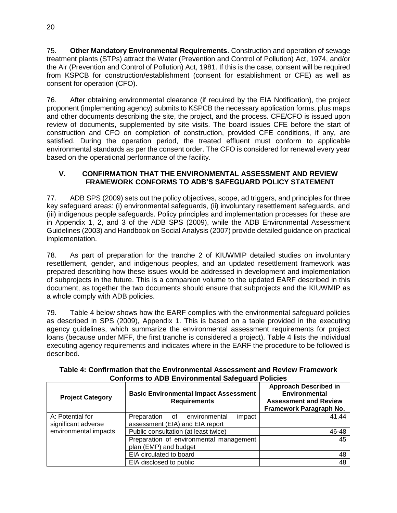75. **Other Mandatory Environmental Requirements**. Construction and operation of sewage treatment plants (STPs) attract the Water (Prevention and Control of Pollution) Act, 1974, and/or the Air (Prevention and Control of Pollution) Act, 1981. If this is the case, consent will be required from KSPCB for construction/establishment (consent for establishment or CFE) as well as consent for operation (CFO).

76. After obtaining environmental clearance (if required by the EIA Notification), the project proponent (implementing agency) submits to KSPCB the necessary application forms, plus maps and other documents describing the site, the project, and the process. CFE/CFO is issued upon review of documents, supplemented by site visits. The board issues CFE before the start of construction and CFO on completion of construction, provided CFE conditions, if any, are satisfied. During the operation period, the treated effluent must conform to applicable environmental standards as per the consent order. The CFO is considered for renewal every year based on the operational performance of the facility.

#### <span id="page-25-0"></span>**V. CONFIRMATION THAT THE ENVIRONMENTAL ASSESSMENT AND REVIEW FRAMEWORK CONFORMS TO ADB'S SAFEGUARD POLICY STATEMENT**

77. ADB SPS (2009) sets out the policy objectives, scope, ad triggers, and principles for three key safeguard areas: (i) environmental safeguards, (ii) involuntary resettlement safeguards, and (iii) indigenous people safeguards. Policy principles and implementation processes for these are in Appendix 1, 2, and 3 of the ADB SPS (2009), while the ADB Environmental Assessment Guidelines (2003) and Handbook on Social Analysis (2007) provide detailed guidance on practical implementation.

78. As part of preparation for the tranche 2 of KIUWMIP detailed studies on involuntary resettlement, gender, and indigenous peoples, and an updated resettlement framework was prepared describing how these issues would be addressed in development and implementation of subprojects in the future. This is a companion volume to the updated EARF described in this document, as together the two documents should ensure that subprojects and the KIUWMIP as a whole comply with ADB policies.

79. Table 4 below shows how the EARF complies with the environmental safeguard policies as described in SPS (2009), Appendix 1. This is based on a table provided in the executing agency guidelines, which summarize the environmental assessment requirements for project loans (because under MFF, the first tranche is considered a project). Table 4 lists the individual executing agency requirements and indicates where in the EARF the procedure to be followed is described.

| <b>Project Category</b> | <b>Basic Environmental Impact Assessment</b><br><b>Requirements</b> | <b>Approach Described in</b><br><b>Environmental</b><br><b>Assessment and Review</b><br>Framework Paragraph No. |  |  |  |  |  |
|-------------------------|---------------------------------------------------------------------|-----------------------------------------------------------------------------------------------------------------|--|--|--|--|--|
| A: Potential for        | Preparation<br>environmental<br>impact<br>of                        | 41,44                                                                                                           |  |  |  |  |  |
| significant adverse     | assessment (EIA) and EIA report                                     |                                                                                                                 |  |  |  |  |  |
| environmental impacts   | Public consultation (at least twice)                                | 46-48                                                                                                           |  |  |  |  |  |
|                         | Preparation of environmental management                             | 45                                                                                                              |  |  |  |  |  |
|                         | plan (EMP) and budget                                               |                                                                                                                 |  |  |  |  |  |
|                         | EIA circulated to board                                             |                                                                                                                 |  |  |  |  |  |
|                         | EIA disclosed to public                                             | 48                                                                                                              |  |  |  |  |  |

#### **Table 4: Confirmation that the Environmental Assessment and Review Framework Conforms to ADB Environmental Safeguard Policies**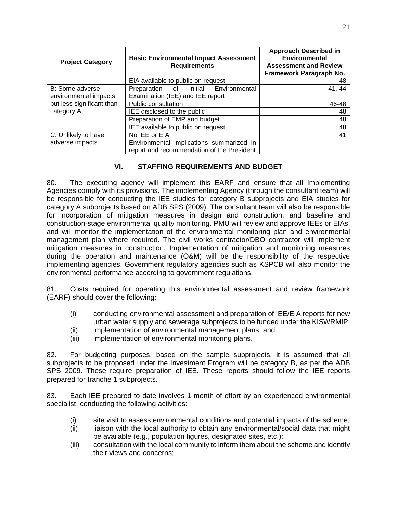| <b>Project Category</b>   | <b>Basic Environmental Impact Assessment</b><br><b>Requirements</b> | <b>Approach Described in</b><br><b>Environmental</b><br><b>Assessment and Review</b><br>Framework Paragraph No. |
|---------------------------|---------------------------------------------------------------------|-----------------------------------------------------------------------------------------------------------------|
|                           | EIA available to public on request                                  | 48                                                                                                              |
| B: Some adverse           | Preparation of Initial Environmental                                | 41, 44                                                                                                          |
| environmental impacts,    | Examination (IEE) and IEE report                                    |                                                                                                                 |
| but less significant than | Public consultation                                                 | 46-48                                                                                                           |
| category A                | IEE disclosed to the public                                         | 48                                                                                                              |
|                           | Preparation of EMP and budget                                       | 48                                                                                                              |
|                           | IEE available to public on request                                  | 48                                                                                                              |
| C: Unlikely to have       | No IEE or EIA                                                       | 41                                                                                                              |
| adverse impacts           | Environmental implications summarized in                            |                                                                                                                 |
|                           | report and recommendation of the President                          |                                                                                                                 |

## **VI. STAFFING REQUIREMENTS AND BUDGET**

<span id="page-26-0"></span>80. The executing agency will implement this EARF and ensure that all Implementing Agencies comply with its provisions. The implementing Agency (through the consultant team) will be responsible for conducting the IEE studies for category B subprojects and EIA studies for category A subprojects based on ADB SPS (2009). The consultant team will also be responsible for incorporation of mitigation measures in design and construction, and baseline and construction-stage environmental quality monitoring. PMU will review and approve IEEs or EIAs, and will monitor the implementation of the environmental monitoring plan and environmental management plan where required. The civil works contractor/DBO contractor will implement mitigation measures in construction. Implementation of mitigation and monitoring measures during the operation and maintenance (O&M) will be the responsibility of the respective implementing agencies. Government regulatory agencies such as KSPCB will also monitor the environmental performance according to government regulations.

81. Costs required for operating this environmental assessment and review framework (EARF) should cover the following:

- (i) conducting environmental assessment and preparation of IEE/EIA reports for new urban water supply and sewerage subprojects to be funded under the KISWRMIP;
- (ii) implementation of environmental management plans; and
- (iii) implementation of environmental monitoring plans.

82. For budgeting purposes, based on the sample subprojects, it is assumed that all subprojects to be proposed under the Investment Program will be category B, as per the ADB SPS 2009. These require preparation of IEE. These reports should follow the IEE reports prepared for tranche 1 subprojects.

83. Each IEE prepared to date involves 1 month of effort by an experienced environmental specialist, conducting the following activities:

- (i) site visit to assess environmental conditions and potential impacts of the scheme;
- (ii) liaison with the local authority to obtain any environmental/social data that might be available (e.g., population figures, designated sites, etc.);
- (iii) consultation with the local community to inform them about the scheme and identify their views and concerns;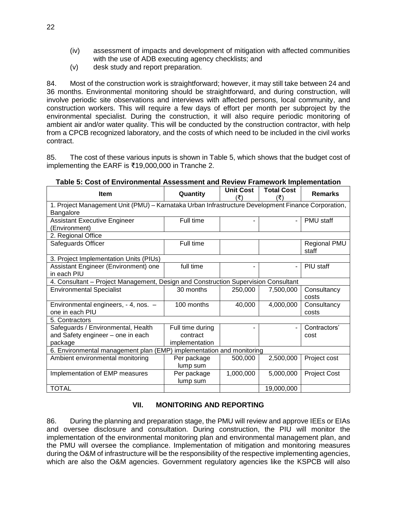- (iv) assessment of impacts and development of mitigation with affected communities with the use of ADB executing agency checklists; and
- (v) desk study and report preparation.

84. Most of the construction work is straightforward; however, it may still take between 24 and 36 months. Environmental monitoring should be straightforward, and during construction, will involve periodic site observations and interviews with affected persons, local community, and construction workers. This will require a few days of effort per month per subproject by the environmental specialist. During the construction, it will also require periodic monitoring of ambient air and/or water quality. This will be conducted by the construction contractor, with help from a CPCB recognized laboratory, and the costs of which need to be included in the civil works contract.

85. The cost of these various inputs is shown in Table 5, which shows that the budget cost of implementing the EARF is ₹19,000,000 in Tranche 2.

| <b>Item</b>                                                                                        | Quantity         | <b>Unit Cost</b><br>(₹) | <b>Total Cost</b><br>(₹  | <b>Remarks</b>        |  |  |  |  |
|----------------------------------------------------------------------------------------------------|------------------|-------------------------|--------------------------|-----------------------|--|--|--|--|
| 1. Project Management Unit (PMU) - Karnataka Urban Infrastructure Development Finance Corporation, |                  |                         |                          |                       |  |  |  |  |
| Bangalore                                                                                          |                  |                         |                          |                       |  |  |  |  |
| <b>Assistant Executive Engineer</b>                                                                | Full time        |                         | $\overline{\phantom{a}}$ | PMU staff             |  |  |  |  |
| (Environment)                                                                                      |                  |                         |                          |                       |  |  |  |  |
| 2. Regional Office                                                                                 |                  |                         |                          |                       |  |  |  |  |
| Safeguards Officer                                                                                 | Full time        |                         |                          | Regional PMU<br>staff |  |  |  |  |
| 3. Project Implementation Units (PIUs)                                                             |                  |                         |                          |                       |  |  |  |  |
| Assistant Engineer (Environment) one                                                               | full time        |                         | $\overline{\phantom{a}}$ | PIU staff             |  |  |  |  |
| in each PIU                                                                                        |                  |                         |                          |                       |  |  |  |  |
| 4. Consultant - Project Management, Design and Construction Supervision Consultant                 |                  |                         |                          |                       |  |  |  |  |
| <b>Environmental Specialist</b>                                                                    | 30 months        | 250,000                 | 7,500,000                | Consultancy<br>costs  |  |  |  |  |
| Environmental engineers, - 4, nos. -                                                               | 100 months       | 40,000                  | 4,000,000                | Consultancy           |  |  |  |  |
| one in each PIU                                                                                    |                  |                         |                          | costs                 |  |  |  |  |
| 5. Contractors                                                                                     |                  |                         |                          |                       |  |  |  |  |
| Safeguards / Environmental, Health                                                                 | Full time during |                         | $\blacksquare$           | Contractors'          |  |  |  |  |
| and Safety engineer - one in each                                                                  | contract         |                         |                          | cost                  |  |  |  |  |
| package                                                                                            | implementation   |                         |                          |                       |  |  |  |  |
| 6. Environmental management plan (EMP) implementation and monitoring                               |                  |                         |                          |                       |  |  |  |  |
| Ambient environmental monitoring                                                                   | Per package      | 500,000                 | 2,500,000                | Project cost          |  |  |  |  |
|                                                                                                    | lump sum         |                         |                          |                       |  |  |  |  |
| Implementation of EMP measures                                                                     | Per package      | 1,000,000               | 5,000,000                | <b>Project Cost</b>   |  |  |  |  |
|                                                                                                    | lump sum         |                         |                          |                       |  |  |  |  |
| <b>TOTAL</b>                                                                                       |                  |                         | 19,000,000               |                       |  |  |  |  |

**Table 5: Cost of Environmental Assessment and Review Framework Implementation**

## **VII. MONITORING AND REPORTING**

<span id="page-27-0"></span>86. During the planning and preparation stage, the PMU will review and approve IEEs or EIAs and oversee disclosure and consultation. During construction, the PIU will monitor the implementation of the environmental monitoring plan and environmental management plan, and the PMU will oversee the compliance. Implementation of mitigation and monitoring measures during the O&M of infrastructure will be the responsibility of the respective implementing agencies, which are also the O&M agencies. Government regulatory agencies like the KSPCB will also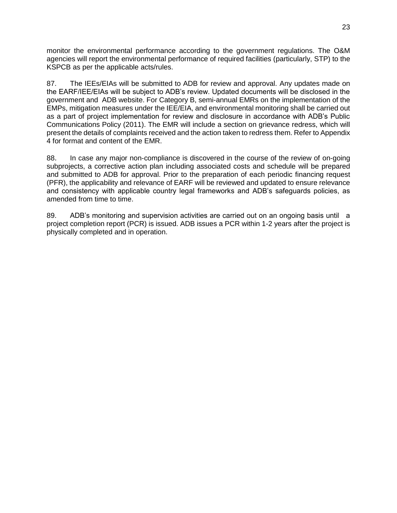monitor the environmental performance according to the government regulations. The O&M agencies will report the environmental performance of required facilities (particularly, STP) to the KSPCB as per the applicable acts/rules.

87. The IEEs/EIAs will be submitted to ADB for review and approval. Any updates made on the EARF/IEE/EIAs will be subject to ADB's review. Updated documents will be disclosed in the government and ADB website. For Category B, semi-annual EMRs on the implementation of the EMPs, mitigation measures under the IEE/EIA, and environmental monitoring shall be carried out as a part of project implementation for review and disclosure in accordance with ADB's Public Communications Policy (2011). The EMR will include a section on grievance redress, which will present the details of complaints received and the action taken to redress them. Refer to Appendix 4 for format and content of the EMR.

88. In case any major non-compliance is discovered in the course of the review of on-going subprojects, a corrective action plan including associated costs and schedule will be prepared and submitted to ADB for approval. Prior to the preparation of each periodic financing request (PFR), the applicability and relevance of EARF will be reviewed and updated to ensure relevance and consistency with applicable country legal frameworks and ADB's safeguards policies, as amended from time to time.

89. ADB's monitoring and supervision activities are carried out on an ongoing basis until a project completion report (PCR) is issued. ADB issues a PCR within 1-2 years after the project is physically completed and in operation.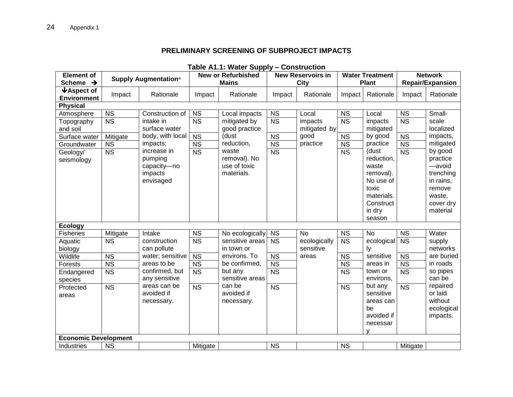## **PRELIMINARY SCREENING OF SUBPROJECT IMPACTS**

<span id="page-29-0"></span>

| <b>Element of</b>                                                                              |                                                                           |                                                                                                                                                | <b>IQUIG ATTLE MATCL OUPPLY</b><br><b>UUISU UUUUI</b><br><b>New or Refurbished</b><br><b>New Reservoirs in</b> |                                                                                                                              | <b>Water Treatment</b>                                                     |                                                      | <b>Network</b>                                                                          |                                                                                                                                                              |                                                                            |                                                                                                                                                               |
|------------------------------------------------------------------------------------------------|---------------------------------------------------------------------------|------------------------------------------------------------------------------------------------------------------------------------------------|----------------------------------------------------------------------------------------------------------------|------------------------------------------------------------------------------------------------------------------------------|----------------------------------------------------------------------------|------------------------------------------------------|-----------------------------------------------------------------------------------------|--------------------------------------------------------------------------------------------------------------------------------------------------------------|----------------------------------------------------------------------------|---------------------------------------------------------------------------------------------------------------------------------------------------------------|
| Scheme $\rightarrow$                                                                           |                                                                           | Supply Augmentation <sup>a</sup>                                                                                                               |                                                                                                                | <b>Mains</b>                                                                                                                 |                                                                            | City                                                 |                                                                                         | <b>Plant</b>                                                                                                                                                 |                                                                            | <b>Repair/Expansion</b>                                                                                                                                       |
| $\blacklozenge$ Aspect of<br><b>Environment</b>                                                | Impact                                                                    | Rationale                                                                                                                                      | Impact                                                                                                         | Rationale                                                                                                                    | Impact                                                                     | Rationale                                            | Impact                                                                                  | Rationale                                                                                                                                                    | Impact                                                                     | Rationale                                                                                                                                                     |
| <b>Physical</b>                                                                                |                                                                           |                                                                                                                                                |                                                                                                                |                                                                                                                              |                                                                            |                                                      |                                                                                         |                                                                                                                                                              |                                                                            |                                                                                                                                                               |
| Atmosphere<br>Topography<br>and soil<br>Surface water<br>Groundwater<br>Geology/<br>seismology | <b>NS</b><br>$\overline{\text{NS}}$<br>Mitigate<br><b>NS</b><br><b>NS</b> | Construction of<br>intake in<br>surface water<br>body, with local<br>impacts;<br>increase in<br>pumping<br>capacity-no<br>impacts<br>envisaged | <b>NS</b><br>$\overline{\text{NS}}$<br><b>NS</b><br><b>NS</b><br>$\overline{\text{NS}}$                        | Local impacts<br>mitigated by<br>good practice<br>(dust<br>reduction,<br>waste<br>removal). No<br>use of toxic<br>materials. | <b>NS</b><br><b>NS</b><br><b>NS</b><br><b>NS</b><br>$\overline{\text{NS}}$ | Local<br>impacts<br>mitigated by<br>good<br>practice | <b>NS</b><br>$\overline{\text{NS}}$<br><b>NS</b><br><b>NS</b><br>$\overline{\text{NS}}$ | Local<br>impacts<br>mitigated<br>by good<br>practice<br>(dust<br>reduction,<br>waste<br>removal).<br>No use of<br>toxic<br>materials.<br>Construct<br>in dry | <b>NS</b><br><b>NS</b><br><b>NS</b><br><b>NS</b><br>$\overline{\text{NS}}$ | Small-<br>scale<br>localized<br>impacts,<br>mitigated<br>by good<br>practice<br>-avoid<br>trenching<br>in rains,<br>remove<br>waste,<br>cover dry<br>material |
| <b>Ecology</b>                                                                                 |                                                                           |                                                                                                                                                |                                                                                                                |                                                                                                                              |                                                                            |                                                      |                                                                                         | season                                                                                                                                                       |                                                                            |                                                                                                                                                               |
| <b>Fisheries</b>                                                                               | Mitigate                                                                  | Intake                                                                                                                                         | $\overline{\text{NS}}$                                                                                         | No ecologically                                                                                                              | <b>NS</b>                                                                  | <b>No</b>                                            | <b>NS</b>                                                                               | <b>No</b>                                                                                                                                                    | <b>NS</b>                                                                  | Water                                                                                                                                                         |
| Aquatic                                                                                        | $\overline{\text{NS}}$                                                    | construction                                                                                                                                   | $\overline{\text{NS}}$                                                                                         | sensitive areas                                                                                                              | <b>NS</b>                                                                  | ecologically                                         | $\overline{\text{NS}}$                                                                  | ecological                                                                                                                                                   | $\overline{\text{NS}}$                                                     | supply                                                                                                                                                        |
| biology                                                                                        |                                                                           | can pollute                                                                                                                                    |                                                                                                                | in town or                                                                                                                   |                                                                            | sensitive                                            |                                                                                         | ly                                                                                                                                                           |                                                                            | networks                                                                                                                                                      |
| Wildlife                                                                                       | <b>NS</b>                                                                 | water; sensitive                                                                                                                               | <b>NS</b>                                                                                                      | environs. To                                                                                                                 | <b>NS</b>                                                                  | areas                                                | <b>NS</b>                                                                               | sensitive                                                                                                                                                    | <b>NS</b>                                                                  | are buried                                                                                                                                                    |
| Forests                                                                                        | $\overline{\text{NS}}$                                                    | areas to be<br>confirmed, but                                                                                                                  | $\overline{\text{NS}}$                                                                                         | be confirmed,<br>but any                                                                                                     | $\overline{\text{NS}}$                                                     |                                                      | $\overline{\text{NS}}$                                                                  | areas in<br>town or                                                                                                                                          | $\overline{\text{NS}}$                                                     | in roads<br>so pipes                                                                                                                                          |
| Endangered                                                                                     | $\overline{\text{NS}}$                                                    | any sensitive                                                                                                                                  | $\overline{\text{NS}}$                                                                                         | sensitive areas                                                                                                              | $\overline{\text{NS}}$                                                     |                                                      | $\overline{\text{NS}}$                                                                  | environs,                                                                                                                                                    | $\overline{\text{NS}}$                                                     | can be                                                                                                                                                        |
| species<br>Protected<br>areas                                                                  | <b>NS</b>                                                                 | areas can be<br>avoided if<br>necessary.                                                                                                       | $\overline{\text{NS}}$                                                                                         | can be<br>avoided if<br>necessary.                                                                                           | $\overline{\text{NS}}$                                                     |                                                      | <b>NS</b>                                                                               | but any<br>sensitive<br>areas can<br>be<br>avoided if<br>necessar<br>v                                                                                       | <b>NS</b>                                                                  | repaired<br>or laid<br>without<br>ecological<br>impacts.                                                                                                      |
| <b>Economic Development</b>                                                                    |                                                                           |                                                                                                                                                |                                                                                                                |                                                                                                                              |                                                                            |                                                      |                                                                                         |                                                                                                                                                              |                                                                            |                                                                                                                                                               |
| Industries                                                                                     | <b>NS</b>                                                                 |                                                                                                                                                | Mitigate                                                                                                       |                                                                                                                              | <b>NS</b>                                                                  |                                                      | <b>NS</b>                                                                               |                                                                                                                                                              | Mitigate                                                                   |                                                                                                                                                               |

#### **Table A1.1: Water Supply – Construction**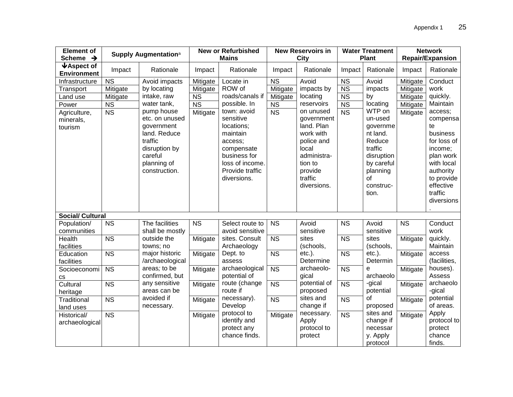| <b>Element of</b>                               |                        | Supply Augmentation <sup>a</sup> |                        | <b>New or Refurbished</b>       |                        | <b>New Reservoirs in</b> |                        | <b>Water Treatment</b>   | <b>Network</b>          |                         |
|-------------------------------------------------|------------------------|----------------------------------|------------------------|---------------------------------|------------------------|--------------------------|------------------------|--------------------------|-------------------------|-------------------------|
| Scheme $\rightarrow$                            |                        |                                  |                        | <b>Mains</b>                    |                        | City                     |                        | <b>Plant</b>             | <b>Repair/Expansion</b> |                         |
| $\blacklozenge$ Aspect of<br><b>Environment</b> | Impact                 | Rationale                        | Impact                 | Rationale                       | Impact                 | Rationale                | Impact                 | Rationale                | Impact                  | Rationale               |
| Infrastructure                                  | <b>NS</b>              | Avoid impacts                    | Mitigate               | Locate in                       | <b>NS</b>              | Avoid                    | <b>NS</b>              | Avoid                    | Mitigate                | Conduct                 |
| Transport                                       | Mitigate               | by locating                      | Mitigate               | ROW of                          | Mitigate               | impacts by               | <b>NS</b>              | impacts                  | Mitigate                | work                    |
| Land use                                        | Mitigate               | intake, raw                      | <b>NS</b>              | roads/canals if                 | Mitigate               | locating                 | <b>NS</b>              | by                       | Mitigate                | quickly.                |
| Power                                           | <b>NS</b>              | water tank,                      | $\overline{\text{NS}}$ | possible. In                    | $\overline{\text{NS}}$ | reservoirs               | <b>NS</b>              | locating                 | Mitigate                | Maintain                |
| Agriculture,                                    | $\overline{\text{NS}}$ | pump house                       | Mitigate               | town: avoid                     | $\overline{\text{NS}}$ | on unused                | $\overline{\text{NS}}$ | WTP on                   | Mitigate                | access;                 |
| minerals,                                       |                        | etc. on unused                   |                        | sensitive                       |                        | government               |                        | un-used                  |                         | compensa                |
| tourism                                         |                        | government                       |                        | locations;                      |                        | land. Plan               |                        | governme                 |                         | te                      |
|                                                 |                        | land. Reduce                     |                        | maintain                        |                        | work with                |                        | nt land.                 |                         | business                |
|                                                 |                        | traffic                          |                        | access;                         |                        | police and               |                        | Reduce                   |                         | for loss of             |
|                                                 |                        | disruption by<br>careful         |                        | compensate                      |                        | local                    |                        | traffic                  |                         | income;                 |
|                                                 |                        | planning of                      |                        | business for<br>loss of income. |                        | administra-<br>tion to   |                        | disruption<br>by careful |                         | plan work<br>with local |
|                                                 |                        | construction.                    |                        | Provide traffic                 |                        | provide                  |                        | planning                 |                         | authority               |
|                                                 |                        |                                  |                        | diversions.                     |                        | traffic                  |                        | of                       |                         | to provide              |
|                                                 |                        |                                  |                        |                                 |                        | diversions.              |                        | construc-                |                         | effective               |
|                                                 |                        |                                  |                        |                                 |                        |                          |                        | tion.                    |                         | traffic                 |
|                                                 |                        |                                  |                        |                                 |                        |                          |                        |                          |                         | diversions              |
|                                                 |                        |                                  |                        |                                 |                        |                          |                        |                          |                         |                         |
| <b>Social/ Cultural</b>                         |                        |                                  |                        |                                 |                        |                          |                        |                          |                         |                         |
| Population/                                     | <b>NS</b>              | The facilities                   | <b>NS</b>              | Select route to                 | <b>NS</b>              | Avoid                    | <b>NS</b>              | Avoid                    | <b>NS</b>               | Conduct                 |
| communities                                     |                        | shall be mostly                  |                        | avoid sensitive                 |                        | sensitive                |                        | sensitive                |                         | work                    |
| Health                                          | $\overline{\text{NS}}$ | outside the                      | Mitigate               | sites. Consult                  | <b>NS</b>              | sites                    | <b>NS</b>              | sites                    | Mitigate                | quickly.                |
| facilities                                      |                        | towns; no                        |                        | Archaeology                     |                        | (schools,                |                        | (schools,                |                         | Maintain                |
| Education                                       | $\overline{\text{NS}}$ | major historic                   | Mitigate               | Dept. to                        | $\overline{\text{NS}}$ | $etc.$ ).                | $\overline{\text{NS}}$ | $etc.$ ).                | Mitigate                | access                  |
| facilities                                      |                        | /archaeological                  |                        | assess                          |                        | Determine                |                        | Determin                 |                         | (facilities,            |
| Socioeconomi                                    | <b>NS</b>              | areas; to be                     | Mitigate               | archaeological                  | $\overline{\text{NS}}$ | archaeolo-               | <b>NS</b>              | e                        | Mitigate                | houses).                |
| CS                                              |                        | confirmed, but                   |                        | potential of                    |                        | gical                    |                        | archaeolo                |                         | Assess                  |
| Cultural                                        | <b>NS</b>              | any sensitive                    | Mitigate               | route (change<br>route if       | <b>NS</b>              | potential of             | <b>NS</b>              | -gical                   | Mitigate                | archaeolo               |
| heritage                                        |                        | areas can be                     |                        |                                 |                        | proposed                 |                        | potential                |                         | -gical                  |
| <b>Traditional</b>                              | <b>NS</b>              | avoided if                       | Mitigate               | necessary).<br>Develop          | $\overline{\text{NS}}$ | sites and                | <b>NS</b>              | οf                       | Mitigate                | potential<br>of areas.  |
| land uses                                       |                        | necessary.                       |                        | protocol to                     |                        | change if<br>necessary.  |                        | proposed<br>sites and    |                         | Apply                   |
| Historical/                                     | $\overline{\text{NS}}$ |                                  | Mitigate               | identify and                    | Mitigate               | Apply                    | $\overline{\text{NS}}$ | change if                | Mitigate                | protocol to             |
| archaeological                                  |                        |                                  |                        | protect any                     |                        | protocol to              |                        | necessar                 |                         | protect                 |
|                                                 |                        |                                  |                        | chance finds.                   |                        | protect                  |                        | y. Apply                 |                         | chance                  |
|                                                 |                        |                                  |                        |                                 |                        |                          |                        | protocol                 |                         | finds.                  |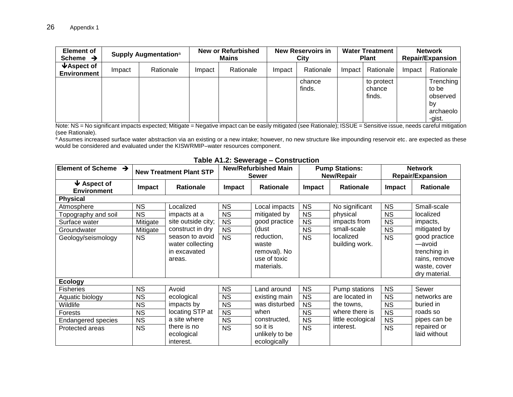| <b>Element of</b><br>Scheme $\rightarrow$             |        | Supply Augmentation <sup>a</sup> | <b>New or Refurbished</b><br><b>Mains</b> |           | <b>New Reservoirs in</b><br>Citv |                  | <b>Water Treatment</b><br><b>Plant</b> |                                | <b>Network</b><br><b>Repair/Expansion</b> |                                                             |
|-------------------------------------------------------|--------|----------------------------------|-------------------------------------------|-----------|----------------------------------|------------------|----------------------------------------|--------------------------------|-------------------------------------------|-------------------------------------------------------------|
| $\blacktriangleright$ Aspect of<br><b>Environment</b> | Impact | Rationale                        | Impact                                    | Rationale | Impact                           | Rationale        | Impact                                 | Rationale                      | Impact                                    | Rationale                                                   |
|                                                       |        |                                  |                                           |           |                                  | chance<br>finds. |                                        | to protect<br>chance<br>finds. |                                           | Trenching<br>to be<br>observed<br>bv<br>archaeolo<br>-gist. |

Note: NS = No significant impacts expected; Mitigate = Negative impact can be easily mitigated (see Rationale); ISSUE = Sensitive issue, needs careful mitigation (see Rationale).

a Assumes increased surface water abstraction via an existing or a new intake; however, no new structure like impounding reservoir etc. are expected as these would be considered and evaluated under the KISWRMIP–water resources component.

| Element of Scheme $\rightarrow$                       |               | <b>New Treatment Plant STP</b>                                | <b>New/Refurbished Main</b><br><b>Sewer</b> |                                                                   | <b>Pump Stations:</b><br>New/Repair |                             | <b>Network</b><br><b>Repair/Expansion</b> |                                                                                           |
|-------------------------------------------------------|---------------|---------------------------------------------------------------|---------------------------------------------|-------------------------------------------------------------------|-------------------------------------|-----------------------------|-------------------------------------------|-------------------------------------------------------------------------------------------|
| $\blacktriangleright$ Aspect of<br><b>Environment</b> | <b>Impact</b> | <b>Rationale</b>                                              | Impact                                      | <b>Rationale</b>                                                  | <b>Impact</b>                       | <b>Rationale</b>            | <b>Impact</b>                             | <b>Rationale</b>                                                                          |
| <b>Physical</b>                                       |               |                                                               |                                             |                                                                   |                                     |                             |                                           |                                                                                           |
| Atmosphere                                            | <b>NS</b>     | Localized                                                     | <b>NS</b>                                   | Local impacts                                                     | <b>NS</b>                           | No significant              | <b>NS</b>                                 | Small-scale                                                                               |
| Topography and soil                                   | <b>NS</b>     | impacts at a                                                  | <b>NS</b>                                   | mitigated by                                                      | <b>NS</b>                           | physical                    | <b>NS</b>                                 | localized                                                                                 |
| Surface water                                         | Mitigate      | site outside city;                                            | <b>NS</b>                                   | good practice                                                     | <b>NS</b>                           | impacts from                | <b>NS</b>                                 | impacts,                                                                                  |
| Groundwater                                           | Mitigate      | construct in dry                                              | <b>NS</b>                                   | (dust                                                             | <b>NS</b>                           | small-scale                 | <b>NS</b>                                 | mitigated by                                                                              |
| Geology/seismology                                    | <b>NS</b>     | season to avoid<br>water collecting<br>in excavated<br>areas. | <b>NS</b>                                   | reduction,<br>waste<br>removal). No<br>use of toxic<br>materials. | <b>NS</b>                           | localized<br>building work. | <b>NS</b>                                 | good practice<br>—avoid<br>trenching in<br>rains, remove<br>waste, cover<br>dry material. |
| <b>Ecology</b>                                        |               |                                                               |                                             |                                                                   |                                     |                             |                                           |                                                                                           |
| <b>Fisheries</b>                                      | <b>NS</b>     | Avoid                                                         | <b>NS</b>                                   | Land around                                                       | <b>NS</b>                           | Pump stations               | <b>NS</b>                                 | Sewer                                                                                     |
| Aquatic biology                                       | <b>NS</b>     | ecological                                                    | <b>NS</b>                                   | existing main                                                     | <b>NS</b>                           | are located in              | <b>NS</b>                                 | networks are                                                                              |
| Wildlife                                              | <b>NS</b>     | impacts by                                                    | <b>NS</b>                                   | was disturbed                                                     | <b>NS</b>                           | the towns,                  | <b>NS</b>                                 | buried in                                                                                 |
| Forests                                               | <b>NS</b>     | locating STP at                                               | <b>NS</b>                                   | when                                                              | <b>NS</b>                           | where there is              | <b>NS</b>                                 | roads so                                                                                  |
| <b>Endangered species</b>                             | <b>NS</b>     | a site where                                                  | <b>NS</b>                                   | constructed,                                                      | <b>NS</b>                           | little ecological           | <b>NS</b>                                 | pipes can be                                                                              |
| Protected areas                                       | <b>NS</b>     | there is no<br>ecological<br>interest.                        | <b>NS</b>                                   | so it is<br>unlikely to be<br>ecologically                        | <b>NS</b>                           | interest.                   | <b>NS</b>                                 | repaired or<br>laid without                                                               |

#### **Table A1.2: Sewerage – Construction**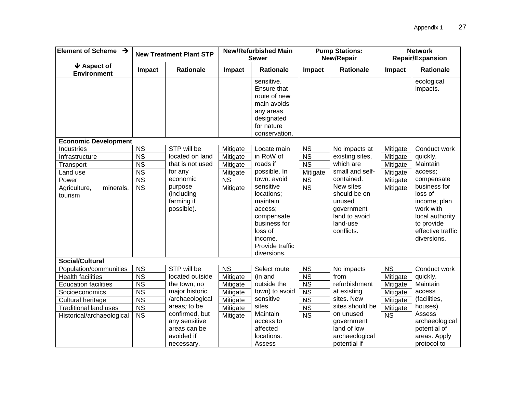| Element of Scheme $\rightarrow$                           |                                           | <b>New Treatment Plant STP</b>                                              | <b>New/Refurbished Main</b><br><b>Sewer</b> |                                                                                                                                      | <b>Pump Stations:</b><br>New/Repair              |                                                                                              | <b>Network</b><br><b>Repair/Expansion</b> |                                                                                                                           |
|-----------------------------------------------------------|-------------------------------------------|-----------------------------------------------------------------------------|---------------------------------------------|--------------------------------------------------------------------------------------------------------------------------------------|--------------------------------------------------|----------------------------------------------------------------------------------------------|-------------------------------------------|---------------------------------------------------------------------------------------------------------------------------|
| $\blacktriangleright$ Aspect of<br><b>Environment</b>     | Impact                                    | <b>Rationale</b>                                                            | Impact                                      | <b>Rationale</b>                                                                                                                     | Impact                                           | <b>Rationale</b>                                                                             | Impact                                    | <b>Rationale</b>                                                                                                          |
| <b>Economic Development</b>                               |                                           |                                                                             |                                             | sensitive.<br>Ensure that<br>route of new<br>main avoids<br>any areas<br>designated<br>for nature<br>conservation.                   |                                                  |                                                                                              |                                           | ecological<br>impacts.                                                                                                    |
| Industries                                                | $\overline{\text{NS}}$                    | STP will be                                                                 | Mitigate                                    | Locate main                                                                                                                          | <b>NS</b>                                        | No impacts at                                                                                | Mitigate                                  | Conduct work                                                                                                              |
| Infrastructure                                            | $\overline{\text{NS}}$                    | located on land                                                             | Mitigate                                    | in RoW of                                                                                                                            | $\overline{\text{NS}}$                           | existing sites,                                                                              | Mitigate                                  | quickly.                                                                                                                  |
| Transport                                                 | $\overline{\text{NS}}$                    | that is not used                                                            | Mitigate                                    | roads if                                                                                                                             | $\overline{\text{NS}}$                           | which are                                                                                    | Mitigate                                  | Maintain                                                                                                                  |
| Land use                                                  | <b>NS</b>                                 | for any                                                                     | Mitigate                                    | possible. In                                                                                                                         | Mitigate                                         | small and self-                                                                              | Mitigate                                  | access;                                                                                                                   |
| Power                                                     | $\overline{\text{NS}}$                    | economic                                                                    | $\overline{\text{NS}}$                      | town: avoid                                                                                                                          | <b>NS</b>                                        | contained.                                                                                   | Mitigate                                  | compensate                                                                                                                |
| minerals,<br>Agriculture,<br>tourism                      | $\overline{\text{NS}}$                    | purpose<br>(including<br>farming if<br>possible).                           | Mitigate                                    | sensitive<br>locations;<br>maintain<br>access;<br>compensate<br>business for<br>loss of<br>income.<br>Provide traffic<br>diversions. | $\overline{\text{NS}}$                           | New sites<br>should be on<br>unused<br>government<br>land to avoid<br>land-use<br>conflicts. | Mitigate                                  | business for<br>loss of<br>income; plan<br>work with<br>local authority<br>to provide<br>effective traffic<br>diversions. |
| <b>Social/Cultural</b>                                    |                                           |                                                                             |                                             |                                                                                                                                      |                                                  |                                                                                              |                                           |                                                                                                                           |
| Population/communities                                    | <b>NS</b>                                 | STP will be                                                                 | <b>NS</b>                                   | Select route                                                                                                                         | <b>NS</b>                                        | No impacts                                                                                   | <b>NS</b>                                 | Conduct work                                                                                                              |
| <b>Health facilities</b>                                  | <b>NS</b>                                 | located outside                                                             | Mitigate                                    | (in and                                                                                                                              | <b>NS</b>                                        | from                                                                                         | Mitigate                                  | quickly.                                                                                                                  |
| <b>Education facilities</b>                               | <b>NS</b>                                 | the town; no                                                                | Mitigate                                    | outside the                                                                                                                          | <b>NS</b>                                        | refurbishment                                                                                | Mitigate                                  | Maintain                                                                                                                  |
| Socioeconomics                                            | <b>NS</b>                                 | major historic<br>/archaeological                                           | Mitigate                                    | town) to avoid<br>sensitive                                                                                                          | <b>NS</b>                                        | at existing<br>sites. New                                                                    | Mitigate                                  | access<br>(facilities,                                                                                                    |
| Cultural heritage                                         | $\overline{\text{NS}}$                    | areas; to be                                                                | Mitigate                                    | sites.                                                                                                                               | <b>NS</b>                                        | sites should be                                                                              | Mitigate                                  | houses).                                                                                                                  |
| <b>Traditional land uses</b><br>Historical/archaeological | $\overline{NS}$<br>$\overline{\text{NS}}$ | confirmed, but<br>any sensitive<br>areas can be<br>avoided if<br>necessary. | Mitigate<br>Mitigate                        | Maintain<br>access to<br>affected<br>locations.<br>Assess                                                                            | $\overline{\text{NS}}$<br>$\overline{\text{NS}}$ | on unused<br>government<br>land of low<br>archaeological<br>potential if                     | Mitigate<br><b>NS</b>                     | Assess<br>archaeological<br>potential of<br>areas. Apply<br>protocol to                                                   |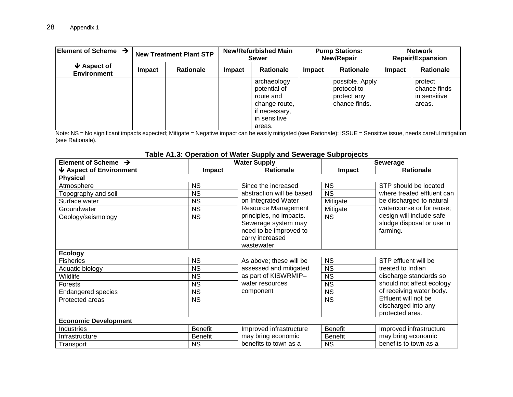| Element of Scheme $\rightarrow$        |        | <b>New Treatment Plant STP</b> | <b>New/Refurbished Main</b><br><b>Sewer</b> |                                                                                                      | <b>Pump Stations:</b><br><b>New/Repair</b> |                                                                | <b>Network</b><br><b>Repair/Expansion</b> |                                                   |
|----------------------------------------|--------|--------------------------------|---------------------------------------------|------------------------------------------------------------------------------------------------------|--------------------------------------------|----------------------------------------------------------------|-------------------------------------------|---------------------------------------------------|
| $\vee$ Aspect of<br><b>Environment</b> | Impact | <b>Rationale</b>               | Impact                                      | <b>Rationale</b>                                                                                     | <b>Impact</b>                              | <b>Rationale</b>                                               | <b>Impact</b>                             | Rationale                                         |
|                                        |        |                                |                                             | archaeology<br>potential of<br>route and<br>change route,<br>if necessary,<br>in sensitive<br>areas. |                                            | possible. Apply<br>protocol to<br>protect any<br>chance finds. |                                           | protect<br>chance finds<br>in sensitive<br>areas. |

Note: NS = No significant impacts expected; Mitigate = Negative impact can be easily mitigated (see Rationale); ISSUE = Sensitive issue, needs careful mitigation (see Rationale).

## **Table A1.3: Operation of Water Supply and Sewerage Subprojects**

| Element of Scheme $\rightarrow$       |                | <b>Water Supply</b>       |                | <b>Sewerage</b>            |
|---------------------------------------|----------------|---------------------------|----------------|----------------------------|
| $\blacklozenge$ Aspect of Environment | <b>Impact</b>  | <b>Rationale</b>          | Impact         | <b>Rationale</b>           |
| <b>Physical</b>                       |                |                           |                |                            |
| Atmosphere                            | <b>NS</b>      | Since the increased       | <b>NS</b>      | STP should be located      |
| Topography and soil                   | <b>NS</b>      | abstraction will be based | <b>NS</b>      | where treated effluent can |
| Surface water                         | <b>NS</b>      | on Integrated Water       | Mitigate       | be discharged to natural   |
| Groundwater                           | <b>NS</b>      | Resource Management       | Mitigate       | watercourse or for reuse;  |
| Geology/seismology                    | <b>NS</b>      | principles, no impacts.   | <b>NS</b>      | design will include safe   |
|                                       |                | Sewerage system may       |                | sludge disposal or use in  |
|                                       |                | need to be improved to    |                | farming.                   |
|                                       |                | carry increased           |                |                            |
|                                       |                | wastewater.               |                |                            |
| <b>Ecology</b>                        |                |                           |                |                            |
| <b>Fisheries</b>                      | <b>NS</b>      | As above; these will be   | <b>NS</b>      | STP effluent will be       |
| Aquatic biology                       | <b>NS</b>      | assessed and mitigated    | <b>NS</b>      | treated to Indian          |
| Wildlife                              | NS.            | as part of KISWRMIP-      | <b>NS</b>      | discharge standards so     |
| Forests                               | NS.            | water resources           | <b>NS</b>      | should not affect ecology  |
| <b>Endangered species</b>             | NS.            | component                 | <b>NS</b>      | of receiving water body.   |
| Protected areas                       | <b>NS</b>      |                           | <b>NS</b>      | Effluent will not be       |
|                                       |                |                           |                | discharged into any        |
|                                       |                |                           |                | protected area.            |
| <b>Economic Development</b>           |                |                           |                |                            |
| <b>Industries</b>                     | <b>Benefit</b> | Improved infrastructure   | <b>Benefit</b> | Improved infrastructure    |
| Infrastructure                        | <b>Benefit</b> | may bring economic        | Benefit        | may bring economic         |
| Transport                             | <b>NS</b>      | benefits to town as a     | <b>NS</b>      | benefits to town as a      |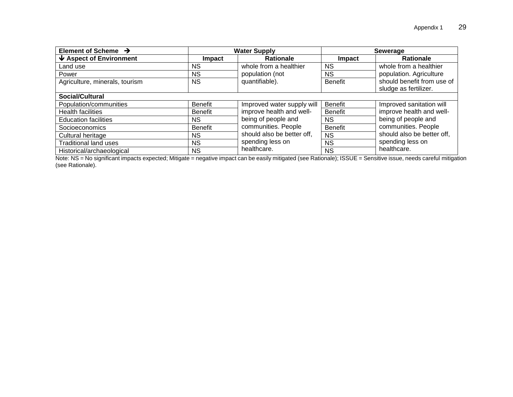| Element of Scheme $\rightarrow$       |                | <b>Water Supply</b>        |                | Sewerage                   |  |
|---------------------------------------|----------------|----------------------------|----------------|----------------------------|--|
| $\blacklozenge$ Aspect of Environment | Impact         | <b>Rationale</b>           | Impact         | <b>Rationale</b>           |  |
| Land use                              | <b>NS</b>      | whole from a healthier     | <b>NS</b>      | whole from a healthier     |  |
| Power                                 | NS.            | population (not            | <b>NS</b>      | population. Agriculture    |  |
| Agriculture, minerals, tourism        | <b>NS</b>      | quantifiable).             | <b>Benefit</b> | should benefit from use of |  |
|                                       |                |                            |                | sludge as fertilizer.      |  |
| <b>Social/Cultural</b>                |                |                            |                |                            |  |
| Population/communities                | <b>Benefit</b> | Improved water supply will | Benefit        | Improved sanitation will   |  |
| <b>Health facilities</b>              | <b>Benefit</b> | improve health and well-   | Benefit        | improve health and well-   |  |
| <b>Education facilities</b>           | <b>NS</b>      | being of people and        | <b>NS</b>      | being of people and        |  |
| Socioeconomics                        | <b>Benefit</b> | communities. People        | <b>Benefit</b> | communities. People        |  |
| Cultural heritage                     | <b>NS</b>      | should also be better off, | <b>NS</b>      | should also be better off, |  |
| <b>Traditional land uses</b>          | <b>NS</b>      | spending less on           | <b>NS</b>      | spending less on           |  |
| Historical/archaeological             | <b>NS</b>      | healthcare.                | <b>NS</b>      | healthcare.                |  |

Note: NS = No significant impacts expected; Mitigate = negative impact can be easily mitigated (see Rationale); ISSUE = Sensitive issue, needs careful mitigation (see Rationale).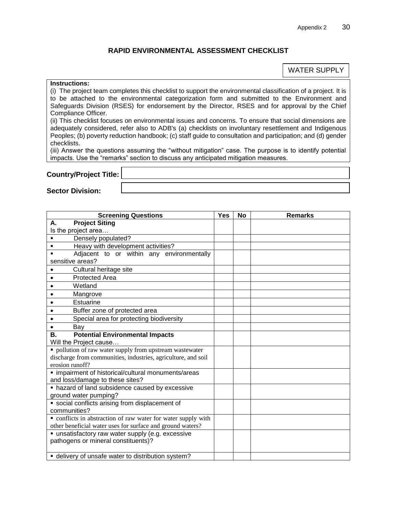#### **RAPID ENVIRONMENTAL ASSESSMENT CHECKLIST**

#### WATER SUPPLY

#### <span id="page-35-0"></span>**Instructions:**

(i) The project team completes this checklist to support the environmental classification of a project. It is to be attached to the environmental categorization form and submitted to the Environment and Safeguards Division (RSES) for endorsement by the Director, RSES and for approval by the Chief Compliance Officer.

(ii) This checklist focuses on environmental issues and concerns. To ensure that social dimensions are adequately considered, refer also to ADB's (a) checklists on involuntary resettlement and Indigenous Peoples; (b) poverty reduction handbook; (c) staff guide to consultation and participation; and (d) gender checklists.

(iii) Answer the questions assuming the "without mitigation" case. The purpose is to identify potential impacts. Use the "remarks" section to discuss any anticipated mitigation measures.

#### **Country/Project Title:**

**Sector Division:** 

| <b>Screening Questions</b>                                                                                      | <b>Yes</b> | <b>No</b> | <b>Remarks</b> |
|-----------------------------------------------------------------------------------------------------------------|------------|-----------|----------------|
| <b>Project Siting</b><br>А.                                                                                     |            |           |                |
| Is the project area                                                                                             |            |           |                |
| Densely populated?<br>$\blacksquare$                                                                            |            |           |                |
| Heavy with development activities?<br>$\blacksquare$                                                            |            |           |                |
| Adjacent to or within any environmentally                                                                       |            |           |                |
| sensitive areas?                                                                                                |            |           |                |
| Cultural heritage site                                                                                          |            |           |                |
| <b>Protected Area</b>                                                                                           |            |           |                |
| Wetland                                                                                                         |            |           |                |
| Mangrove                                                                                                        |            |           |                |
| Estuarine                                                                                                       |            |           |                |
| Buffer zone of protected area                                                                                   |            |           |                |
| Special area for protecting biodiversity                                                                        |            |           |                |
| Bay                                                                                                             |            |           |                |
| <b>Potential Environmental Impacts</b><br>В.                                                                    |            |           |                |
| Will the Project cause                                                                                          |            |           |                |
| • pollution of raw water supply from upstream wastewater                                                        |            |           |                |
| discharge from communities, industries, agriculture, and soil                                                   |            |           |                |
| erosion runoff?                                                                                                 |            |           |                |
| · impairment of historical/cultural monuments/areas                                                             |            |           |                |
| and loss/damage to these sites?                                                                                 |            |           |                |
| • hazard of land subsidence caused by excessive                                                                 |            |           |                |
| ground water pumping?                                                                                           |            |           |                |
| • social conflicts arising from displacement of                                                                 |            |           |                |
| communities?                                                                                                    |            |           |                |
| • conflicts in abstraction of raw water for water supply with                                                   |            |           |                |
| other beneficial water uses for surface and ground waters?<br>· unsatisfactory raw water supply (e.g. excessive |            |           |                |
| pathogens or mineral constituents)?                                                                             |            |           |                |
|                                                                                                                 |            |           |                |
| • delivery of unsafe water to distribution system?                                                              |            |           |                |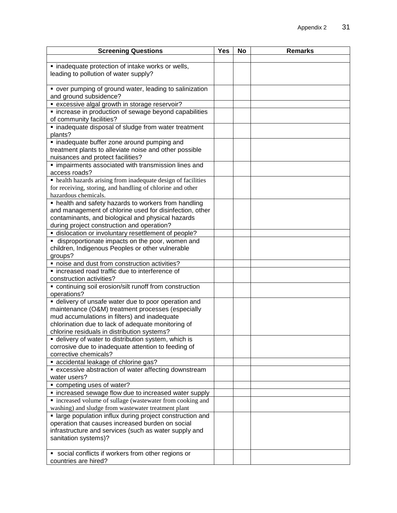| <b>Screening Questions</b>                                    | $\overline{Y}$ es | <b>No</b> | <b>Remarks</b> |
|---------------------------------------------------------------|-------------------|-----------|----------------|
|                                                               |                   |           |                |
| · inadequate protection of intake works or wells,             |                   |           |                |
| leading to pollution of water supply?                         |                   |           |                |
|                                                               |                   |           |                |
| • over pumping of ground water, leading to salinization       |                   |           |                |
| and ground subsidence?                                        |                   |           |                |
| • excessive algal growth in storage reservoir?                |                   |           |                |
| • increase in production of sewage beyond capabilities        |                   |           |                |
| of community facilities?                                      |                   |           |                |
| · inadequate disposal of sludge from water treatment          |                   |           |                |
| plants?                                                       |                   |           |                |
| · inadequate buffer zone around pumping and                   |                   |           |                |
| treatment plants to alleviate noise and other possible        |                   |           |                |
| nuisances and protect facilities?                             |                   |           |                |
| · impairments associated with transmission lines and          |                   |           |                |
| access roads?                                                 |                   |           |                |
| • health hazards arising from inadequate design of facilities |                   |           |                |
| for receiving, storing, and handling of chlorine and other    |                   |           |                |
| hazardous chemicals.                                          |                   |           |                |
| • health and safety hazards to workers from handling          |                   |           |                |
| and management of chlorine used for disinfection, other       |                   |           |                |
| contaminants, and biological and physical hazards             |                   |           |                |
| during project construction and operation?                    |                   |           |                |
| dislocation or involuntary resettlement of people?            |                   |           |                |
| • disproportionate impacts on the poor, women and             |                   |           |                |
| children, Indigenous Peoples or other vulnerable<br>groups?   |                   |           |                |
| " noise and dust from construction activities?                |                   |           |                |
| • increased road traffic due to interference of               |                   |           |                |
| construction activities?                                      |                   |           |                |
| • continuing soil erosion/silt runoff from construction       |                   |           |                |
| operations?                                                   |                   |           |                |
| • delivery of unsafe water due to poor operation and          |                   |           |                |
| maintenance (O&M) treatment processes (especially             |                   |           |                |
| mud accumulations in filters) and inadequate                  |                   |           |                |
| chlorination due to lack of adequate monitoring of            |                   |           |                |
| chlorine residuals in distribution systems?                   |                   |           |                |
| • delivery of water to distribution system, which is          |                   |           |                |
| corrosive due to inadequate attention to feeding of           |                   |           |                |
| corrective chemicals?                                         |                   |           |                |
| • accidental leakage of chlorine gas?                         |                   |           |                |
| • excessive abstraction of water affecting downstream         |                   |           |                |
| water users?                                                  |                   |           |                |
| " competing uses of water?                                    |                   |           |                |
| • increased sewage flow due to increased water supply         |                   |           |                |
| • increased volume of sullage (wastewater from cooking and    |                   |           |                |
| washing) and sludge from wastewater treatment plant           |                   |           |                |
| · large population influx during project construction and     |                   |           |                |
| operation that causes increased burden on social              |                   |           |                |
| infrastructure and services (such as water supply and         |                   |           |                |
| sanitation systems)?                                          |                   |           |                |
|                                                               |                   |           |                |
| • social conflicts if workers from other regions or           |                   |           |                |
| countries are hired?                                          |                   |           |                |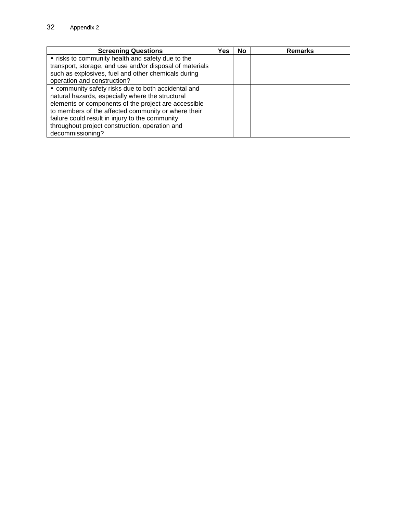| <b>Screening Questions</b>                               | Yes | No | <b>Remarks</b> |
|----------------------------------------------------------|-----|----|----------------|
| " risks to community health and safety due to the        |     |    |                |
| transport, storage, and use and/or disposal of materials |     |    |                |
| such as explosives, fuel and other chemicals during      |     |    |                |
| operation and construction?                              |     |    |                |
| • community safety risks due to both accidental and      |     |    |                |
| natural hazards, especially where the structural         |     |    |                |
| elements or components of the project are accessible     |     |    |                |
| to members of the affected community or where their      |     |    |                |
| failure could result in injury to the community          |     |    |                |
| throughout project construction, operation and           |     |    |                |
| decommissioning?                                         |     |    |                |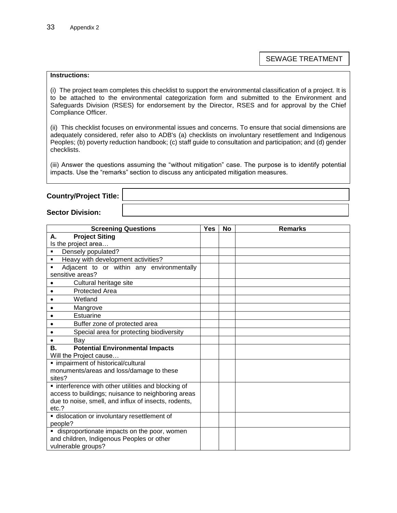SEWAGE TREATMENT

#### **Instructions:**

(i) The project team completes this checklist to support the environmental classification of a project. It is to be attached to the environmental categorization form and submitted to the Environment and Safeguards Division (RSES) for endorsement by the Director, RSES and for approval by the Chief Compliance Officer.

(ii) This checklist focuses on environmental issues and concerns. To ensure that social dimensions are adequately considered, refer also to ADB's (a) checklists on involuntary resettlement and Indigenous Peoples; (b) poverty reduction handbook; (c) staff guide to consultation and participation; and (d) gender checklists.

(iii) Answer the questions assuming the "without mitigation" case. The purpose is to identify potential impacts. Use the "remarks" section to discuss any anticipated mitigation measures.

#### **Country/Project Title:**

#### **Sector Division:**

| <b>Screening Questions</b>                           | <b>Yes</b> | <b>No</b> | <b>Remarks</b> |
|------------------------------------------------------|------------|-----------|----------------|
| <b>Project Siting</b><br>А.                          |            |           |                |
| Is the project area                                  |            |           |                |
| Densely populated?<br>٠                              |            |           |                |
| Heavy with development activities?<br>٠              |            |           |                |
| Adjacent to or within any environmentally<br>٠       |            |           |                |
| sensitive areas?                                     |            |           |                |
| Cultural heritage site                               |            |           |                |
| <b>Protected Area</b><br>$\bullet$                   |            |           |                |
| Wetland                                              |            |           |                |
| Mangrove                                             |            |           |                |
| Estuarine                                            |            |           |                |
| Buffer zone of protected area                        |            |           |                |
| Special area for protecting biodiversity             |            |           |                |
| Bay                                                  |            |           |                |
| <b>Potential Environmental Impacts</b><br>В.         |            |           |                |
| Will the Project cause                               |            |           |                |
| · impairment of historical/cultural                  |            |           |                |
| monuments/areas and loss/damage to these             |            |           |                |
| sites?                                               |            |           |                |
| • interference with other utilities and blocking of  |            |           |                |
| access to buildings; nuisance to neighboring areas   |            |           |                |
| due to noise, smell, and influx of insects, rodents, |            |           |                |
| etc.?                                                |            |           |                |
| · dislocation or involuntary resettlement of         |            |           |                |
| people?                                              |            |           |                |
| • disproportionate impacts on the poor, women        |            |           |                |
| and children, Indigenous Peoples or other            |            |           |                |
| vulnerable groups?                                   |            |           |                |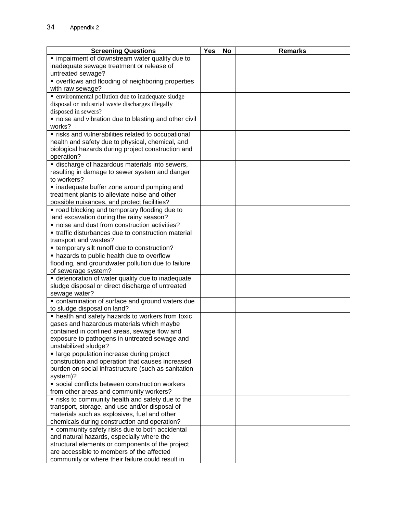| · impairment of downstream water quality due to<br>inadequate sewage treatment or release of<br>untreated sewage?<br>• overflows and flooding of neighboring properties<br>with raw sewage?<br>• environmental pollution due to inadequate sludge<br>disposal or industrial waste discharges illegally<br>disposed in sewers?<br>" noise and vibration due to blasting and other civil<br>works?<br>· risks and vulnerabilities related to occupational<br>health and safety due to physical, chemical, and<br>biological hazards during project construction and<br>operation?<br>discharge of hazardous materials into sewers,<br>resulting in damage to sewer system and danger<br>to workers?<br>· inadequate buffer zone around pumping and<br>treatment plants to alleviate noise and other<br>possible nuisances, and protect facilities?<br>" road blocking and temporary flooding due to<br>land excavation during the rainy season?<br>• noise and dust from construction activities?<br>• traffic disturbances due to construction material<br>transport and wastes?<br>• temporary silt runoff due to construction?<br>• hazards to public health due to overflow<br>flooding, and groundwater pollution due to failure<br>of sewerage system?<br>• deterioration of water quality due to inadequate<br>sludge disposal or direct discharge of untreated<br>sewage water?<br>• contamination of surface and ground waters due<br>to sludge disposal on land? | <b>Screening Questions</b> | Yes | No | <b>Remarks</b> |
|--------------------------------------------------------------------------------------------------------------------------------------------------------------------------------------------------------------------------------------------------------------------------------------------------------------------------------------------------------------------------------------------------------------------------------------------------------------------------------------------------------------------------------------------------------------------------------------------------------------------------------------------------------------------------------------------------------------------------------------------------------------------------------------------------------------------------------------------------------------------------------------------------------------------------------------------------------------------------------------------------------------------------------------------------------------------------------------------------------------------------------------------------------------------------------------------------------------------------------------------------------------------------------------------------------------------------------------------------------------------------------------------------------------------------------------------------------------------------|----------------------------|-----|----|----------------|
|                                                                                                                                                                                                                                                                                                                                                                                                                                                                                                                                                                                                                                                                                                                                                                                                                                                                                                                                                                                                                                                                                                                                                                                                                                                                                                                                                                                                                                                                          |                            |     |    |                |
|                                                                                                                                                                                                                                                                                                                                                                                                                                                                                                                                                                                                                                                                                                                                                                                                                                                                                                                                                                                                                                                                                                                                                                                                                                                                                                                                                                                                                                                                          |                            |     |    |                |
|                                                                                                                                                                                                                                                                                                                                                                                                                                                                                                                                                                                                                                                                                                                                                                                                                                                                                                                                                                                                                                                                                                                                                                                                                                                                                                                                                                                                                                                                          |                            |     |    |                |
|                                                                                                                                                                                                                                                                                                                                                                                                                                                                                                                                                                                                                                                                                                                                                                                                                                                                                                                                                                                                                                                                                                                                                                                                                                                                                                                                                                                                                                                                          |                            |     |    |                |
|                                                                                                                                                                                                                                                                                                                                                                                                                                                                                                                                                                                                                                                                                                                                                                                                                                                                                                                                                                                                                                                                                                                                                                                                                                                                                                                                                                                                                                                                          |                            |     |    |                |
|                                                                                                                                                                                                                                                                                                                                                                                                                                                                                                                                                                                                                                                                                                                                                                                                                                                                                                                                                                                                                                                                                                                                                                                                                                                                                                                                                                                                                                                                          |                            |     |    |                |
|                                                                                                                                                                                                                                                                                                                                                                                                                                                                                                                                                                                                                                                                                                                                                                                                                                                                                                                                                                                                                                                                                                                                                                                                                                                                                                                                                                                                                                                                          |                            |     |    |                |
|                                                                                                                                                                                                                                                                                                                                                                                                                                                                                                                                                                                                                                                                                                                                                                                                                                                                                                                                                                                                                                                                                                                                                                                                                                                                                                                                                                                                                                                                          |                            |     |    |                |
|                                                                                                                                                                                                                                                                                                                                                                                                                                                                                                                                                                                                                                                                                                                                                                                                                                                                                                                                                                                                                                                                                                                                                                                                                                                                                                                                                                                                                                                                          |                            |     |    |                |
|                                                                                                                                                                                                                                                                                                                                                                                                                                                                                                                                                                                                                                                                                                                                                                                                                                                                                                                                                                                                                                                                                                                                                                                                                                                                                                                                                                                                                                                                          |                            |     |    |                |
|                                                                                                                                                                                                                                                                                                                                                                                                                                                                                                                                                                                                                                                                                                                                                                                                                                                                                                                                                                                                                                                                                                                                                                                                                                                                                                                                                                                                                                                                          |                            |     |    |                |
|                                                                                                                                                                                                                                                                                                                                                                                                                                                                                                                                                                                                                                                                                                                                                                                                                                                                                                                                                                                                                                                                                                                                                                                                                                                                                                                                                                                                                                                                          |                            |     |    |                |
|                                                                                                                                                                                                                                                                                                                                                                                                                                                                                                                                                                                                                                                                                                                                                                                                                                                                                                                                                                                                                                                                                                                                                                                                                                                                                                                                                                                                                                                                          |                            |     |    |                |
|                                                                                                                                                                                                                                                                                                                                                                                                                                                                                                                                                                                                                                                                                                                                                                                                                                                                                                                                                                                                                                                                                                                                                                                                                                                                                                                                                                                                                                                                          |                            |     |    |                |
|                                                                                                                                                                                                                                                                                                                                                                                                                                                                                                                                                                                                                                                                                                                                                                                                                                                                                                                                                                                                                                                                                                                                                                                                                                                                                                                                                                                                                                                                          |                            |     |    |                |
|                                                                                                                                                                                                                                                                                                                                                                                                                                                                                                                                                                                                                                                                                                                                                                                                                                                                                                                                                                                                                                                                                                                                                                                                                                                                                                                                                                                                                                                                          |                            |     |    |                |
|                                                                                                                                                                                                                                                                                                                                                                                                                                                                                                                                                                                                                                                                                                                                                                                                                                                                                                                                                                                                                                                                                                                                                                                                                                                                                                                                                                                                                                                                          |                            |     |    |                |
|                                                                                                                                                                                                                                                                                                                                                                                                                                                                                                                                                                                                                                                                                                                                                                                                                                                                                                                                                                                                                                                                                                                                                                                                                                                                                                                                                                                                                                                                          |                            |     |    |                |
|                                                                                                                                                                                                                                                                                                                                                                                                                                                                                                                                                                                                                                                                                                                                                                                                                                                                                                                                                                                                                                                                                                                                                                                                                                                                                                                                                                                                                                                                          |                            |     |    |                |
|                                                                                                                                                                                                                                                                                                                                                                                                                                                                                                                                                                                                                                                                                                                                                                                                                                                                                                                                                                                                                                                                                                                                                                                                                                                                                                                                                                                                                                                                          |                            |     |    |                |
|                                                                                                                                                                                                                                                                                                                                                                                                                                                                                                                                                                                                                                                                                                                                                                                                                                                                                                                                                                                                                                                                                                                                                                                                                                                                                                                                                                                                                                                                          |                            |     |    |                |
|                                                                                                                                                                                                                                                                                                                                                                                                                                                                                                                                                                                                                                                                                                                                                                                                                                                                                                                                                                                                                                                                                                                                                                                                                                                                                                                                                                                                                                                                          |                            |     |    |                |
|                                                                                                                                                                                                                                                                                                                                                                                                                                                                                                                                                                                                                                                                                                                                                                                                                                                                                                                                                                                                                                                                                                                                                                                                                                                                                                                                                                                                                                                                          |                            |     |    |                |
|                                                                                                                                                                                                                                                                                                                                                                                                                                                                                                                                                                                                                                                                                                                                                                                                                                                                                                                                                                                                                                                                                                                                                                                                                                                                                                                                                                                                                                                                          |                            |     |    |                |
|                                                                                                                                                                                                                                                                                                                                                                                                                                                                                                                                                                                                                                                                                                                                                                                                                                                                                                                                                                                                                                                                                                                                                                                                                                                                                                                                                                                                                                                                          |                            |     |    |                |
|                                                                                                                                                                                                                                                                                                                                                                                                                                                                                                                                                                                                                                                                                                                                                                                                                                                                                                                                                                                                                                                                                                                                                                                                                                                                                                                                                                                                                                                                          |                            |     |    |                |
|                                                                                                                                                                                                                                                                                                                                                                                                                                                                                                                                                                                                                                                                                                                                                                                                                                                                                                                                                                                                                                                                                                                                                                                                                                                                                                                                                                                                                                                                          |                            |     |    |                |
|                                                                                                                                                                                                                                                                                                                                                                                                                                                                                                                                                                                                                                                                                                                                                                                                                                                                                                                                                                                                                                                                                                                                                                                                                                                                                                                                                                                                                                                                          |                            |     |    |                |
|                                                                                                                                                                                                                                                                                                                                                                                                                                                                                                                                                                                                                                                                                                                                                                                                                                                                                                                                                                                                                                                                                                                                                                                                                                                                                                                                                                                                                                                                          |                            |     |    |                |
|                                                                                                                                                                                                                                                                                                                                                                                                                                                                                                                                                                                                                                                                                                                                                                                                                                                                                                                                                                                                                                                                                                                                                                                                                                                                                                                                                                                                                                                                          |                            |     |    |                |
|                                                                                                                                                                                                                                                                                                                                                                                                                                                                                                                                                                                                                                                                                                                                                                                                                                                                                                                                                                                                                                                                                                                                                                                                                                                                                                                                                                                                                                                                          |                            |     |    |                |
|                                                                                                                                                                                                                                                                                                                                                                                                                                                                                                                                                                                                                                                                                                                                                                                                                                                                                                                                                                                                                                                                                                                                                                                                                                                                                                                                                                                                                                                                          |                            |     |    |                |
|                                                                                                                                                                                                                                                                                                                                                                                                                                                                                                                                                                                                                                                                                                                                                                                                                                                                                                                                                                                                                                                                                                                                                                                                                                                                                                                                                                                                                                                                          |                            |     |    |                |
|                                                                                                                                                                                                                                                                                                                                                                                                                                                                                                                                                                                                                                                                                                                                                                                                                                                                                                                                                                                                                                                                                                                                                                                                                                                                                                                                                                                                                                                                          |                            |     |    |                |
| • health and safety hazards to workers from toxic                                                                                                                                                                                                                                                                                                                                                                                                                                                                                                                                                                                                                                                                                                                                                                                                                                                                                                                                                                                                                                                                                                                                                                                                                                                                                                                                                                                                                        |                            |     |    |                |
| gases and hazardous materials which maybe                                                                                                                                                                                                                                                                                                                                                                                                                                                                                                                                                                                                                                                                                                                                                                                                                                                                                                                                                                                                                                                                                                                                                                                                                                                                                                                                                                                                                                |                            |     |    |                |
| contained in confined areas, sewage flow and                                                                                                                                                                                                                                                                                                                                                                                                                                                                                                                                                                                                                                                                                                                                                                                                                                                                                                                                                                                                                                                                                                                                                                                                                                                                                                                                                                                                                             |                            |     |    |                |
| exposure to pathogens in untreated sewage and                                                                                                                                                                                                                                                                                                                                                                                                                                                                                                                                                                                                                                                                                                                                                                                                                                                                                                                                                                                                                                                                                                                                                                                                                                                                                                                                                                                                                            |                            |     |    |                |
| unstabilized sludge?                                                                                                                                                                                                                                                                                                                                                                                                                                                                                                                                                                                                                                                                                                                                                                                                                                                                                                                                                                                                                                                                                                                                                                                                                                                                                                                                                                                                                                                     |                            |     |    |                |
| • large population increase during project                                                                                                                                                                                                                                                                                                                                                                                                                                                                                                                                                                                                                                                                                                                                                                                                                                                                                                                                                                                                                                                                                                                                                                                                                                                                                                                                                                                                                               |                            |     |    |                |
| construction and operation that causes increased                                                                                                                                                                                                                                                                                                                                                                                                                                                                                                                                                                                                                                                                                                                                                                                                                                                                                                                                                                                                                                                                                                                                                                                                                                                                                                                                                                                                                         |                            |     |    |                |
| burden on social infrastructure (such as sanitation                                                                                                                                                                                                                                                                                                                                                                                                                                                                                                                                                                                                                                                                                                                                                                                                                                                                                                                                                                                                                                                                                                                                                                                                                                                                                                                                                                                                                      |                            |     |    |                |
| system)?<br>· social conflicts between construction workers                                                                                                                                                                                                                                                                                                                                                                                                                                                                                                                                                                                                                                                                                                                                                                                                                                                                                                                                                                                                                                                                                                                                                                                                                                                                                                                                                                                                              |                            |     |    |                |
|                                                                                                                                                                                                                                                                                                                                                                                                                                                                                                                                                                                                                                                                                                                                                                                                                                                                                                                                                                                                                                                                                                                                                                                                                                                                                                                                                                                                                                                                          |                            |     |    |                |
| from other areas and community workers?                                                                                                                                                                                                                                                                                                                                                                                                                                                                                                                                                                                                                                                                                                                                                                                                                                                                                                                                                                                                                                                                                                                                                                                                                                                                                                                                                                                                                                  |                            |     |    |                |
| " risks to community health and safety due to the<br>transport, storage, and use and/or disposal of                                                                                                                                                                                                                                                                                                                                                                                                                                                                                                                                                                                                                                                                                                                                                                                                                                                                                                                                                                                                                                                                                                                                                                                                                                                                                                                                                                      |                            |     |    |                |
|                                                                                                                                                                                                                                                                                                                                                                                                                                                                                                                                                                                                                                                                                                                                                                                                                                                                                                                                                                                                                                                                                                                                                                                                                                                                                                                                                                                                                                                                          |                            |     |    |                |
| materials such as explosives, fuel and other<br>chemicals during construction and operation?                                                                                                                                                                                                                                                                                                                                                                                                                                                                                                                                                                                                                                                                                                                                                                                                                                                                                                                                                                                                                                                                                                                                                                                                                                                                                                                                                                             |                            |     |    |                |
| • community safety risks due to both accidental                                                                                                                                                                                                                                                                                                                                                                                                                                                                                                                                                                                                                                                                                                                                                                                                                                                                                                                                                                                                                                                                                                                                                                                                                                                                                                                                                                                                                          |                            |     |    |                |
| and natural hazards, especially where the                                                                                                                                                                                                                                                                                                                                                                                                                                                                                                                                                                                                                                                                                                                                                                                                                                                                                                                                                                                                                                                                                                                                                                                                                                                                                                                                                                                                                                |                            |     |    |                |
| structural elements or components of the project                                                                                                                                                                                                                                                                                                                                                                                                                                                                                                                                                                                                                                                                                                                                                                                                                                                                                                                                                                                                                                                                                                                                                                                                                                                                                                                                                                                                                         |                            |     |    |                |
| are accessible to members of the affected                                                                                                                                                                                                                                                                                                                                                                                                                                                                                                                                                                                                                                                                                                                                                                                                                                                                                                                                                                                                                                                                                                                                                                                                                                                                                                                                                                                                                                |                            |     |    |                |
| community or where their failure could result in                                                                                                                                                                                                                                                                                                                                                                                                                                                                                                                                                                                                                                                                                                                                                                                                                                                                                                                                                                                                                                                                                                                                                                                                                                                                                                                                                                                                                         |                            |     |    |                |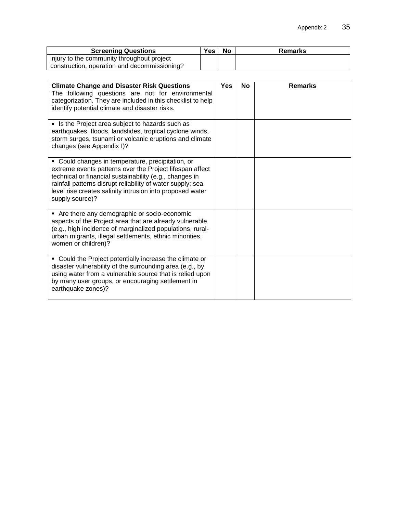| <b>Screening Questions</b>                   | Yes | No | Remarks |
|----------------------------------------------|-----|----|---------|
| injury to the community throughout project   |     |    |         |
| construction, operation and decommissioning? |     |    |         |

| <b>Climate Change and Disaster Risk Questions</b><br>The following questions are not for environmental<br>categorization. They are included in this checklist to help<br>identify potential climate and disaster risks.                                                                                                | <b>Yes</b> | <b>No</b> | <b>Remarks</b> |
|------------------------------------------------------------------------------------------------------------------------------------------------------------------------------------------------------------------------------------------------------------------------------------------------------------------------|------------|-----------|----------------|
| • Is the Project area subject to hazards such as<br>earthquakes, floods, landslides, tropical cyclone winds,<br>storm surges, tsunami or volcanic eruptions and climate<br>changes (see Appendix I)?                                                                                                                   |            |           |                |
| • Could changes in temperature, precipitation, or<br>extreme events patterns over the Project lifespan affect<br>technical or financial sustainability (e.g., changes in<br>rainfall patterns disrupt reliability of water supply; sea<br>level rise creates salinity intrusion into proposed water<br>supply source)? |            |           |                |
| • Are there any demographic or socio-economic<br>aspects of the Project area that are already vulnerable<br>(e.g., high incidence of marginalized populations, rural-<br>urban migrants, illegal settlements, ethnic minorities,<br>women or children)?                                                                |            |           |                |
| • Could the Project potentially increase the climate or<br>disaster vulnerability of the surrounding area (e.g., by<br>using water from a vulnerable source that is relied upon<br>by many user groups, or encouraging settlement in<br>earthquake zones)?                                                             |            |           |                |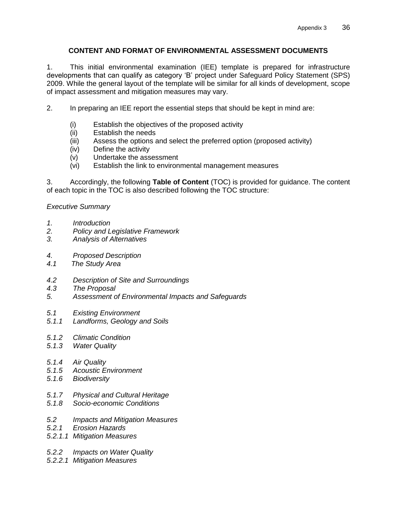## **CONTENT AND FORMAT OF ENVIRONMENTAL ASSESSMENT DOCUMENTS**

<span id="page-41-0"></span>1. This initial environmental examination (IEE) template is prepared for infrastructure developments that can qualify as category 'B' project under Safeguard Policy Statement (SPS) 2009. While the general layout of the template will be similar for all kinds of development, scope of impact assessment and mitigation measures may vary.

- 2. In preparing an IEE report the essential steps that should be kept in mind are:
	- (i) Establish the objectives of the proposed activity<br>(ii) Establish the needs
	- Establish the needs
	- (iii) Assess the options and select the preferred option (proposed activity)
	- (iv) Define the activity
	- (v) Undertake the assessment
	- (vi) Establish the link to environmental management measures

3. Accordingly, the following **Table of Content** (TOC) is provided for guidance. The content of each topic in the TOC is also described following the TOC structure:

#### *Executive Summary*

- *1. Introduction*
- *2. Policy and Legislative Framework*
- *3. Analysis of Alternatives*
- *4. Proposed Description*
- *4.1 The Study Area*
- *4.2 Description of Site and Surroundings*
- *4.3 The Proposal*
- *5. Assessment of Environmental Impacts and Safeguards*
- *5.1 Existing Environment*
- *5.1.1 Landforms, Geology and Soils*
- *5.1.2 Climatic Condition*
- *5.1.3 Water Quality*
- *5.1.4 Air Quality*
- *5.1.5 Acoustic Environment*
- *5.1.6 Biodiversity*
- *5.1.7 Physical and Cultural Heritage*
- *5.1.8 Socio-economic Conditions*
- *5.2 Impacts and Mitigation Measures*
- *5.2.1 Erosion Hazards*
- *5.2.1.1 Mitigation Measures*
- *5.2.2 Impacts on Water Quality*
- *5.2.2.1 Mitigation Measures*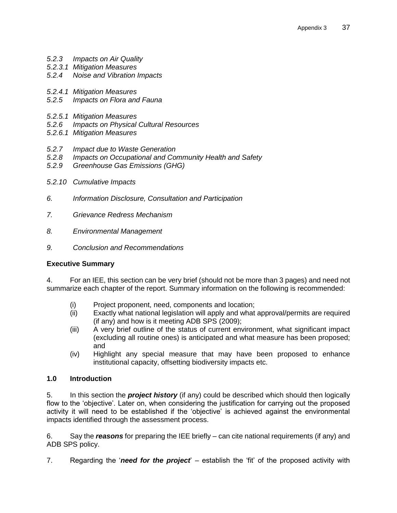- *5.2.3 Impacts on Air Quality*
- *5.2.3.1 Mitigation Measures*
- *5.2.4 Noise and Vibration Impacts*
- *5.2.4.1 Mitigation Measures*
- *5.2.5 Impacts on Flora and Fauna*
- *5.2.5.1 Mitigation Measures*
- *5.2.6 Impacts on Physical Cultural Resources*
- *5.2.6.1 Mitigation Measures*
- *5.2.7 Impact due to Waste Generation*
- *5.2.8 Impacts on Occupational and Community Health and Safety*
- *5.2.9 Greenhouse Gas Emissions (GHG)*
- *5.2.10 Cumulative Impacts*
- *6. Information Disclosure, Consultation and Participation*
- *7. Grievance Redress Mechanism*
- *8. Environmental Management*
- *9. Conclusion and Recommendations*

#### **Executive Summary**

4. For an IEE, this section can be very brief (should not be more than 3 pages) and need not summarize each chapter of the report. Summary information on the following is recommended:

- (i) Project proponent, need, components and location;
- (ii) Exactly what national legislation will apply and what approval/permits are required (if any) and how is it meeting ADB SPS (2009);
- (iii) A very brief outline of the status of current environment, what significant impact (excluding all routine ones) is anticipated and what measure has been proposed; and
- (iv) Highlight any special measure that may have been proposed to enhance institutional capacity, offsetting biodiversity impacts etc.

## **1.0 Introduction**

5. In this section the *project history* (if any) could be described which should then logically flow to the 'objective'. Later on, when considering the justification for carrying out the proposed activity it will need to be established if the 'objective' is achieved against the environmental impacts identified through the assessment process.

6. Say the *reasons* for preparing the IEE briefly – can cite national requirements (if any) and ADB SPS policy.

7. Regarding the '*need for the project*' – establish the 'fit' of the proposed activity with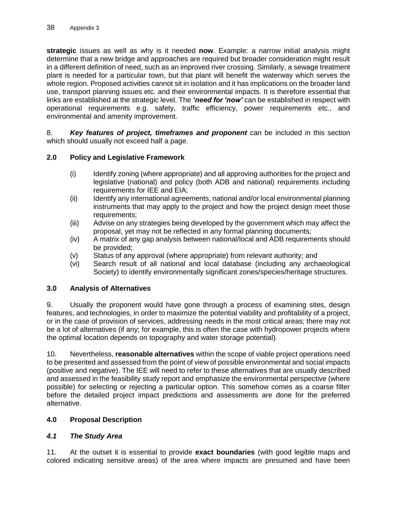**strategic** issues as well as why is it needed **now**. Example: a narrow initial analysis might determine that a new bridge and approaches are required but broader consideration might result in a different definition of need, such as an improved river crossing. Similarly, a sewage treatment plant is needed for a particular town, but that plant will benefit the waterway which serves the whole region. Proposed activities cannot sit in isolation and it has implications on the broader land use, transport planning issues etc. and their environmental impacts. It is therefore essential that links are established at the strategic level. The *'need for 'now'* can be established in respect with operational requirements e.g. safety, traffic efficiency, power requirements etc., and environmental and amenity improvement.

8. *Key features of project, timeframes and proponent* can be included in this section which should usually not exceed half a page.

## **2.0 Policy and Legislative Framework**

- (i) Identify zoning (where appropriate) and all approving authorities for the project and legislative (national) and policy (both ADB and national) requirements including requirements for IEE and EIA;
- (ii) Identify any international agreements, national and/or local environmental planning instruments that may apply to the project and how the project design meet those requirements;
- (iii) Advise on any strategies being developed by the government which may affect the proposal, yet may not be reflected in any formal planning documents;
- (iv) A matrix of any gap analysis between national/local and ADB requirements should be provided;
- (v) Status of any approval (where appropriate) from relevant authority; and
- (vi) Search result of all national and local database (including any archaeological Society) to identify environmentally significant zones/species/heritage structures.

#### **3.0 Analysis of Alternatives**

9. Usually the proponent would have gone through a process of examining sites, design features, and technologies, in order to maximize the potential viability and profitability of a project, or in the case of provision of services, addressing needs in the most critical areas; there may not be a lot of alternatives (if any; for example, this is often the case with hydropower projects where the optimal location depends on topography and water storage potential).

10. Nevertheless, **reasonable alternatives** within the scope of viable project operations need to be presented and assessed from the point of view of possible environmental and social impacts (positive and negative). The IEE will need to refer to these alternatives that are usually described and assessed in the feasibility study report and emphasize the environmental perspective (where possible) for selecting or rejecting a particular option. This somehow comes as a coarse filter before the detailed project impact predictions and assessments are done for the preferred alternative.

## **4.0 Proposal Description**

#### *4.1 The Study Area*

11. At the outset it is essential to provide **exact boundaries** (with good legible maps and colored indicating sensitive areas) of the area where impacts are presumed and have been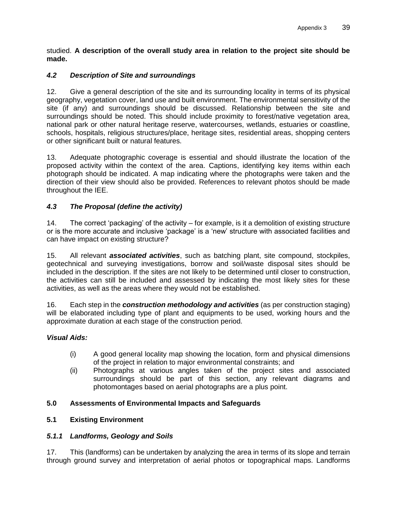studied. **A description of the overall study area in relation to the project site should be made.**

## *4.2 Description of Site and surroundings*

12. Give a general description of the site and its surrounding locality in terms of its physical geography, vegetation cover, land use and built environment. The environmental sensitivity of the site (if any) and surroundings should be discussed. Relationship between the site and surroundings should be noted. This should include proximity to forest/native vegetation area, national park or other natural heritage reserve, watercourses, wetlands, estuaries or coastline, schools, hospitals, religious structures/place, heritage sites, residential areas, shopping centers or other significant built or natural features.

13. Adequate photographic coverage is essential and should illustrate the location of the proposed activity within the context of the area. Captions, identifying key items within each photograph should be indicated. A map indicating where the photographs were taken and the direction of their view should also be provided. References to relevant photos should be made throughout the IEE.

## *4.3 The Proposal (define the activity)*

14. The correct 'packaging' of the activity – for example, is it a demolition of existing structure or is the more accurate and inclusive 'package' is a 'new' structure with associated facilities and can have impact on existing structure?

15. All relevant *associated activities*, such as batching plant, site compound, stockpiles, geotechnical and surveying investigations, borrow and soil/waste disposal sites should be included in the description. If the sites are not likely to be determined until closer to construction, the activities can still be included and assessed by indicating the most likely sites for these activities, as well as the areas where they would not be established.

16. Each step in the *construction methodology and activities* (as per construction staging) will be elaborated including type of plant and equipments to be used, working hours and the approximate duration at each stage of the construction period.

#### *Visual Aids:*

- (i) A good general locality map showing the location, form and physical dimensions of the project in relation to major environmental constraints; and
- (ii) Photographs at various angles taken of the project sites and associated surroundings should be part of this section, any relevant diagrams and photomontages based on aerial photographs are a plus point.

#### **5.0 Assessments of Environmental Impacts and Safeguards**

#### **5.1 Existing Environment**

#### *5.1.1 Landforms, Geology and Soils*

17. This (landforms) can be undertaken by analyzing the area in terms of its slope and terrain through ground survey and interpretation of aerial photos or topographical maps. Landforms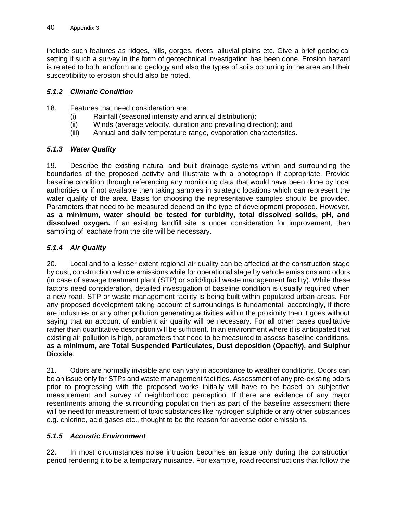include such features as ridges, hills, gorges, rivers, alluvial plains etc. Give a brief geological setting if such a survey in the form of geotechnical investigation has been done. Erosion hazard is related to both landform and geology and also the types of soils occurring in the area and their susceptibility to erosion should also be noted.

#### *5.1.2 Climatic Condition*

- 18. Features that need consideration are:
	- (i) Rainfall (seasonal intensity and annual distribution);
	- (ii) Winds (average velocity, duration and prevailing direction); and
	- (iii) Annual and daily temperature range, evaporation characteristics.

## *5.1.3 Water Quality*

19. Describe the existing natural and built drainage systems within and surrounding the boundaries of the proposed activity and illustrate with a photograph if appropriate. Provide baseline condition through referencing any monitoring data that would have been done by local authorities or if not available then taking samples in strategic locations which can represent the water quality of the area. Basis for choosing the representative samples should be provided. Parameters that need to be measured depend on the type of development proposed. However, **as a minimum, water should be tested for turbidity, total dissolved solids, pH, and dissolved oxygen.** If an existing landfill site is under consideration for improvement, then sampling of leachate from the site will be necessary.

## *5.1.4 Air Quality*

20. Local and to a lesser extent regional air quality can be affected at the construction stage by dust, construction vehicle emissions while for operational stage by vehicle emissions and odors (in case of sewage treatment plant (STP) or solid/liquid waste management facility). While these factors need consideration, detailed investigation of baseline condition is usually required when a new road, STP or waste management facility is being built within populated urban areas. For any proposed development taking account of surroundings is fundamental, accordingly, if there are industries or any other pollution generating activities within the proximity then it goes without saying that an account of ambient air quality will be necessary. For all other cases qualitative rather than quantitative description will be sufficient. In an environment where it is anticipated that existing air pollution is high, parameters that need to be measured to assess baseline conditions, **as a minimum, are Total Suspended Particulates, Dust deposition (Opacity), and Sulphur Dioxide**.

21. Odors are normally invisible and can vary in accordance to weather conditions. Odors can be an issue only for STPs and waste management facilities. Assessment of any pre-existing odors prior to progressing with the proposed works initially will have to be based on subjective measurement and survey of neighborhood perception. If there are evidence of any major resentments among the surrounding population then as part of the baseline assessment there will be need for measurement of toxic substances like hydrogen sulphide or any other substances e.g. chlorine, acid gases etc., thought to be the reason for adverse odor emissions.

## *5.1.5 Acoustic Environment*

22. In most circumstances noise intrusion becomes an issue only during the construction period rendering it to be a temporary nuisance. For example, road reconstructions that follow the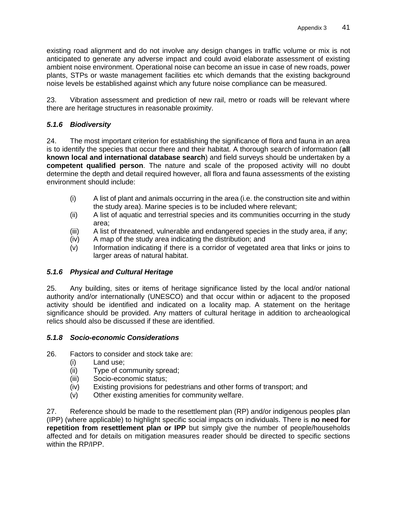existing road alignment and do not involve any design changes in traffic volume or mix is not anticipated to generate any adverse impact and could avoid elaborate assessment of existing ambient noise environment. Operational noise can become an issue in case of new roads, power plants, STPs or waste management facilities etc which demands that the existing background noise levels be established against which any future noise compliance can be measured.

23. Vibration assessment and prediction of new rail, metro or roads will be relevant where there are heritage structures in reasonable proximity.

## *5.1.6 Biodiversity*

24. The most important criterion for establishing the significance of flora and fauna in an area is to identify the species that occur there and their habitat. A thorough search of information (**all known local and international database search**) and field surveys should be undertaken by a **competent qualified person**. The nature and scale of the proposed activity will no doubt determine the depth and detail required however, all flora and fauna assessments of the existing environment should include:

- (i) A list of plant and animals occurring in the area (i.e. the construction site and within the study area). Marine species is to be included where relevant;
- (ii) A list of aquatic and terrestrial species and its communities occurring in the study area;
- (iii) A list of threatened, vulnerable and endangered species in the study area, if any;
- (iv) A map of the study area indicating the distribution; and
- (v) Information indicating if there is a corridor of vegetated area that links or joins to larger areas of natural habitat.

#### *5.1.6 Physical and Cultural Heritage*

25. Any building, sites or items of heritage significance listed by the local and/or national authority and/or internationally (UNESCO) and that occur within or adjacent to the proposed activity should be identified and indicated on a locality map. A statement on the heritage significance should be provided. Any matters of cultural heritage in addition to archeaological relics should also be discussed if these are identified.

#### *5.1.8 Socio-economic Considerations*

- 26. Factors to consider and stock take are:
	- (i) Land use;
	- (ii) Type of community spread;
	- (iii) Socio-economic status;
	- (iv) Existing provisions for pedestrians and other forms of transport; and
	- (v) Other existing amenities for community welfare.

27. Reference should be made to the resettlement plan (RP) and/or indigenous peoples plan (IPP) (where applicable) to highlight specific social impacts on individuals. There is **no need for repetition from resettlement plan or IPP** but simply give the number of people/households affected and for details on mitigation measures reader should be directed to specific sections within the RP/IPP.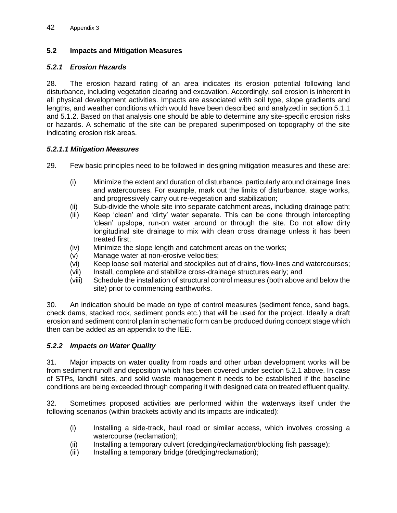## **5.2 Impacts and Mitigation Measures**

## *5.2.1 Erosion Hazards*

28. The erosion hazard rating of an area indicates its erosion potential following land disturbance, including vegetation clearing and excavation. Accordingly, soil erosion is inherent in all physical development activities. Impacts are associated with soil type, slope gradients and lengths, and weather conditions which would have been described and analyzed in section 5.1.1 and 5.1.2. Based on that analysis one should be able to determine any site-specific erosion risks or hazards. A schematic of the site can be prepared superimposed on topography of the site indicating erosion risk areas.

#### *5.2.1.1 Mitigation Measures*

29. Few basic principles need to be followed in designing mitigation measures and these are:

- (i) Minimize the extent and duration of disturbance, particularly around drainage lines and watercourses. For example, mark out the limits of disturbance, stage works, and progressively carry out re-vegetation and stabilization;
- (ii) Sub-divide the whole site into separate catchment areas, including drainage path;
- (iii) Keep 'clean' and 'dirty' water separate. This can be done through intercepting 'clean' upslope, run-on water around or through the site. Do not allow dirty longitudinal site drainage to mix with clean cross drainage unless it has been treated first;
- (iv) Minimize the slope length and catchment areas on the works;
- (v) Manage water at non-erosive velocities;
- (vi) Keep loose soil material and stockpiles out of drains, flow-lines and watercourses;
- (vii) Install, complete and stabilize cross-drainage structures early; and
- (viii) Schedule the installation of structural control measures (both above and below the site) prior to commencing earthworks.

30. An indication should be made on type of control measures (sediment fence, sand bags, check dams, stacked rock, sediment ponds etc.) that will be used for the project. Ideally a draft erosion and sediment control plan in schematic form can be produced during concept stage which then can be added as an appendix to the IEE.

#### *5.2.2 Impacts on Water Quality*

31. Major impacts on water quality from roads and other urban development works will be from sediment runoff and deposition which has been covered under section 5.2.1 above. In case of STPs, landfill sites, and solid waste management it needs to be established if the baseline conditions are being exceeded through comparing it with designed data on treated effluent quality.

32. Sometimes proposed activities are performed within the waterways itself under the following scenarios (within brackets activity and its impacts are indicated):

- (i) Installing a side-track, haul road or similar access, which involves crossing a watercourse (reclamation);
- (ii) Installing a temporary culvert (dredging/reclamation/blocking fish passage);
- (iii) Installing a temporary bridge (dredging/reclamation);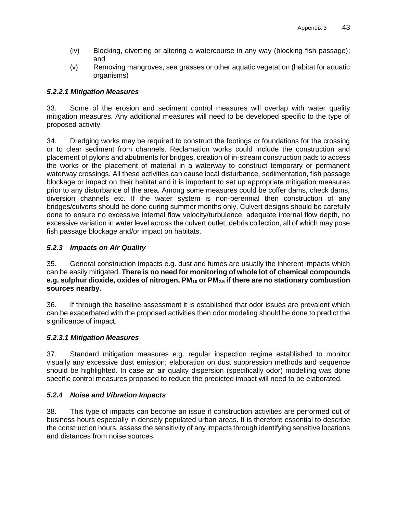- (iv) Blocking, diverting or altering a watercourse in any way (blocking fish passage); and
- (v) Removing mangroves, sea grasses or other aquatic vegetation (habitat for aquatic organisms)

## *5.2.2.1 Mitigation Measures*

33. Some of the erosion and sediment control measures will overlap with water quality mitigation measures. Any additional measures will need to be developed specific to the type of proposed activity.

34. Dredging works may be required to construct the footings or foundations for the crossing or to clear sediment from channels. Reclamation works could include the construction and placement of pylons and abutments for bridges, creation of in-stream construction pads to access the works or the placement of material in a waterway to construct temporary or permanent waterway crossings. All these activities can cause local disturbance, sedimentation, fish passage blockage or impact on their habitat and it is important to set up appropriate mitigation measures prior to any disturbance of the area. Among some measures could be coffer dams, check dams, diversion channels etc. If the water system is non-perennial then construction of any bridges/culverts should be done during summer months only. Culvert designs should be carefully done to ensure no excessive internal flow velocity/turbulence, adequate internal flow depth, no excessive variation in water level across the culvert outlet, debris collection, all of which may pose fish passage blockage and/or impact on habitats.

## *5.2.3 Impacts on Air Quality*

35. General construction impacts e.g. dust and fumes are usually the inherent impacts which can be easily mitigated. **There is no need for monitoring of whole lot of chemical compounds e.g. sulphur dioxide, oxides of nitrogen, PM<sup>10</sup> or PM2.5 if there are no stationary combustion sources nearby**.

36. If through the baseline assessment it is established that odor issues are prevalent which can be exacerbated with the proposed activities then odor modeling should be done to predict the significance of impact.

## *5.2.3.1 Mitigation Measures*

37. Standard mitigation measures e.g. regular inspection regime established to monitor visually any excessive dust emission; elaboration on dust suppression methods and sequence should be highlighted. In case an air quality dispersion (specifically odor) modelling was done specific control measures proposed to reduce the predicted impact will need to be elaborated.

## *5.2.4 Noise and Vibration Impacts*

38. This type of impacts can become an issue if construction activities are performed out of business hours especially in densely populated urban areas. It is therefore essential to describe the construction hours, assess the sensitivity of any impacts through identifying sensitive locations and distances from noise sources.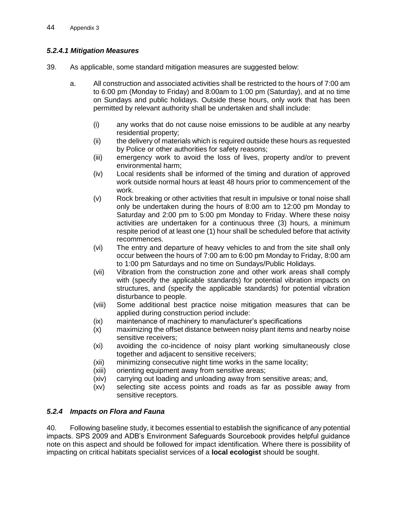## *5.2.4.1 Mitigation Measures*

- 39. As applicable, some standard mitigation measures are suggested below:
	- a. All construction and associated activities shall be restricted to the hours of 7:00 am to 6:00 pm (Monday to Friday) and 8:00am to 1:00 pm (Saturday), and at no time on Sundays and public holidays. Outside these hours, only work that has been permitted by relevant authority shall be undertaken and shall include:
		- (i) any works that do not cause noise emissions to be audible at any nearby residential property;
		- (ii) the delivery of materials which is required outside these hours as requested by Police or other authorities for safety reasons;
		- (iii) emergency work to avoid the loss of lives, property and/or to prevent environmental harm;
		- (iv) Local residents shall be informed of the timing and duration of approved work outside normal hours at least 48 hours prior to commencement of the work.
		- (v) Rock breaking or other activities that result in impulsive or tonal noise shall only be undertaken during the hours of 8:00 am to 12:00 pm Monday to Saturday and 2:00 pm to 5:00 pm Monday to Friday. Where these noisy activities are undertaken for a continuous three (3) hours, a minimum respite period of at least one (1) hour shall be scheduled before that activity recommences.
		- (vi) The entry and departure of heavy vehicles to and from the site shall only occur between the hours of 7:00 am to 6:00 pm Monday to Friday, 8:00 am to 1:00 pm Saturdays and no time on Sundays/Public Holidays.
		- (vii) Vibration from the construction zone and other work areas shall comply with (specify the applicable standards) for potential vibration impacts on structures, and (specify the applicable standards) for potential vibration disturbance to people.
		- (viii) Some additional best practice noise mitigation measures that can be applied during construction period include:
		- (ix) maintenance of machinery to manufacturer's specifications
		- (x) maximizing the offset distance between noisy plant items and nearby noise sensitive receivers;
		- (xi) avoiding the co-incidence of noisy plant working simultaneously close together and adjacent to sensitive receivers;
		- (xii) minimizing consecutive night time works in the same locality;
		- (xiii) orienting equipment away from sensitive areas;
		- (xiv) carrying out loading and unloading away from sensitive areas; and,
		- (xv) selecting site access points and roads as far as possible away from sensitive receptors.

## *5.2.4 Impacts on Flora and Fauna*

40. Following baseline study, it becomes essential to establish the significance of any potential impacts. SPS 2009 and ADB's Environment Safeguards Sourcebook provides helpful guidance note on this aspect and should be followed for impact identification. Where there is possibility of impacting on critical habitats specialist services of a **local ecologist** should be sought.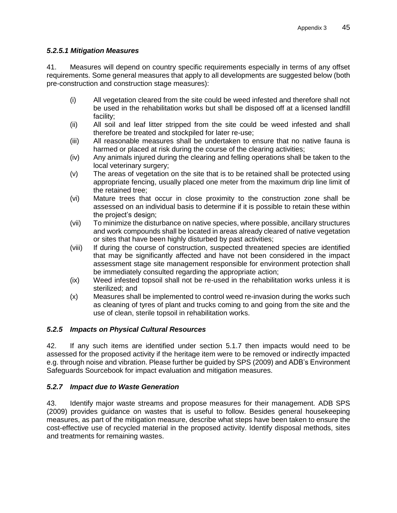#### *5.2.5.1 Mitigation Measures*

41. Measures will depend on country specific requirements especially in terms of any offset requirements. Some general measures that apply to all developments are suggested below (both pre-construction and construction stage measures):

- (i) All vegetation cleared from the site could be weed infested and therefore shall not be used in the rehabilitation works but shall be disposed off at a licensed landfill facility;
- (ii) All soil and leaf litter stripped from the site could be weed infested and shall therefore be treated and stockpiled for later re-use;
- (iii) All reasonable measures shall be undertaken to ensure that no native fauna is harmed or placed at risk during the course of the clearing activities;
- (iv) Any animals injured during the clearing and felling operations shall be taken to the local veterinary surgery:
- (v) The areas of vegetation on the site that is to be retained shall be protected using appropriate fencing, usually placed one meter from the maximum drip line limit of the retained tree;
- (vi) Mature trees that occur in close proximity to the construction zone shall be assessed on an individual basis to determine if it is possible to retain these within the project's design;
- (vii) To minimize the disturbance on native species, where possible, ancillary structures and work compounds shall be located in areas already cleared of native vegetation or sites that have been highly disturbed by past activities;
- (viii) If during the course of construction, suspected threatened species are identified that may be significantly affected and have not been considered in the impact assessment stage site management responsible for environment protection shall be immediately consulted regarding the appropriate action;
- (ix) Weed infested topsoil shall not be re-used in the rehabilitation works unless it is sterilized; and
- (x) Measures shall be implemented to control weed re-invasion during the works such as cleaning of tyres of plant and trucks coming to and going from the site and the use of clean, sterile topsoil in rehabilitation works.

## *5.2.5 Impacts on Physical Cultural Resources*

42. If any such items are identified under section 5.1.7 then impacts would need to be assessed for the proposed activity if the heritage item were to be removed or indirectly impacted e.g. through noise and vibration. Please further be guided by SPS (2009) and ADB's Environment Safeguards Sourcebook for impact evaluation and mitigation measures.

## *5.2.7 Impact due to Waste Generation*

43. Identify major waste streams and propose measures for their management. ADB SPS (2009) provides guidance on wastes that is useful to follow. Besides general housekeeping measures, as part of the mitigation measure, describe what steps have been taken to ensure the cost-effective use of recycled material in the proposed activity. Identify disposal methods, sites and treatments for remaining wastes.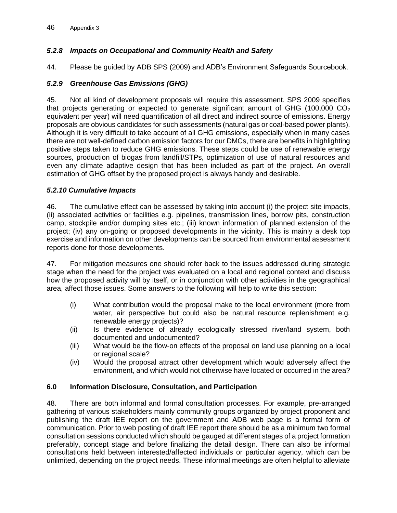## *5.2.8 Impacts on Occupational and Community Health and Safety*

44. Please be guided by ADB SPS (2009) and ADB's Environment Safeguards Sourcebook.

#### *5.2.9 Greenhouse Gas Emissions (GHG)*

45. Not all kind of development proposals will require this assessment. SPS 2009 specifies that projects generating or expected to generate significant amount of GHG (100,000  $CO<sub>2</sub>$ ) equivalent per year) will need quantification of all direct and indirect source of emissions. Energy proposals are obvious candidates for such assessments (natural gas or coal-based power plants). Although it is very difficult to take account of all GHG emissions, especially when in many cases there are not well-defined carbon emission factors for our DMCs, there are benefits in highlighting positive steps taken to reduce GHG emissions. These steps could be use of renewable energy sources, production of biogas from landfill/STPs, optimization of use of natural resources and even any climate adaptive design that has been included as part of the project. An overall estimation of GHG offset by the proposed project is always handy and desirable.

#### *5.2.10 Cumulative Impacts*

46. The cumulative effect can be assessed by taking into account (i) the project site impacts, (ii) associated activities or facilities e.g. pipelines, transmission lines, borrow pits, construction camp, stockpile and/or dumping sites etc.; (iii) known information of planned extension of the project; (iv) any on-going or proposed developments in the vicinity. This is mainly a desk top exercise and information on other developments can be sourced from environmental assessment reports done for those developments.

47. For mitigation measures one should refer back to the issues addressed during strategic stage when the need for the project was evaluated on a local and regional context and discuss how the proposed activity will by itself, or in conjunction with other activities in the geographical area, affect those issues. Some answers to the following will help to write this section:

- (i) What contribution would the proposal make to the local environment (more from water, air perspective but could also be natural resource replenishment e.g. renewable energy projects)?
- (ii) Is there evidence of already ecologically stressed river/land system, both documented and undocumented?
- (iii) What would be the flow-on effects of the proposal on land use planning on a local or regional scale?
- (iv) Would the proposal attract other development which would adversely affect the environment, and which would not otherwise have located or occurred in the area?

#### **6.0 Information Disclosure, Consultation, and Participation**

48. There are both informal and formal consultation processes. For example, pre-arranged gathering of various stakeholders mainly community groups organized by project proponent and publishing the draft IEE report on the government and ADB web page is a formal form of communication. Prior to web posting of draft IEE report there should be as a minimum two formal consultation sessions conducted which should be gauged at different stages of a project formation preferably, concept stage and before finalizing the detail design. There can also be informal consultations held between interested/affected individuals or particular agency, which can be unlimited, depending on the project needs. These informal meetings are often helpful to alleviate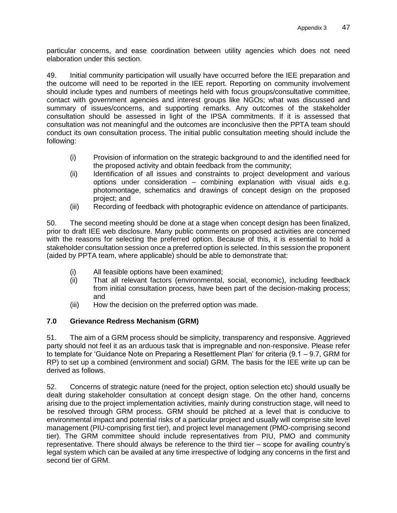particular concerns, and ease coordination between utility agencies which does not need elaboration under this section.

49. Initial community participation will usually have occurred before the IEE preparation and the outcome will need to be reported in the IEE report. Reporting on community involvement should include types and numbers of meetings held with focus groups/consultative committee, contact with government agencies and interest groups like NGOs; what was discussed and summary of issues/concerns, and supporting remarks. Any outcomes of the stakeholder consultation should be assessed in light of the IPSA commitments. If it is assessed that consultation was not meaningful and the outcomes are inconclusive then the PPTA team should conduct its own consultation process. The initial public consultation meeting should include the following:

- (i) Provision of information on the strategic background to and the identified need for the proposed activity and obtain feedback from the community;
- (ii) Identification of all issues and constraints to project development and various options under consideration – combining explanation with visual aids e.g. photomontage, schematics and drawings of concept design on the proposed project; and
- (iii) Recording of feedback with photographic evidence on attendance of participants.

50. The second meeting should be done at a stage when concept design has been finalized, prior to draft IEE web disclosure. Many public comments on proposed activities are concerned with the reasons for selecting the preferred option. Because of this, it is essential to hold a stakeholder consultation session once a preferred option is selected. In this session the proponent (aided by PPTA team, where applicable) should be able to demonstrate that:

- (i) All feasible options have been examined;
- (ii) That all relevant factors (environmental, social, economic), including feedback from initial consultation process, have been part of the decision-making process; and
- (iii) How the decision on the preferred option was made.

## **7.0 Grievance Redress Mechanism (GRM)**

51. The aim of a GRM process should be simplicity, transparency and responsive. Aggrieved party should not feel it as an arduous task that is impregnable and non-responsive. Please refer to template for 'Guidance Note on Preparing a Resettlement Plan' for criteria (9.1 – 9.7, GRM for RP) to set up a combined (environment and social) GRM. The basis for the IEE write up can be derived as follows.

52. Concerns of strategic nature (need for the project, option selection etc) should usually be dealt during stakeholder consultation at concept design stage. On the other hand, concerns arising due to the project implementation activities, mainly during construction stage, will need to be resolved through GRM process. GRM should be pitched at a level that is conducive to environmental impact and potential risks of a particular project and usually will comprise site level management (PIU-comprising first tier), and project level management (PMO-comprising second tier). The GRM committee should include representatives from PIU, PMO and community representative. There should always be reference to the third tier – scope for availing country's legal system which can be availed at any time irrespective of lodging any concerns in the first and second tier of GRM.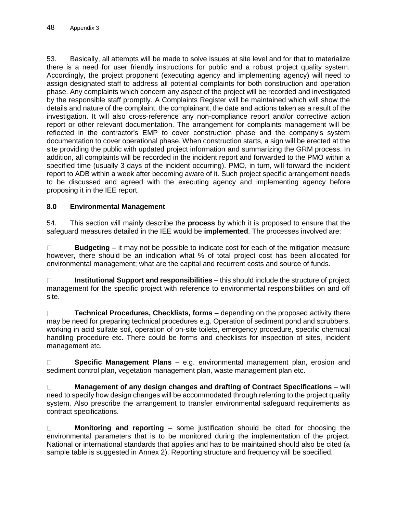53. Basically, all attempts will be made to solve issues at site level and for that to materialize there is a need for user friendly instructions for public and a robust project quality system. Accordingly, the project proponent (executing agency and implementing agency) will need to assign designated staff to address all potential complaints for both construction and operation phase. Any complaints which concern any aspect of the project will be recorded and investigated by the responsible staff promptly. A Complaints Register will be maintained which will show the details and nature of the complaint, the complainant, the date and actions taken as a result of the investigation. It will also cross-reference any non-compliance report and/or corrective action report or other relevant documentation. The arrangement for complaints management will be reflected in the contractor's EMP to cover construction phase and the company's system documentation to cover operational phase. When construction starts, a sign will be erected at the site providing the public with updated project information and summarizing the GRM process. In addition, all complaints will be recorded in the incident report and forwarded to the PMO within a specified time (usually 3 days of the incident occurring). PMO, in turn, will forward the incident report to ADB within a week after becoming aware of it. Such project specific arrangement needs to be discussed and agreed with the executing agency and implementing agency before proposing it in the IEE report.

## **8.0 Environmental Management**

54. This section will mainly describe the **process** by which it is proposed to ensure that the safeguard measures detailed in the IEE would be **implemented**. The processes involved are:

**Budgeting** – it may not be possible to indicate cost for each of the mitigation measure  $\Box$ however, there should be an indication what % of total project cost has been allocated for environmental management; what are the capital and recurrent costs and source of funds.

**Institutional Support and responsibilities** – this should include the structure of project  $\Box$ management for the specific project with reference to environmental responsibilities on and off site.

**Technical Procedures, Checklists, forms** – depending on the proposed activity there  $\Box$ may be need for preparing technical procedures e.g. Operation of sediment pond and scrubbers, working in acid sulfate soil, operation of on-site toilets, emergency procedure, specific chemical handling procedure etc. There could be forms and checklists for inspection of sites, incident management etc.

**Specific Management Plans** – e.g. environmental management plan, erosion and  $\Box$ sediment control plan, vegetation management plan, waste management plan etc.

**Management of any design changes and drafting of Contract Specifications** – will  $\Box$ need to specify how design changes will be accommodated through referring to the project quality system. Also prescribe the arrangement to transfer environmental safeguard requirements as contract specifications.

 $\Box$ **Monitoring and reporting** – some justification should be cited for choosing the environmental parameters that is to be monitored during the implementation of the project. National or international standards that applies and has to be maintained should also be cited (a sample table is suggested in Annex 2). Reporting structure and frequency will be specified.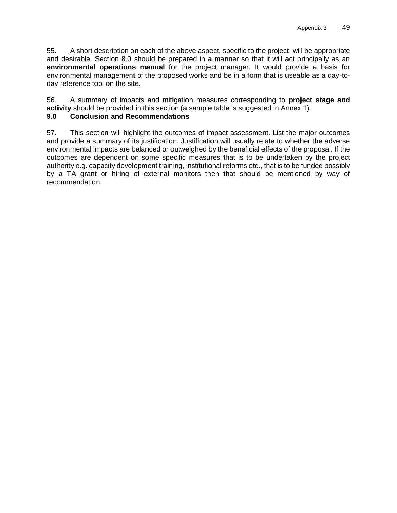55. A short description on each of the above aspect, specific to the project, will be appropriate and desirable. Section 8.0 should be prepared in a manner so that it will act principally as an **environmental operations manual** for the project manager. It would provide a basis for environmental management of the proposed works and be in a form that is useable as a day-today reference tool on the site.

56. A summary of impacts and mitigation measures corresponding to **project stage and activity** should be provided in this section (a sample table is suggested in Annex 1).

## **9.0 Conclusion and Recommendations**

57. This section will highlight the outcomes of impact assessment. List the major outcomes and provide a summary of its justification. Justification will usually relate to whether the adverse environmental impacts are balanced or outweighed by the beneficial effects of the proposal. If the outcomes are dependent on some specific measures that is to be undertaken by the project authority e.g. capacity development training, institutional reforms etc., that is to be funded possibly by a TA grant or hiring of external monitors then that should be mentioned by way of recommendation.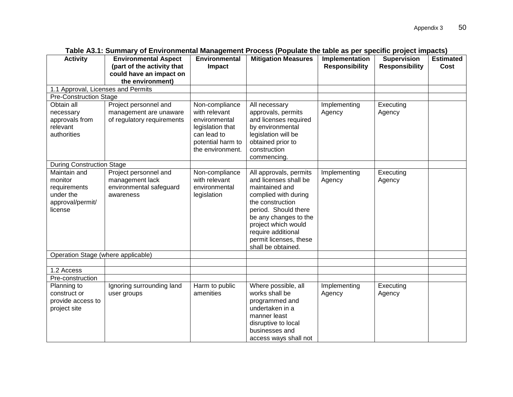| <b>Activity</b>                    | <b>Environmental Aspect</b>                          | <b>Environmental</b>           | <b>Mitigation Measures</b>                  | Implementation        | <b>Supervision</b>    | <b>Estimated</b> |
|------------------------------------|------------------------------------------------------|--------------------------------|---------------------------------------------|-----------------------|-----------------------|------------------|
|                                    | (part of the activity that                           | Impact                         |                                             | <b>Responsibility</b> | <b>Responsibility</b> | Cost             |
|                                    | could have an impact on                              |                                |                                             |                       |                       |                  |
|                                    | the environment)                                     |                                |                                             |                       |                       |                  |
| 1.1 Approval, Licenses and Permits |                                                      |                                |                                             |                       |                       |                  |
| <b>Pre-Construction Stage</b>      |                                                      |                                |                                             |                       |                       |                  |
| Obtain all                         | Project personnel and                                | Non-compliance                 | All necessary                               | Implementing          | Executing             |                  |
| necessary<br>approvals from        | management are unaware<br>of regulatory requirements | with relevant<br>environmental | approvals, permits<br>and licenses required | Agency                | Agency                |                  |
| relevant                           |                                                      | legislation that               | by environmental                            |                       |                       |                  |
| authorities                        |                                                      | can lead to                    | legislation will be                         |                       |                       |                  |
|                                    |                                                      | potential harm to              | obtained prior to                           |                       |                       |                  |
|                                    |                                                      | the environment.               | construction                                |                       |                       |                  |
|                                    |                                                      |                                | commencing.                                 |                       |                       |                  |
| <b>During Construction Stage</b>   |                                                      |                                |                                             |                       |                       |                  |
| Maintain and                       | Project personnel and                                | Non-compliance                 | All approvals, permits                      | Implementing          | Executing             |                  |
| monitor                            | management lack                                      | with relevant                  | and licenses shall be                       | Agency                | Agency                |                  |
| requirements                       | environmental safeguard                              | environmental                  | maintained and                              |                       |                       |                  |
| under the                          | awareness                                            | legislation                    | complied with during                        |                       |                       |                  |
| approval/permit/                   |                                                      |                                | the construction                            |                       |                       |                  |
| license                            |                                                      |                                | period. Should there                        |                       |                       |                  |
|                                    |                                                      |                                | be any changes to the                       |                       |                       |                  |
|                                    |                                                      |                                | project which would<br>require additional   |                       |                       |                  |
|                                    |                                                      |                                | permit licenses, these                      |                       |                       |                  |
|                                    |                                                      |                                | shall be obtained.                          |                       |                       |                  |
| Operation Stage (where applicable) |                                                      |                                |                                             |                       |                       |                  |
|                                    |                                                      |                                |                                             |                       |                       |                  |
| 1.2 Access                         |                                                      |                                |                                             |                       |                       |                  |
| Pre-construction                   |                                                      |                                |                                             |                       |                       |                  |
| Planning to                        | Ignoring surrounding land                            | Harm to public                 | Where possible, all                         | Implementing          | Executing             |                  |
| construct or                       | user groups                                          | amenities                      | works shall be                              | Agency                | Agency                |                  |
| provide access to                  |                                                      |                                | programmed and                              |                       |                       |                  |
| project site                       |                                                      |                                | undertaken in a                             |                       |                       |                  |
|                                    |                                                      |                                | manner least                                |                       |                       |                  |
|                                    |                                                      |                                | disruptive to local                         |                       |                       |                  |
|                                    |                                                      |                                | businesses and                              |                       |                       |                  |
|                                    |                                                      |                                | access ways shall not                       |                       |                       |                  |

**Table A3.1: Summary of Environmental Management Process (Populate the table as per specific project impacts)**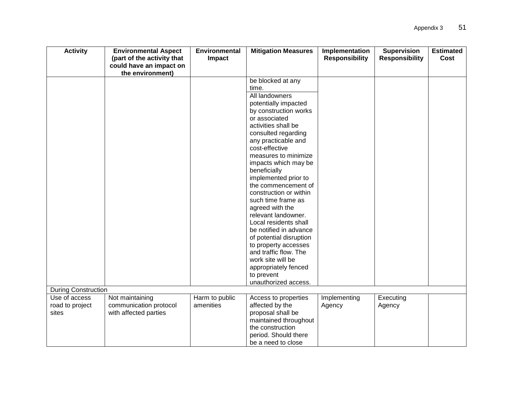| <b>Activity</b>            | <b>Environmental Aspect</b><br><b>Environmental</b><br>(part of the activity that<br>Impact |                | <b>Mitigation Measures</b>                      | Implementation<br><b>Responsibility</b> | <b>Supervision</b><br><b>Responsibility</b> | <b>Estimated</b><br>Cost |
|----------------------------|---------------------------------------------------------------------------------------------|----------------|-------------------------------------------------|-----------------------------------------|---------------------------------------------|--------------------------|
|                            | could have an impact on<br>the environment)                                                 |                |                                                 |                                         |                                             |                          |
|                            |                                                                                             |                | be blocked at any                               |                                         |                                             |                          |
|                            |                                                                                             |                | time.                                           |                                         |                                             |                          |
|                            |                                                                                             |                | All landowners                                  |                                         |                                             |                          |
|                            |                                                                                             |                | potentially impacted                            |                                         |                                             |                          |
|                            |                                                                                             |                | by construction works                           |                                         |                                             |                          |
|                            |                                                                                             |                | or associated                                   |                                         |                                             |                          |
|                            |                                                                                             |                | activities shall be                             |                                         |                                             |                          |
|                            |                                                                                             |                | consulted regarding                             |                                         |                                             |                          |
|                            |                                                                                             |                | any practicable and                             |                                         |                                             |                          |
|                            |                                                                                             |                | cost-effective                                  |                                         |                                             |                          |
|                            |                                                                                             |                | measures to minimize                            |                                         |                                             |                          |
|                            |                                                                                             |                | impacts which may be                            |                                         |                                             |                          |
|                            |                                                                                             |                | beneficially                                    |                                         |                                             |                          |
|                            |                                                                                             |                | implemented prior to                            |                                         |                                             |                          |
|                            |                                                                                             |                | the commencement of                             |                                         |                                             |                          |
|                            |                                                                                             |                | construction or within                          |                                         |                                             |                          |
|                            |                                                                                             |                | such time frame as                              |                                         |                                             |                          |
|                            |                                                                                             |                | agreed with the                                 |                                         |                                             |                          |
|                            |                                                                                             |                | relevant landowner.                             |                                         |                                             |                          |
|                            |                                                                                             |                | Local residents shall<br>be notified in advance |                                         |                                             |                          |
|                            |                                                                                             |                | of potential disruption                         |                                         |                                             |                          |
|                            |                                                                                             |                | to property accesses                            |                                         |                                             |                          |
|                            |                                                                                             |                | and traffic flow. The                           |                                         |                                             |                          |
|                            |                                                                                             |                | work site will be                               |                                         |                                             |                          |
|                            |                                                                                             |                | appropriately fenced                            |                                         |                                             |                          |
|                            |                                                                                             |                | to prevent                                      |                                         |                                             |                          |
|                            |                                                                                             |                | unauthorized access.                            |                                         |                                             |                          |
| <b>During Construction</b> |                                                                                             |                |                                                 |                                         |                                             |                          |
| Use of access              | Not maintaining                                                                             | Harm to public | Access to properties                            | Implementing                            | Executing                                   |                          |
| road to project            | communication protocol                                                                      | amenities      | affected by the                                 | Agency                                  | Agency                                      |                          |
| sites                      | with affected parties                                                                       |                | proposal shall be                               |                                         |                                             |                          |
|                            |                                                                                             |                | maintained throughout                           |                                         |                                             |                          |
|                            |                                                                                             |                | the construction                                |                                         |                                             |                          |
|                            |                                                                                             |                | period. Should there                            |                                         |                                             |                          |
|                            |                                                                                             |                | be a need to close                              |                                         |                                             |                          |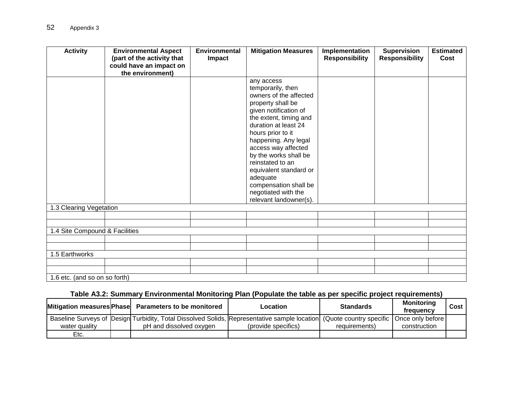| <b>Activity</b>                | <b>Environmental Aspect</b> | <b>Environmental</b> | <b>Mitigation Measures</b>                   | Implementation        | <b>Supervision</b>    | <b>Estimated</b> |
|--------------------------------|-----------------------------|----------------------|----------------------------------------------|-----------------------|-----------------------|------------------|
|                                | (part of the activity that  | Impact               |                                              | <b>Responsibility</b> | <b>Responsibility</b> | Cost             |
|                                | could have an impact on     |                      |                                              |                       |                       |                  |
|                                | the environment)            |                      |                                              |                       |                       |                  |
|                                |                             |                      | any access                                   |                       |                       |                  |
|                                |                             |                      | temporarily, then                            |                       |                       |                  |
|                                |                             |                      | owners of the affected                       |                       |                       |                  |
|                                |                             |                      | property shall be                            |                       |                       |                  |
|                                |                             |                      | given notification of                        |                       |                       |                  |
|                                |                             |                      | the extent, timing and                       |                       |                       |                  |
|                                |                             |                      | duration at least 24                         |                       |                       |                  |
|                                |                             |                      | hours prior to it                            |                       |                       |                  |
|                                |                             |                      | happening. Any legal                         |                       |                       |                  |
|                                |                             |                      | access way affected<br>by the works shall be |                       |                       |                  |
|                                |                             |                      | reinstated to an                             |                       |                       |                  |
|                                |                             |                      |                                              |                       |                       |                  |
|                                |                             |                      | equivalent standard or<br>adequate           |                       |                       |                  |
|                                |                             |                      | compensation shall be                        |                       |                       |                  |
|                                |                             |                      | negotiated with the                          |                       |                       |                  |
|                                |                             |                      | relevant landowner(s).                       |                       |                       |                  |
| 1.3 Clearing Vegetation        |                             |                      |                                              |                       |                       |                  |
|                                |                             |                      |                                              |                       |                       |                  |
|                                |                             |                      |                                              |                       |                       |                  |
| 1.4 Site Compound & Facilities |                             |                      |                                              |                       |                       |                  |
|                                |                             |                      |                                              |                       |                       |                  |
|                                |                             |                      |                                              |                       |                       |                  |
| 1.5 Earthworks                 |                             |                      |                                              |                       |                       |                  |
|                                |                             |                      |                                              |                       |                       |                  |
|                                |                             |                      |                                              |                       |                       |                  |
| 1.6 etc. (and so on so forth)  |                             |                      |                                              |                       |                       |                  |

# **Table A3.2: Summary Environmental Monitoring Plan (Populate the table as per specific project requirements)**

|               | Mitigation measures Phase Parameters to be monitored                                                                                    | Location            | <b>Standards</b> | <b>Monitoring</b><br>frequency | Cost |
|---------------|-----------------------------------------------------------------------------------------------------------------------------------------|---------------------|------------------|--------------------------------|------|
|               | Baseline Surveys of Design Turbidity, Total Dissolved Solids, Representative sample location (Quote country specific   Once only before |                     |                  |                                |      |
| water quality | pH and dissolved oxygen                                                                                                                 | (provide specifics) | requirements)    | construction                   |      |
| Etc.          |                                                                                                                                         |                     |                  |                                |      |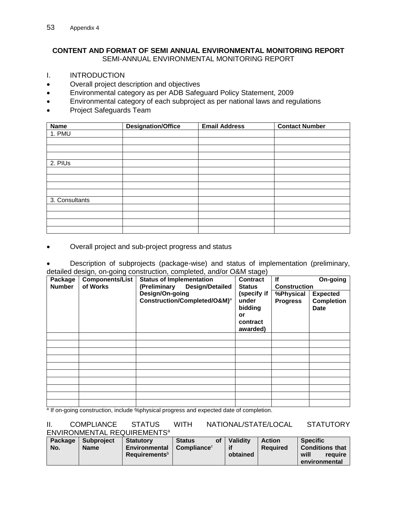#### <span id="page-58-0"></span>**CONTENT AND FORMAT OF SEMI ANNUAL ENVIRONMENTAL MONITORING REPORT** SEMI-ANNUAL ENVIRONMENTAL MONITORING REPORT

- I. INTRODUCTION
- Overall project description and objectives
- Environmental category as per ADB Safeguard Policy Statement, 2009
- Environmental category of each subproject as per national laws and regulations
- Project Safeguards Team

| <b>Name</b>    | <b>Designation/Office</b> | <b>Email Address</b> | <b>Contact Number</b> |
|----------------|---------------------------|----------------------|-----------------------|
| 1. PMU         |                           |                      |                       |
|                |                           |                      |                       |
|                |                           |                      |                       |
|                |                           |                      |                       |
| 2. PIUs        |                           |                      |                       |
|                |                           |                      |                       |
|                |                           |                      |                       |
|                |                           |                      |                       |
|                |                           |                      |                       |
| 3. Consultants |                           |                      |                       |
|                |                           |                      |                       |
|                |                           |                      |                       |
|                |                           |                      |                       |
|                |                           |                      |                       |

• Overall project and sub-project progress and status

• Description of subprojects (package-wise) and status of implementation (preliminary, detailed design, on-going construction, completed, and/or O&M stage)

| Package<br><b>Number</b> | <b>Components/List</b><br>of Works | <b>Status of Implementation</b><br>(Preliminary<br><b>Design/Detailed</b> | <b>Contract</b><br><b>Status</b>                              | lf<br><b>Construction</b>    | On-going                                            |
|--------------------------|------------------------------------|---------------------------------------------------------------------------|---------------------------------------------------------------|------------------------------|-----------------------------------------------------|
|                          |                                    | Design/On-going<br>Construction/Completed/O&M) <sup>a</sup>               | (specify if<br>under<br>bidding<br>or<br>contract<br>awarded) | %Physical<br><b>Progress</b> | <b>Expected</b><br><b>Completion</b><br><b>Date</b> |
|                          |                                    |                                                                           |                                                               |                              |                                                     |
|                          |                                    |                                                                           |                                                               |                              |                                                     |
|                          |                                    |                                                                           |                                                               |                              |                                                     |
|                          |                                    |                                                                           |                                                               |                              |                                                     |
|                          |                                    |                                                                           |                                                               |                              |                                                     |
|                          |                                    |                                                                           |                                                               |                              |                                                     |
|                          |                                    |                                                                           |                                                               |                              |                                                     |
|                          |                                    |                                                                           |                                                               |                              |                                                     |
|                          |                                    |                                                                           |                                                               |                              |                                                     |
| $-1$<br>. .              | .                                  | $\sim$ $\sim$ $\sim$ $\sim$ $\sim$                                        | $\sim$                                                        |                              |                                                     |

<sup>a</sup> If on-going construction, include %physical progress and expected date of completion.

#### II. COMPLIANCE STATUS WITH NATIONAL/STATE/LOCAL STATUTORY ENVIRONMENTAL REQUIREMENTS<sup>a</sup>

| Package | <b>Subproject</b> | <b>Statutory</b>               | <b>Status</b>  | οf | <b>Validity</b> | <b>Action</b>   | <b>Specific</b>                  |
|---------|-------------------|--------------------------------|----------------|----|-----------------|-----------------|----------------------------------|
| No.     | <b>Name</b>       | <b>Environmental</b>           | Compliance $c$ |    |                 | <b>Required</b> | <b>Conditions that</b>           |
|         |                   | <b>Requirements</b> $^{\rm b}$ |                |    | obtained        |                 | will<br>require<br>environmental |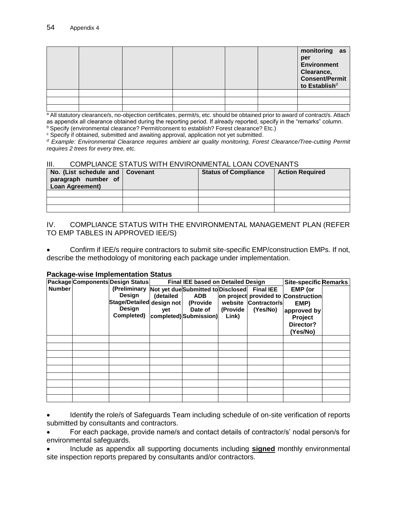|  |  |  | monitoring as<br>per<br>Environment<br>Clearance,<br>Consent/Permit<br>to Establish <sup>d</sup> |  |
|--|--|--|--------------------------------------------------------------------------------------------------|--|
|  |  |  |                                                                                                  |  |
|  |  |  |                                                                                                  |  |
|  |  |  |                                                                                                  |  |

a All statutory clearance/s, no-objection certificates, permit/s, etc. should be obtained prior to award of contract/s. Attach as appendix all clearance obtained during the reporting period. If already reported, specify in the "remarks" column.

b Specify (environmental clearance? Permit/consent to establish? Forest clearance? Etc.)

<sup>c</sup> Specify if obtained, submitted and awaiting approval, application not yet submitted.

*<sup>d</sup> Example: Environmental Clearance requires ambient air quality monitoring, Forest Clearance/Tree-cutting Permit requires 2 trees for every tree, etc.*

#### III. COMPLIANCE STATUS WITH ENVIRONMENTAL LOAN COVENANTS

| No. (List schedule and   Covenant<br>paragraph number of<br><b>Loan Agreement)</b> | <b>Status of Compliance</b> | <b>Action Required</b> |
|------------------------------------------------------------------------------------|-----------------------------|------------------------|
|                                                                                    |                             |                        |
|                                                                                    |                             |                        |
|                                                                                    |                             |                        |

IV. COMPLIANCE STATUS WITH THE ENVIRONMENTAL MANAGEMENT PLAN (REFER TO EMP TABLES IN APPROVED IEE/S)

• Confirm if IEE/s require contractors to submit site-specific EMP/construction EMPs. If not, describe the methodology of monitoring each package under implementation.

#### **Package-wise Implementation Status**

|               | Package Components Design Status                          |           | <b>Final IEE based on Detailed Design</b> |          |                      | <b>Site-specific Remarks</b>        |  |
|---------------|-----------------------------------------------------------|-----------|-------------------------------------------|----------|----------------------|-------------------------------------|--|
| <b>Number</b> | (Preliminary Not yet due Submitted to Disclosed Final IEE |           |                                           |          |                      | EMP (or                             |  |
|               | Design                                                    | (detailed | <b>ADB</b>                                |          |                      | on project provided to Construction |  |
|               | Stage/Detailed design not                                 |           | (Provide                                  |          | website Contractor/s | EMP)                                |  |
|               | Design                                                    | yet       | Date of                                   | (Provide | (Yes/No)             | approved by                         |  |
|               | Completed)                                                |           | completed) Submission)                    | Link)    |                      | Project                             |  |
|               |                                                           |           |                                           |          |                      | Director?                           |  |
|               |                                                           |           |                                           |          |                      | (Yes/No)                            |  |
|               |                                                           |           |                                           |          |                      |                                     |  |
|               |                                                           |           |                                           |          |                      |                                     |  |
|               |                                                           |           |                                           |          |                      |                                     |  |
|               |                                                           |           |                                           |          |                      |                                     |  |
|               |                                                           |           |                                           |          |                      |                                     |  |
|               |                                                           |           |                                           |          |                      |                                     |  |
|               |                                                           |           |                                           |          |                      |                                     |  |
|               |                                                           |           |                                           |          |                      |                                     |  |
|               |                                                           |           |                                           |          |                      |                                     |  |

• Identify the role/s of Safeguards Team including schedule of on-site verification of reports submitted by consultants and contractors.

• For each package, provide name/s and contact details of contractor/s' nodal person/s for environmental safeguards.

• Include as appendix all supporting documents including **signed** monthly environmental site inspection reports prepared by consultants and/or contractors.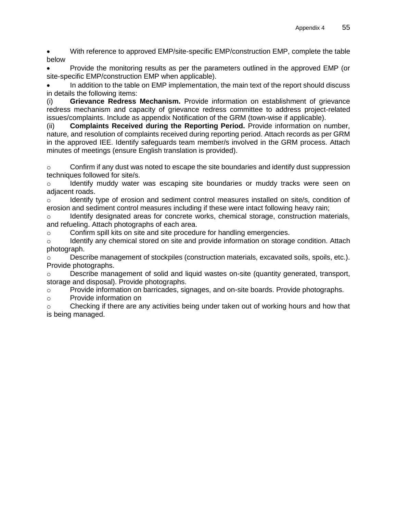• With reference to approved EMP/site-specific EMP/construction EMP, complete the table below

• Provide the monitoring results as per the parameters outlined in the approved EMP (or site-specific EMP/construction EMP when applicable).

• In addition to the table on EMP implementation, the main text of the report should discuss in details the following items:

(i) **Grievance Redress Mechanism.** Provide information on establishment of grievance redress mechanism and capacity of grievance redress committee to address project-related issues/complaints. Include as appendix Notification of the GRM (town-wise if applicable).

(ii) **Complaints Received during the Reporting Period.** Provide information on number, nature, and resolution of complaints received during reporting period. Attach records as per GRM in the approved IEE. Identify safeguards team member/s involved in the GRM process. Attach minutes of meetings (ensure English translation is provided).

 $\circ$  Confirm if any dust was noted to escape the site boundaries and identify dust suppression techniques followed for site/s.

Identify muddy water was escaping site boundaries or muddy tracks were seen on adjacent roads.

 $\circ$  Identify type of erosion and sediment control measures installed on site/s, condition of erosion and sediment control measures including if these were intact following heavy rain;

 $\circ$  Identify designated areas for concrete works, chemical storage, construction materials, and refueling. Attach photographs of each area.

 $\circ$  Confirm spill kits on site and site procedure for handling emergencies.

 $\circ$  Identify any chemical stored on site and provide information on storage condition. Attach photograph.

o Describe management of stockpiles (construction materials, excavated soils, spoils, etc.). Provide photographs.

o Describe management of solid and liquid wastes on-site (quantity generated, transport, storage and disposal). Provide photographs.

o Provide information on barricades, signages, and on-site boards. Provide photographs.

o Provide information on

o Checking if there are any activities being under taken out of working hours and how that is being managed.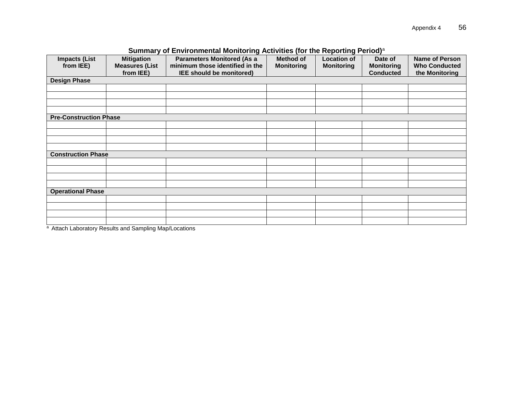|                                   |                                                         | <b>Summary OF Environmental Monitoring Activities (for the Reporting Feriod)</b>                 |                                |                                         |                                                  |                                                                 |
|-----------------------------------|---------------------------------------------------------|--------------------------------------------------------------------------------------------------|--------------------------------|-----------------------------------------|--------------------------------------------------|-----------------------------------------------------------------|
| <b>Impacts (List</b><br>from IEE) | <b>Mitigation</b><br><b>Measures (List</b><br>from IEE) | <b>Parameters Monitored (As a</b><br>minimum those identified in the<br>IEE should be monitored) | Method of<br><b>Monitoring</b> | <b>Location of</b><br><b>Monitoring</b> | Date of<br><b>Monitoring</b><br><b>Conducted</b> | <b>Name of Person</b><br><b>Who Conducted</b><br>the Monitoring |
|                                   |                                                         |                                                                                                  |                                |                                         |                                                  |                                                                 |
| <b>Design Phase</b>               |                                                         |                                                                                                  |                                |                                         |                                                  |                                                                 |
|                                   |                                                         |                                                                                                  |                                |                                         |                                                  |                                                                 |
|                                   |                                                         |                                                                                                  |                                |                                         |                                                  |                                                                 |
|                                   |                                                         |                                                                                                  |                                |                                         |                                                  |                                                                 |
|                                   |                                                         |                                                                                                  |                                |                                         |                                                  |                                                                 |
| <b>Pre-Construction Phase</b>     |                                                         |                                                                                                  |                                |                                         |                                                  |                                                                 |
|                                   |                                                         |                                                                                                  |                                |                                         |                                                  |                                                                 |
|                                   |                                                         |                                                                                                  |                                |                                         |                                                  |                                                                 |
|                                   |                                                         |                                                                                                  |                                |                                         |                                                  |                                                                 |
|                                   |                                                         |                                                                                                  |                                |                                         |                                                  |                                                                 |
| <b>Construction Phase</b>         |                                                         |                                                                                                  |                                |                                         |                                                  |                                                                 |
|                                   |                                                         |                                                                                                  |                                |                                         |                                                  |                                                                 |
|                                   |                                                         |                                                                                                  |                                |                                         |                                                  |                                                                 |
|                                   |                                                         |                                                                                                  |                                |                                         |                                                  |                                                                 |
|                                   |                                                         |                                                                                                  |                                |                                         |                                                  |                                                                 |
| <b>Operational Phase</b>          |                                                         |                                                                                                  |                                |                                         |                                                  |                                                                 |
|                                   |                                                         |                                                                                                  |                                |                                         |                                                  |                                                                 |
|                                   |                                                         |                                                                                                  |                                |                                         |                                                  |                                                                 |
|                                   |                                                         |                                                                                                  |                                |                                         |                                                  |                                                                 |
|                                   |                                                         |                                                                                                  |                                |                                         |                                                  |                                                                 |
|                                   |                                                         |                                                                                                  |                                |                                         |                                                  |                                                                 |

#### **Summary of Environmental Monitoring Activities (for the Reporting Period)**<sup>a</sup>

a Attach Laboratory Results and Sampling Map/Locations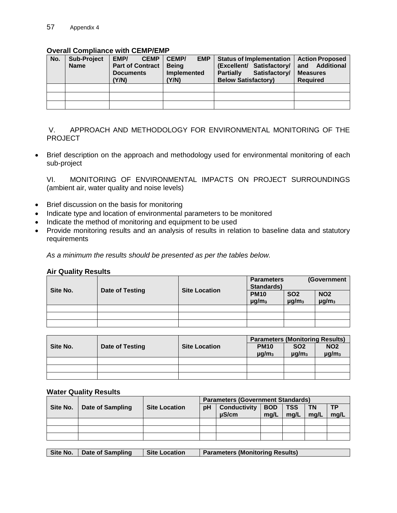#### **Overall Compliance with CEMP/EMP**

| No. | <b>Sub-Project</b><br><b>Name</b> | <b>CEMP</b><br>EMP/<br><b>Part of Contract</b><br><b>Documents</b><br>Y/N) | <b>CEMP/</b><br><b>EMP</b><br><b>Being</b><br>Implemented<br>(Y/N) | <b>Status of Implementation</b><br>(Excellent/ Satisfactory/<br>Satisfactory/<br><b>Partially</b><br><b>Below Satisfactory)</b> | <b>Action Proposed</b><br>Additional<br>and<br><b>Measures</b><br><b>Required</b> |
|-----|-----------------------------------|----------------------------------------------------------------------------|--------------------------------------------------------------------|---------------------------------------------------------------------------------------------------------------------------------|-----------------------------------------------------------------------------------|
|     |                                   |                                                                            |                                                                    |                                                                                                                                 |                                                                                   |
|     |                                   |                                                                            |                                                                    |                                                                                                                                 |                                                                                   |
|     |                                   |                                                                            |                                                                    |                                                                                                                                 |                                                                                   |

V. APPROACH AND METHODOLOGY FOR ENVIRONMENTAL MONITORING OF THE PROJECT

• Brief description on the approach and methodology used for environmental monitoring of each sub-project

VI. MONITORING OF ENVIRONMENTAL IMPACTS ON PROJECT SURROUNDINGS (ambient air, water quality and noise levels)

- Brief discussion on the basis for monitoring
- Indicate type and location of environmental parameters to be monitored
- Indicate the method of monitoring and equipment to be used
- Provide monitoring results and an analysis of results in relation to baseline data and statutory requirements

*As a minimum the results should be presented as per the tables below.*

|  | <b>Air Quality Results</b> |
|--|----------------------------|
|  |                            |

| Site No. |                 |                      | <b>Parameters</b><br><b>Standards)</b> |                                      | (Government                          |  |
|----------|-----------------|----------------------|----------------------------------------|--------------------------------------|--------------------------------------|--|
|          | Date of Testing | <b>Site Location</b> | <b>PM10</b><br>$\mu$ g/m <sub>3</sub>  | <b>SO2</b><br>$\mu$ g/m <sub>3</sub> | <b>NO2</b><br>$\mu$ g/m <sub>3</sub> |  |
|          |                 |                      |                                        |                                      |                                      |  |
|          |                 |                      |                                        |                                      |                                      |  |
|          |                 |                      |                                        |                                      |                                      |  |

|          |                 |                      | <b>Parameters (Monitoring Results)</b> |                                      |                                      |  |
|----------|-----------------|----------------------|----------------------------------------|--------------------------------------|--------------------------------------|--|
| Site No. | Date of Testing | <b>Site Location</b> | <b>PM10</b><br>$\mu$ g/m <sub>3</sub>  | <b>SO2</b><br>$\mu$ g/m <sub>3</sub> | <b>NO2</b><br>$\mu$ g/m <sub>3</sub> |  |
|          |                 |                      |                                        |                                      |                                      |  |
|          |                 |                      |                                        |                                      |                                      |  |
|          |                 |                      |                                        |                                      |                                      |  |

#### **Water Quality Results**

|          |                  |                      | <b>Parameters (Government Standards)</b> |                     |            |            |           |           |
|----------|------------------|----------------------|------------------------------------------|---------------------|------------|------------|-----------|-----------|
| Site No. | Date of Sampling | <b>Site Location</b> | рH                                       | <b>Conductivity</b> | <b>BOD</b> | <b>TSS</b> | <b>TN</b> | <b>TP</b> |
|          |                  |                      |                                          | uS/cm               | mg/L       | mg/L       | ma/L      | mg/L      |
|          |                  |                      |                                          |                     |            |            |           |           |
|          |                  |                      |                                          |                     |            |            |           |           |
|          |                  |                      |                                          |                     |            |            |           |           |

|  |  | Site No.   Date of Sampling | Site Location | <b>Parameters (Monitoring Results)</b> |
|--|--|-----------------------------|---------------|----------------------------------------|
|--|--|-----------------------------|---------------|----------------------------------------|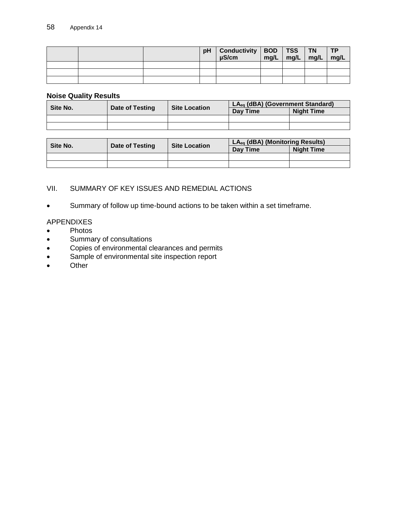|  | pH | Conductivity   BOD   TSS<br>$\mu$ S/cm | $mg/L$ mg/L | <b>TN</b><br>$\mid$ mg/L | <b>TP</b><br>mg/L |
|--|----|----------------------------------------|-------------|--------------------------|-------------------|
|  |    |                                        |             |                          |                   |
|  |    |                                        |             |                          |                   |
|  |    |                                        |             |                          |                   |

#### **Noise Quality Results**

| Site No. | Date of Testing | <b>Site Location</b> | LA <sub>eg</sub> (dBA) (Government Standard) |                   |  |
|----------|-----------------|----------------------|----------------------------------------------|-------------------|--|
|          |                 |                      | Day Time                                     | <b>Night Time</b> |  |
|          |                 |                      |                                              |                   |  |
|          |                 |                      |                                              |                   |  |

| Site No. | Date of Testing | <b>Site Location</b> | LA <sub>eq</sub> (dBA) (Monitoring Results) |                   |  |
|----------|-----------------|----------------------|---------------------------------------------|-------------------|--|
|          |                 |                      | Day Time                                    | <b>Night Time</b> |  |
|          |                 |                      |                                             |                   |  |
|          |                 |                      |                                             |                   |  |

## VII. SUMMARY OF KEY ISSUES AND REMEDIAL ACTIONS

• Summary of follow up time-bound actions to be taken within a set timeframe.

## APPENDIXES

- Photos
- Summary of consultations
- Copies of environmental clearances and permits
- Sample of environmental site inspection report
- Other